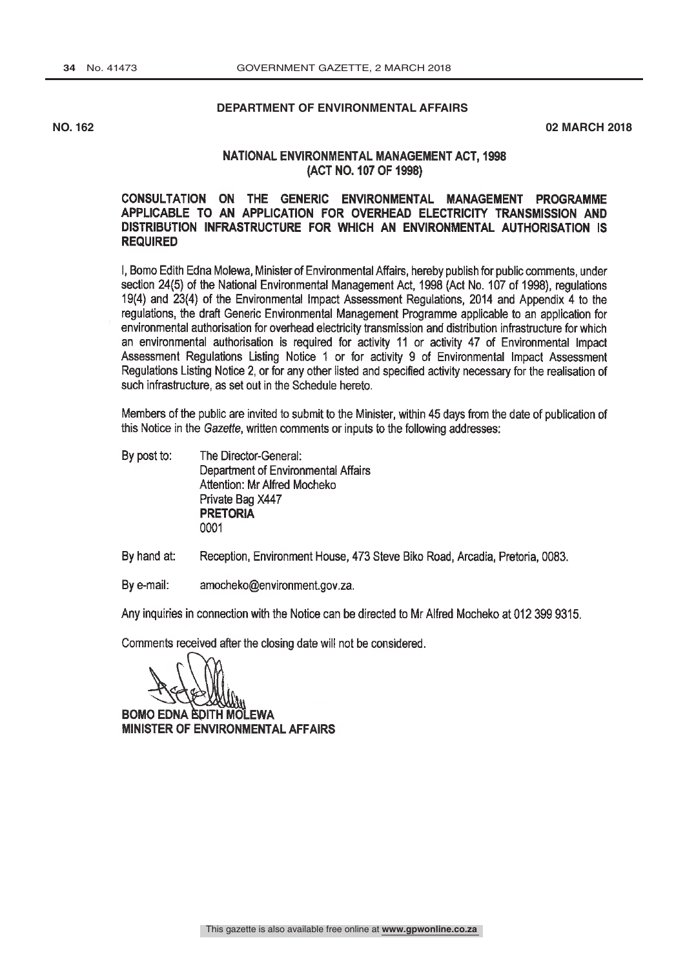# **DEPARTMENT OF ENVIRONMENTAL AFFAIRS**

**NO. 162 02 MARCH 2018**

# NATIONAL ENVIRONMENTAL MANAGEMENT ACT, 1998 (ACT NO. 107 OF 1998)

# CONSULTATION ON THE GENERIC ENVIRONMENTAL MANAGEMENT PROGRAMME APPLICABLE TO AN APPLICATION FOR OVERHEAD ELECTRICITY TRANSMISSION AND DISTRIBUTION INFRASTRUCTURE FOR WHICH AN ENVIRONMENTAL AUTHORISATION IS **REQUIRED**

I, Bomo Edith Edna Molewa, Minister of Environmental Affairs, hereby publish for public comments, under section 24(5) of the National Environmental Management Act, 1998 (Act No. 107 of 1998), regulations 19(4) and 23(4) of the Environmental Impact Assessment Regulations, 2014 and Appendix 4 to the regulations, the draft Generic Environmental Management Programme applicable to an application for environmental authorisation for overhead electricity transmission and distribution infrastructure for which an environmental authorisation is required for activity 11 or activity 47 of Environmental Impact Assessment Regulations Listing Notice 1 or for activity 9 of Environmental Impact Assessment Regulations Listing Notice 2, or for any other listed and specified activity necessary for the realisation of such infrastructure, as set out in the Schedule hereto.

Members of the public are invited to submit to the Minister, within 45 days from the date of publication of this Notice in the Gazette, written comments or inputs to the following addresses:

- By post to: The Director-General: Department of Environmental Affairs Attention: Mr Alfred Mocheko Private Bag X447 **PRETORIA** 0001
- By hand at: Reception, Environment House, 473 Steve Biko Road, Arcadia, Pretoria, 0083.
- By e-mail: amocheko@environment.gov.za.

Any inquiries in connection with the Notice can be directed to Mr Alfred Mocheko at 012 399 9315.

Comments received after the closing date will not be considered.

**BOMO EDNA EDITH MOLEWA MINISTER OF ENVIRONMENTAL AFFAIRS**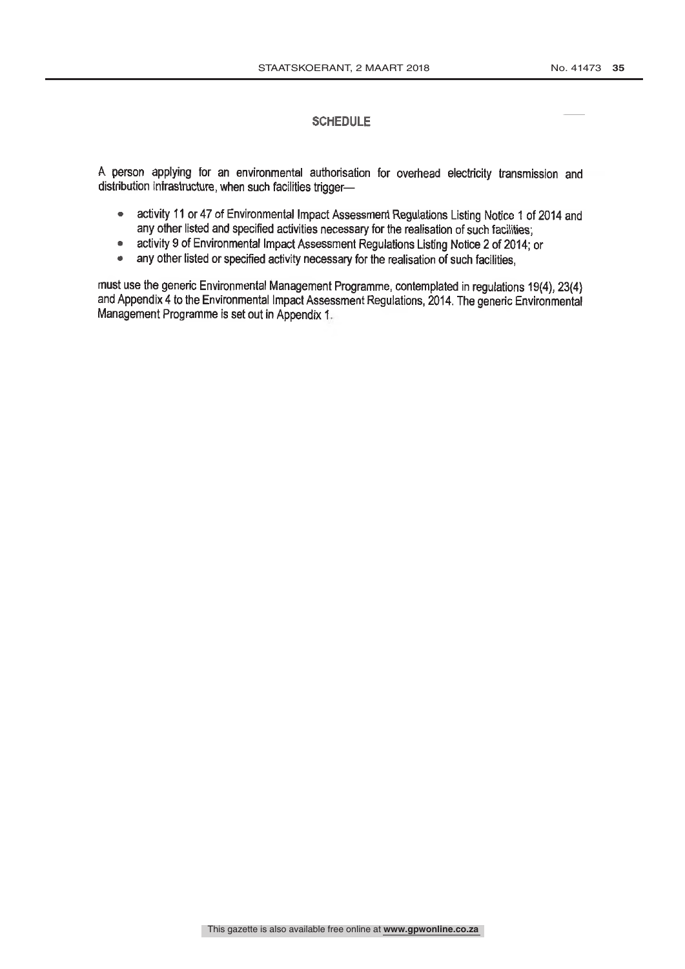# **SCHEDULE**

A person applying for an environmental authorisation for overhead electricity transmission and distribution infrastructure, when such facilities trigger-

- activity 11 or 47 of Environmental Impact Assessment Regulations Listing Notice 1 of 2014 and  $\bullet$ any other listed and specified activities necessary for the realisation of such facilities;
- activity 9 of Environmental Impact Assessment Regulations Listing Notice 2 of 2014; or  $\bullet$  .
- any other listed or specified activity necessary for the realisation of such facilities,  $\bullet$

must use the generic Environmental Management Programme, contemplated in regulations 19(4), 23(4) and Appendix 4 to the Environmental Impact Assessment Regulations, 2014. The generic Environmental Management Programme is set out in Appendix 1.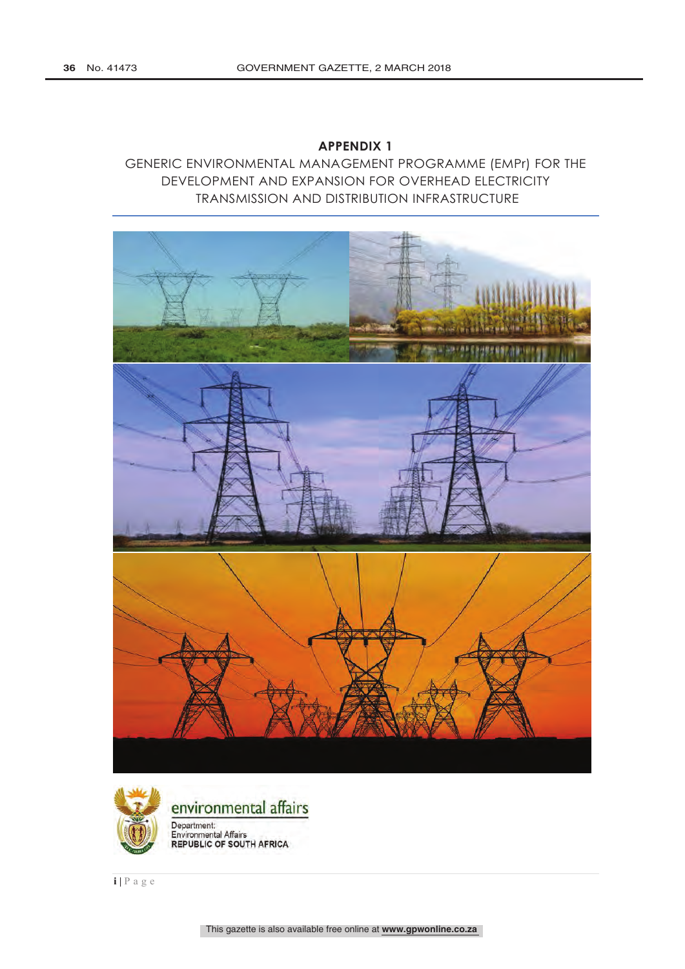# **APPENDIX 1**

GENERIC ENVIRONMENTAL MANAGEMENT PROGRAMME (EMPr) FOR THE DEVELOPMENT AND EXPANSION FOR OVERHEAD ELECTRICITY TRANSMISSION AND DISTRIBUTION INFRASTRUCTURE





**i |** Page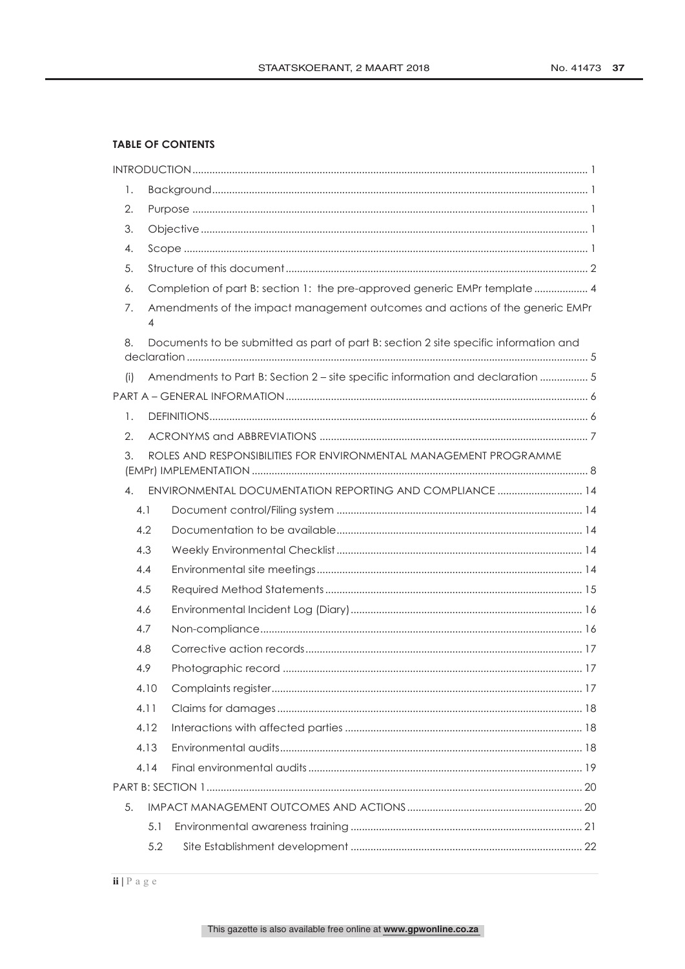# **TABLE OF CONTENTS**

| 1.  |      |                                                                                      |  |
|-----|------|--------------------------------------------------------------------------------------|--|
| 2.  |      |                                                                                      |  |
| 3.  |      |                                                                                      |  |
| 4.  |      |                                                                                      |  |
| 5.  |      |                                                                                      |  |
| 6.  |      | Completion of part B: section 1: the pre-approved generic EMPr template 4            |  |
| 7.  | 4    | Amendments of the impact management outcomes and actions of the generic EMPr         |  |
| 8.  |      | Documents to be submitted as part of part B: section 2 site specific information and |  |
|     |      |                                                                                      |  |
| (i) |      | Amendments to Part B: Section 2 - site specific information and declaration  5       |  |
|     |      |                                                                                      |  |
| 1.  |      |                                                                                      |  |
| 2.  |      |                                                                                      |  |
| 3.  |      | ROLES AND RESPONSIBILITIES FOR ENVIRONMENTAL MANAGEMENT PROGRAMME                    |  |
| 4.  |      | ENVIRONMENTAL DOCUMENTATION REPORTING AND COMPLIANCE  14                             |  |
| 4.1 |      |                                                                                      |  |
| 4.2 |      |                                                                                      |  |
| 4.3 |      |                                                                                      |  |
| 4.4 |      |                                                                                      |  |
| 4.5 |      |                                                                                      |  |
| 4.6 |      |                                                                                      |  |
| 4.7 |      |                                                                                      |  |
| 4.8 |      |                                                                                      |  |
| 4.9 |      |                                                                                      |  |
|     | 4.10 |                                                                                      |  |
|     | 4.11 |                                                                                      |  |
|     | 4.12 |                                                                                      |  |
|     | 4.13 |                                                                                      |  |
|     | 4.14 |                                                                                      |  |
|     |      |                                                                                      |  |
| 5.  |      |                                                                                      |  |
|     | 5.1  |                                                                                      |  |
|     | 5.2  |                                                                                      |  |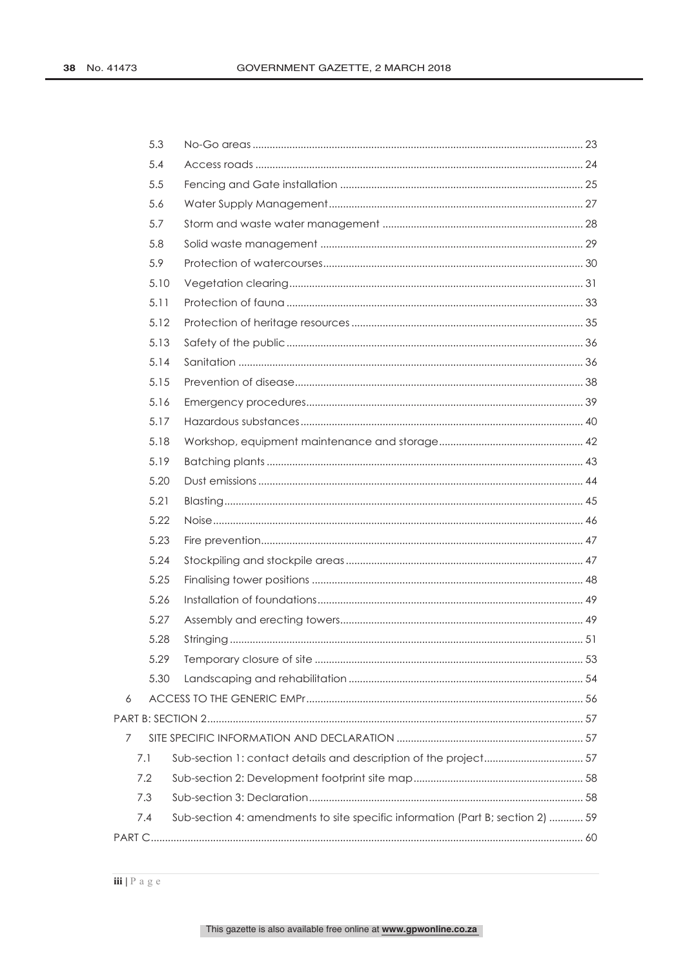|   | 5.3  |                                                                                |  |
|---|------|--------------------------------------------------------------------------------|--|
|   | 5.4  |                                                                                |  |
|   | 5.5  |                                                                                |  |
|   | 5.6  |                                                                                |  |
|   | 5.7  |                                                                                |  |
|   | 5.8  |                                                                                |  |
|   | 5.9  |                                                                                |  |
|   | 5.10 |                                                                                |  |
|   | 5.11 |                                                                                |  |
|   | 5.12 |                                                                                |  |
|   | 5.13 |                                                                                |  |
|   | 5.14 |                                                                                |  |
|   | 5.15 |                                                                                |  |
|   | 5.16 |                                                                                |  |
|   | 5.17 |                                                                                |  |
|   | 5.18 |                                                                                |  |
|   | 5.19 |                                                                                |  |
|   | 5.20 |                                                                                |  |
|   | 5.21 |                                                                                |  |
|   | 5.22 |                                                                                |  |
|   | 5.23 |                                                                                |  |
|   | 5.24 |                                                                                |  |
|   | 5.25 |                                                                                |  |
|   | 5.26 |                                                                                |  |
|   | 5.27 |                                                                                |  |
|   | 5.28 |                                                                                |  |
|   | 5.29 |                                                                                |  |
|   | 5.30 |                                                                                |  |
| 6 |      |                                                                                |  |
|   |      |                                                                                |  |
| 7 |      |                                                                                |  |
|   | 7.1  | Sub-section 1: contact details and description of the project 57               |  |
|   | 7.2  |                                                                                |  |
|   | 7.3  |                                                                                |  |
|   | 7.4  | Sub-section 4: amendments to site specific information (Part B; section 2)  59 |  |
|   |      |                                                                                |  |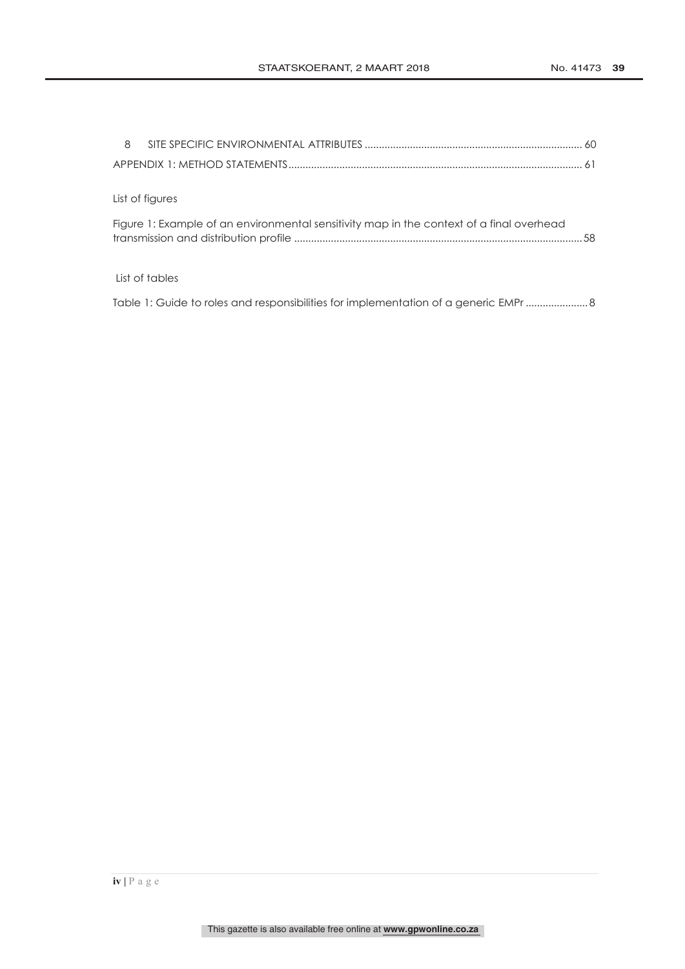| 8                                                                                        |  |
|------------------------------------------------------------------------------------------|--|
|                                                                                          |  |
|                                                                                          |  |
| List of figures                                                                          |  |
| Figure 1: Example of an environmental sensitivity map in the context of a final overhead |  |
|                                                                                          |  |
| List of tables                                                                           |  |
| Table 1: Guide to roles and responsibilities for implementation of a generic EMPr  8     |  |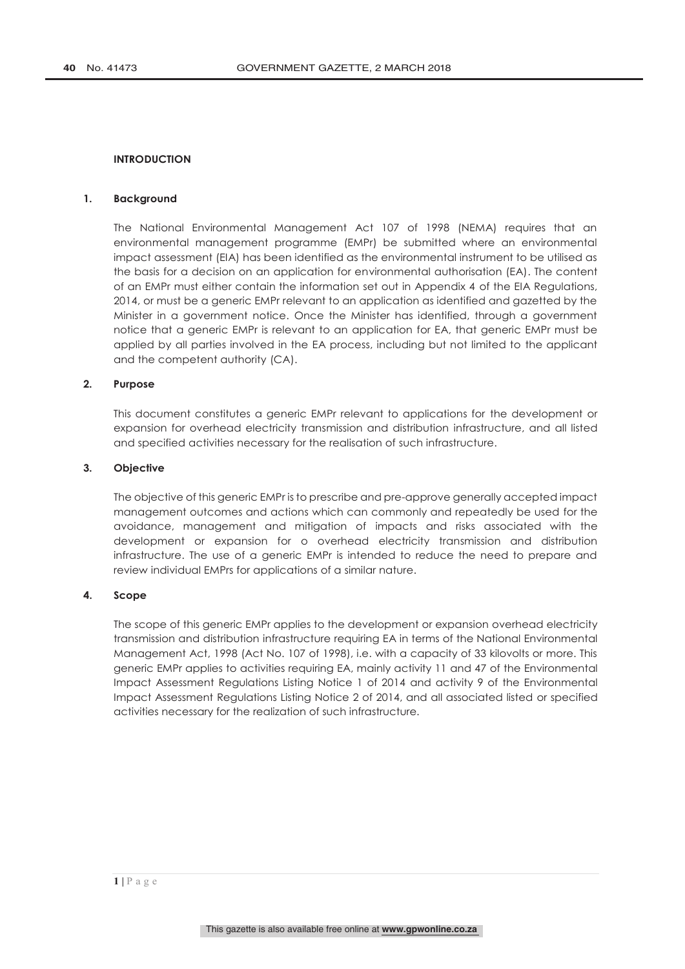# **INTRODUCTION**

# **1. Background**

The National Environmental Management Act 107 of 1998 (NEMA) requires that an environmental management programme (EMPr) be submitted where an environmental impact assessment (EIA) has been identified as the environmental instrument to be utilised as the basis for a decision on an application for environmental authorisation (EA). The content of an EMPr must either contain the information set out in Appendix 4 of the EIA Regulations, 2014, or must be a generic EMPr relevant to an application as identified and gazetted by the Minister in a government notice. Once the Minister has identified, through a government notice that a generic EMPr is relevant to an application for EA, that generic EMPr must be applied by all parties involved in the EA process, including but not limited to the applicant and the competent authority (CA).

# **2. Purpose**

This document constitutes a generic EMPr relevant to applications for the development or expansion for overhead electricity transmission and distribution infrastructure, and all listed and specified activities necessary for the realisation of such infrastructure.

# **3. Objective**

The objective of this generic EMPr is to prescribe and pre-approve generally accepted impact management outcomes and actions which can commonly and repeatedly be used for the avoidance, management and mitigation of impacts and risks associated with the development or expansion for o overhead electricity transmission and distribution infrastructure. The use of a generic EMPr is intended to reduce the need to prepare and review individual EMPrs for applications of a similar nature.

# **4. Scope**

The scope of this generic EMPr applies to the development or expansion overhead electricity transmission and distribution infrastructure requiring EA in terms of the National Environmental Management Act, 1998 (Act No. 107 of 1998), i.e. with a capacity of 33 kilovolts or more. This generic EMPr applies to activities requiring EA, mainly activity 11 and 47 of the Environmental Impact Assessment Regulations Listing Notice 1 of 2014 and activity 9 of the Environmental Impact Assessment Regulations Listing Notice 2 of 2014, and all associated listed or specified activities necessary for the realization of such infrastructure.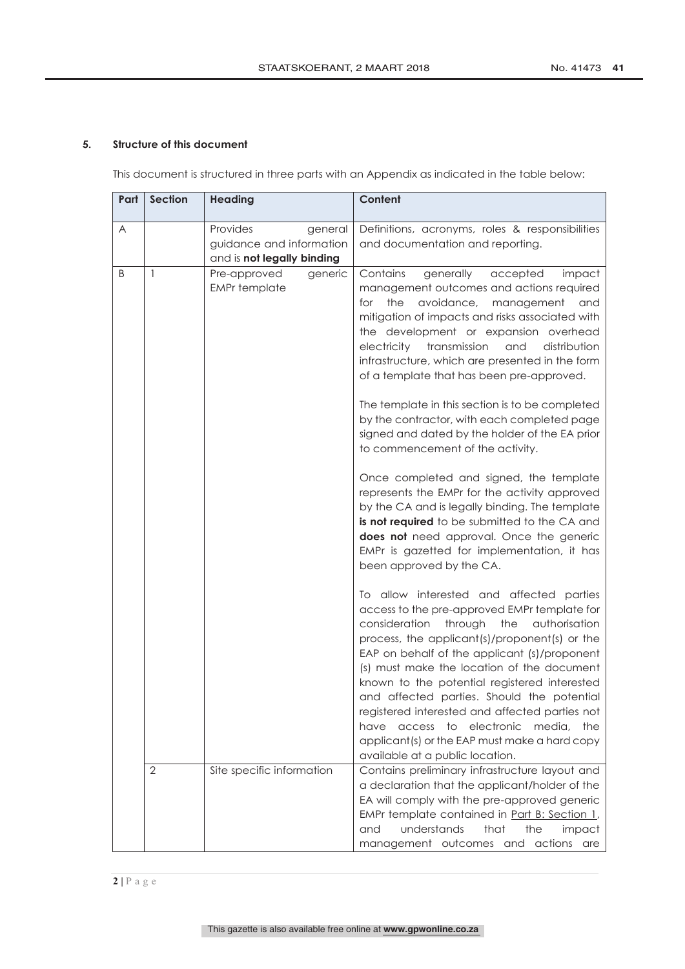# **5. Structure of this document**

This document is structured in three parts with an Appendix as indicated in the table below:

| Α            | Provides<br>general<br>guidance and information<br>and is not legally binding | Definitions, acronyms, roles & responsibilities<br>and documentation and reporting.                                                                                                                                                                                                                                                                                                                                                                                                                                                                                                                                                                                                                                                                                                                                                                                                                                                                                                                                                                                                                                                                                                                                                                                                                                                                                                                                                                                                             |
|--------------|-------------------------------------------------------------------------------|-------------------------------------------------------------------------------------------------------------------------------------------------------------------------------------------------------------------------------------------------------------------------------------------------------------------------------------------------------------------------------------------------------------------------------------------------------------------------------------------------------------------------------------------------------------------------------------------------------------------------------------------------------------------------------------------------------------------------------------------------------------------------------------------------------------------------------------------------------------------------------------------------------------------------------------------------------------------------------------------------------------------------------------------------------------------------------------------------------------------------------------------------------------------------------------------------------------------------------------------------------------------------------------------------------------------------------------------------------------------------------------------------------------------------------------------------------------------------------------------------|
| B<br>1       | Pre-approved<br>generic<br><b>EMPr</b> template                               | Contains<br>generally<br>accepted<br>impact<br>management outcomes and actions required<br>the<br>avoidance,<br>management<br>for<br>and<br>mitigation of impacts and risks associated with<br>the development or expansion overhead<br>electricity<br>transmission<br>and<br>distribution<br>infrastructure, which are presented in the form<br>of a template that has been pre-approved.<br>The template in this section is to be completed<br>by the contractor, with each completed page<br>signed and dated by the holder of the EA prior<br>to commencement of the activity.<br>Once completed and signed, the template<br>represents the EMPr for the activity approved<br>by the CA and is legally binding. The template<br>is not required to be submitted to the CA and<br>does not need approval. Once the generic<br>EMPr is gazetted for implementation, it has<br>been approved by the CA.<br>To allow interested and affected parties<br>access to the pre-approved EMPr template for<br>consideration<br>through<br>the<br>authorisation<br>process, the applicant(s)/proponent(s) or the<br>EAP on behalf of the applicant (s)/proponent<br>(s) must make the location of the document<br>known to the potential registered interested<br>and affected parties. Should the potential<br>registered interested and affected parties not<br>access<br>to electronic<br>media,<br>have<br>the<br>applicant(s) or the EAP must make a hard copy<br>available at a public location. |
| $\mathbf{2}$ | Site specific information                                                     | Contains preliminary infrastructure layout and<br>a declaration that the applicant/holder of the<br>EA will comply with the pre-approved generic<br>EMPr template contained in Part B: Section 1,<br>understands<br>that<br>and<br>the<br>impact<br>management outcomes and actions are                                                                                                                                                                                                                                                                                                                                                                                                                                                                                                                                                                                                                                                                                                                                                                                                                                                                                                                                                                                                                                                                                                                                                                                                         |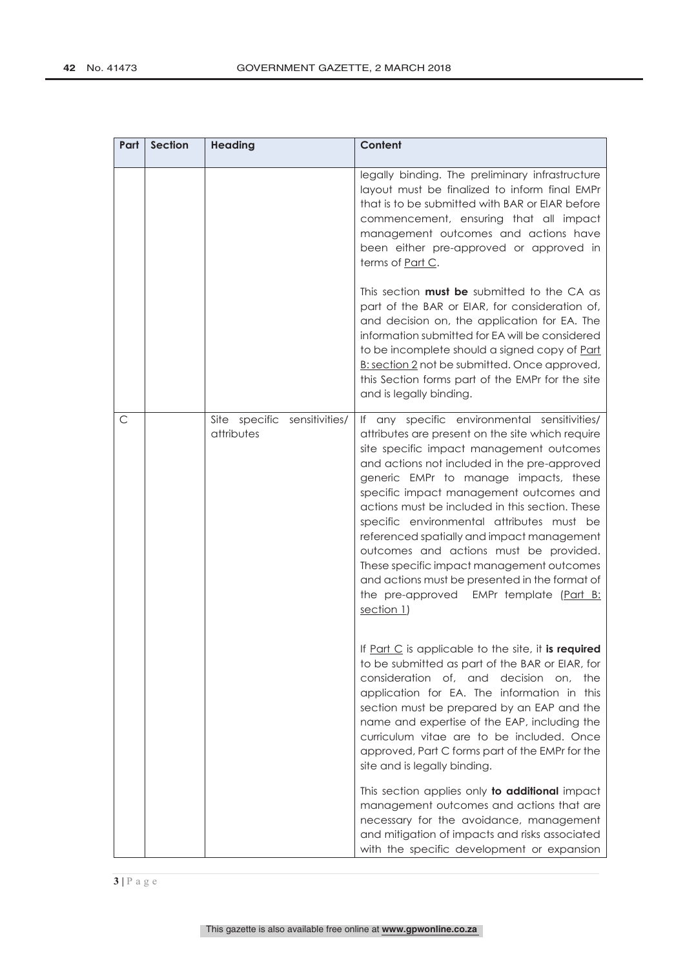| Part | <b>Section</b> | <b>Heading</b>                                | Content                                                                                                                                                                                                                                                                                                                                                                                                                                                                                                                                                                                                                          |
|------|----------------|-----------------------------------------------|----------------------------------------------------------------------------------------------------------------------------------------------------------------------------------------------------------------------------------------------------------------------------------------------------------------------------------------------------------------------------------------------------------------------------------------------------------------------------------------------------------------------------------------------------------------------------------------------------------------------------------|
|      |                |                                               | legally binding. The preliminary infrastructure<br>layout must be finalized to inform final EMPr<br>that is to be submitted with BAR or EIAR before<br>commencement, ensuring that all impact<br>management outcomes and actions have<br>been either pre-approved or approved in<br>terms of Part C.                                                                                                                                                                                                                                                                                                                             |
|      |                |                                               | This section <b>must be</b> submitted to the CA as<br>part of the BAR or EIAR, for consideration of,<br>and decision on, the application for EA. The<br>information submitted for EA will be considered<br>to be incomplete should a signed copy of Part<br>B: section 2 not be submitted. Once approved,<br>this Section forms part of the EMPr for the site<br>and is legally binding.                                                                                                                                                                                                                                         |
| C    |                | Site specific<br>sensitivities/<br>attributes | If any specific environmental sensitivities/<br>attributes are present on the site which require<br>site specific impact management outcomes<br>and actions not included in the pre-approved<br>generic EMPr to manage impacts, these<br>specific impact management outcomes and<br>actions must be included in this section. These<br>specific environmental attributes must be<br>referenced spatially and impact management<br>outcomes and actions must be provided.<br>These specific impact management outcomes<br>and actions must be presented in the format of<br>the pre-approved EMPr template (Part B:<br>section 1) |
|      |                |                                               | If Part C is applicable to the site, it is required<br>to be submitted as part of the BAR or EIAR, for<br>consideration of, and<br>decision on,<br>the<br>application for EA. The information in this<br>section must be prepared by an EAP and the<br>name and expertise of the EAP, including the<br>curriculum vitae are to be included. Once<br>approved, Part C forms part of the EMPr for the<br>site and is legally binding.                                                                                                                                                                                              |
|      |                |                                               | This section applies only to additional impact<br>management outcomes and actions that are<br>necessary for the avoidance, management<br>and mitigation of impacts and risks associated<br>with the specific development or expansion                                                                                                                                                                                                                                                                                                                                                                                            |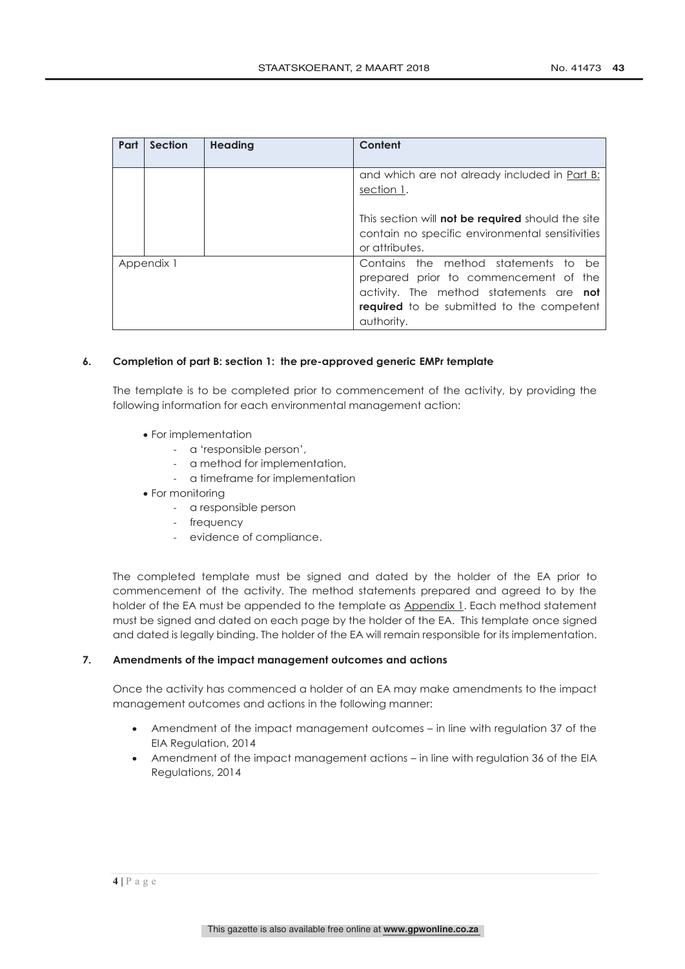| Part | <b>Section</b> | <b>Heading</b> | Content                                                                                                                                                                                    |
|------|----------------|----------------|--------------------------------------------------------------------------------------------------------------------------------------------------------------------------------------------|
|      |                |                | and which are not already included in Part B:<br>section 1.                                                                                                                                |
|      |                |                | This section will <b>not be required</b> should the site<br>contain no specific environmental sensitivities<br>or attributes.                                                              |
|      | Appendix 1     |                | Contains the method statements to be<br>prepared prior to commencement of the<br>activity. The method statements are not<br><b>required</b> to be submitted to the competent<br>authority. |

# **6. Completion of part B: section 1: the pre-approved generic EMPr template**

The template is to be completed prior to commencement of the activity, by providing the following information for each environmental management action:

- For implementation
	- a 'responsible person',
	- a method for implementation,
	- a timeframe for implementation
- For monitoring
	- a responsible person
	- frequency
	- evidence of compliance.

The completed template must be signed and dated by the holder of the EA prior to commencement of the activity. The method statements prepared and agreed to by the holder of the EA must be appended to the template as Appendix 1. Each method statement must be signed and dated on each page by the holder of the EA. This template once signed and dated is legally binding. The holder of the EA will remain responsible for its implementation.

# **7. Amendments of the impact management outcomes and actions**

Once the activity has commenced a holder of an EA may make amendments to the impact management outcomes and actions in the following manner:

- Amendment of the impact management outcomes in line with regulation 37 of the EIA Regulation, 2014
- Amendment of the impact management actions in line with regulation 36 of the EIA Regulations, 2014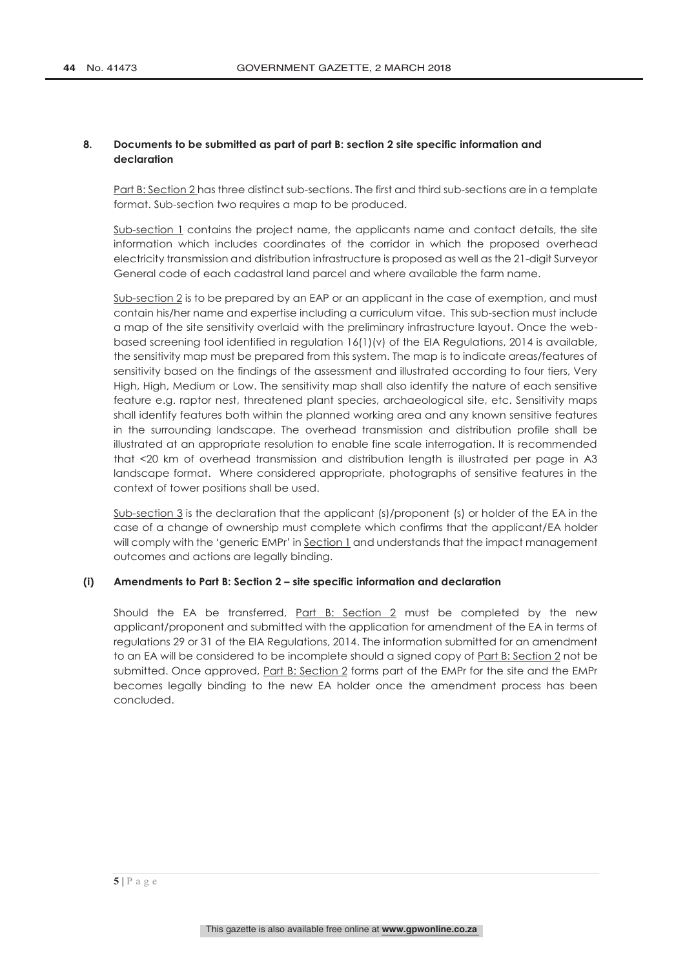# **8. Documents to be submitted as part of part B: section 2 site specific information and declaration**

Part B: Section 2 has three distinct sub-sections. The first and third sub-sections are in a template format. Sub-section two requires a map to be produced.

Sub-section 1 contains the project name, the applicants name and contact details, the site information which includes coordinates of the corridor in which the proposed overhead electricity transmission and distribution infrastructure is proposed as well as the 21-digit Surveyor General code of each cadastral land parcel and where available the farm name.

Sub-section 2 is to be prepared by an EAP or an applicant in the case of exemption, and must contain his/her name and expertise including a curriculum vitae. This sub-section must include a map of the site sensitivity overlaid with the preliminary infrastructure layout. Once the webbased screening tool identified in regulation 16(1)(v) of the EIA Regulations, 2014 is available, the sensitivity map must be prepared from this system. The map is to indicate areas/features of sensitivity based on the findings of the assessment and illustrated according to four tiers, Very High, High, Medium or Low. The sensitivity map shall also identify the nature of each sensitive feature e.g. raptor nest, threatened plant species, archaeological site, etc. Sensitivity maps shall identify features both within the planned working area and any known sensitive features in the surrounding landscape. The overhead transmission and distribution profile shall be illustrated at an appropriate resolution to enable fine scale interrogation. It is recommended that <20 km of overhead transmission and distribution length is illustrated per page in A3 landscape format. Where considered appropriate, photographs of sensitive features in the context of tower positions shall be used.

Sub-section 3 is the declaration that the applicant (s)/proponent (s) or holder of the EA in the case of a change of ownership must complete which confirms that the applicant/EA holder will comply with the 'generic EMPr' in Section 1 and understands that the impact management outcomes and actions are legally binding.

# **(i) Amendments to Part B: Section 2 – site specific information and declaration**

Should the EA be transferred, Part B: Section 2 must be completed by the new applicant/proponent and submitted with the application for amendment of the EA in terms of regulations 29 or 31 of the EIA Regulations, 2014. The information submitted for an amendment to an EA will be considered to be incomplete should a signed copy of Part B: Section 2 not be submitted. Once approved, Part B: Section 2 forms part of the EMPr for the site and the EMPr becomes legally binding to the new EA holder once the amendment process has been concluded.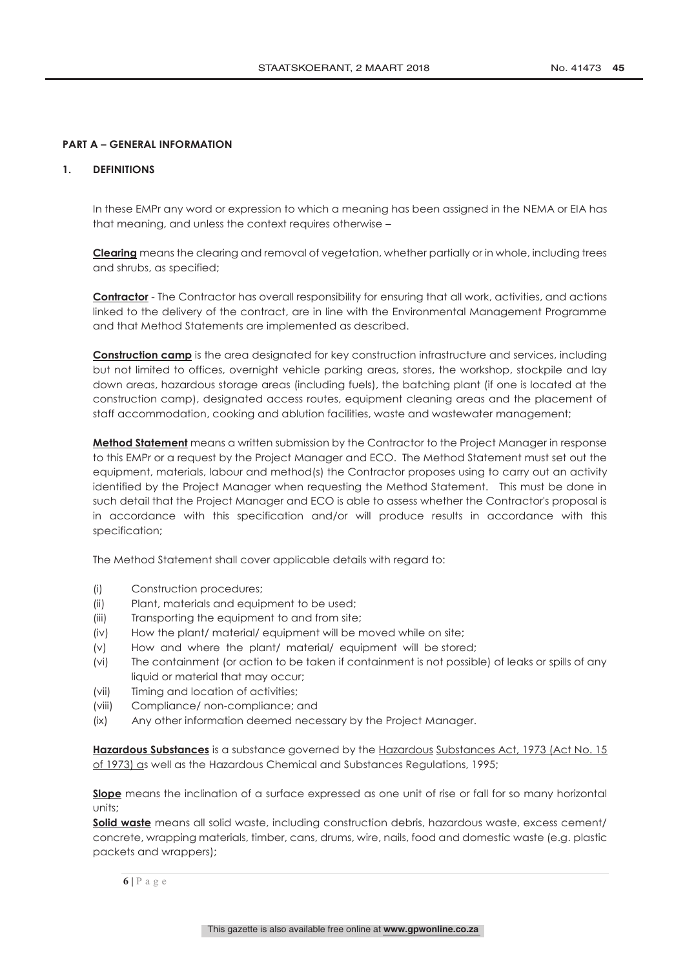# **PART A – GENERAL INFORMATION**

# **1. DEFINITIONS**

In these EMPr any word or expression to which a meaning has been assigned in the NEMA or EIA has that meaning, and unless the context requires otherwise –

**Clearing** means the clearing and removal of vegetation, whether partially or in whole, including trees and shrubs, as specified;

**Contractor** - The Contractor has overall responsibility for ensuring that all work, activities, and actions linked to the delivery of the contract, are in line with the Environmental Management Programme and that Method Statements are implemented as described.

**Construction camp** is the area designated for key construction infrastructure and services, including but not limited to offices, overnight vehicle parking areas, stores, the workshop, stockpile and lay down areas, hazardous storage areas (including fuels), the batching plant (if one is located at the construction camp), designated access routes, equipment cleaning areas and the placement of staff accommodation, cooking and ablution facilities, waste and wastewater management;

**Method Statement** means a written submission by the Contractor to the Project Manager in response to this EMPr or a request by the Project Manager and ECO. The Method Statement must set out the equipment, materials, labour and method(s) the Contractor proposes using to carry out an activity identified by the Project Manager when requesting the Method Statement. This must be done in such detail that the Project Manager and ECO is able to assess whether the Contractor's proposal is in accordance with this specification and/or will produce results in accordance with this specification;

The Method Statement shall cover applicable details with regard to:

- (i) Construction procedures;
- (ii) Plant, materials and equipment to be used;
- (iii) Transporting the equipment to and from site;
- (iv) How the plant/ material/ equipment will be moved while on site;
- (v) How and where the plant/ material/ equipment will be stored;
- (vi) The containment (or action to be taken if containment is not possible) of leaks or spills of any liquid or material that may occur;
- (vii) Timing and location of activities;
- (viii) Compliance/ non-compliance; and
- (ix) Any other information deemed necessary by the Project Manager.

**Hazardous Substances** is a substance governed by the Hazardous Substances Act, 1973 (Act No. 15 of 1973) as well as the Hazardous Chemical and Substances Regulations, 1995;

**Slope** means the inclination of a surface expressed as one unit of rise or fall for so many horizontal units;

**Solid waste** means all solid waste, including construction debris, hazardous waste, excess cement/ concrete, wrapping materials, timber, cans, drums, wire, nails, food and domestic waste (e.g. plastic packets and wrappers);

**6 |** Page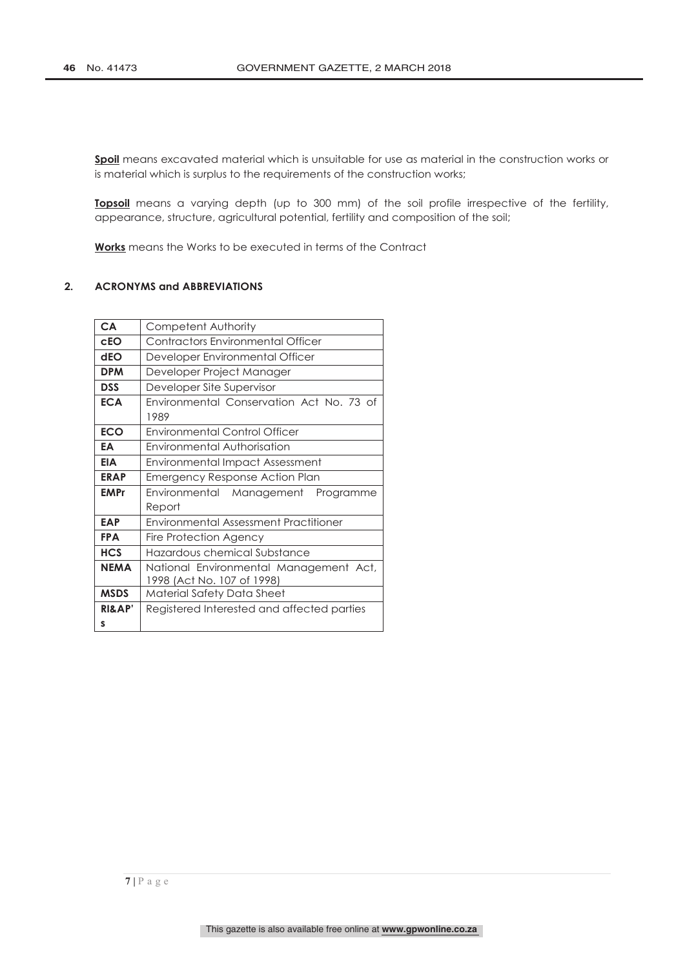Spoil means excavated material which is unsuitable for use as material in the construction works or is material which is surplus to the requirements of the construction works;

**Topsoil** means a varying depth (up to 300 mm) of the soil profile irrespective of the fertility, appearance, structure, agricultural potential, fertility and composition of the soil;

**Works** means the Works to be executed in terms of the Contract

# **2. ACRONYMS and ABBREVIATIONS**

| <b>CA</b>              | Competent Authority                                                  |
|------------------------|----------------------------------------------------------------------|
| cEO                    | Contractors Environmental Officer                                    |
| dEO                    | Developer Environmental Officer                                      |
| <b>DPM</b>             | Developer Project Manager                                            |
| <b>DSS</b>             | Developer Site Supervisor                                            |
| <b>ECA</b>             | Environmental Conservation Act No. 73 of<br>1989                     |
| <b>ECO</b>             | <b>Environmental Control Officer</b>                                 |
| EA                     | Environmental Authorisation                                          |
| <b>EIA</b>             | Environmental Impact Assessment                                      |
| <b>ERAP</b>            | Emergency Response Action Plan                                       |
| <b>EMPr</b>            | Environmental Management Programme<br>Report                         |
| <b>EAP</b>             | <b>Environmental Assessment Practitioner</b>                         |
| <b>FPA</b>             | Fire Protection Agency                                               |
| <b>HCS</b>             | Hazardous chemical Substance                                         |
| <b>NEMA</b>            | National Environmental Management Act,<br>1998 (Act No. 107 of 1998) |
| <b>MSDS</b>            | Material Safety Data Sheet                                           |
| <b>RI&amp;AP'</b><br>s | Registered Interested and affected parties                           |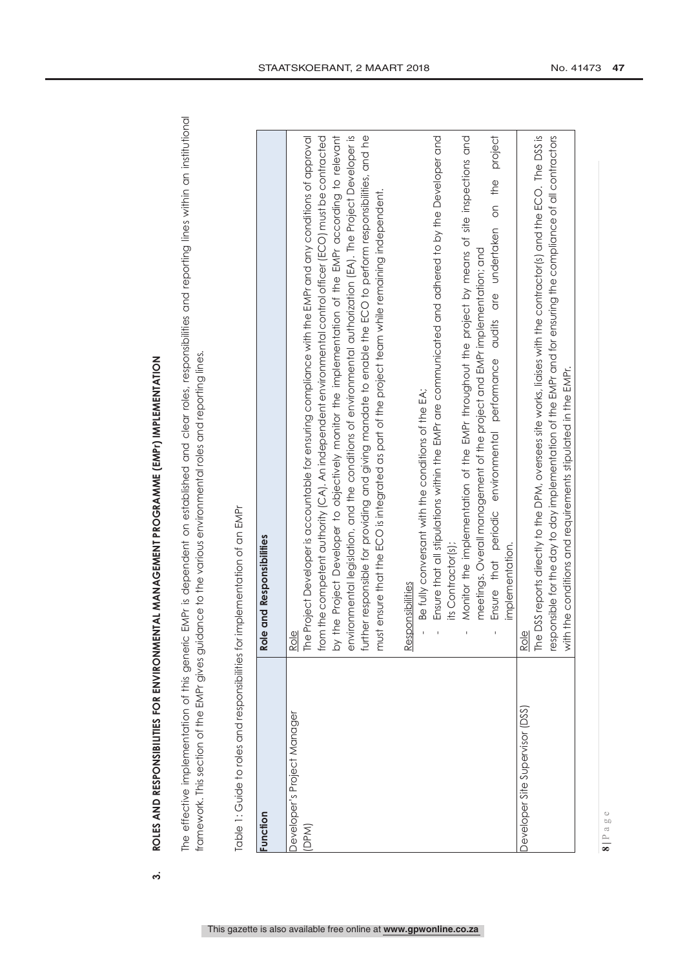ROLES AND RESPONSIBILITIES FOR ENVIRONMENTAL MANAGEMENT PROGRAMME (EMPr) IMPLEMENTATION **3. ROLES AND RESPONSIBILITIES FOR ENVIRONMENTAL MANAGEMENT PROGRAMME (EMPr) IMPLEMENTATION** 

 $\dot{\mathbf{c}}$ 

The effective implementation of this generic EMPr is dependent on established and clear roles, responsibilities and reporting lines within an institutional The effective implementation of this generic EMPr is dependent on established and clear roles, responsibilities and reporting lines within an institutional framework. This section of the EMPr gives guidance to the various environmental roles and reporting lines. framework. This section of the EMPr gives guidance to the various environmental roles and reporting lines.

| unction                             | Role and Responsibilities                                                                                                                                                                                                                                                                                                                                                                                                                                                                                                                                                                                                                                           |
|-------------------------------------|---------------------------------------------------------------------------------------------------------------------------------------------------------------------------------------------------------------------------------------------------------------------------------------------------------------------------------------------------------------------------------------------------------------------------------------------------------------------------------------------------------------------------------------------------------------------------------------------------------------------------------------------------------------------|
| Jeveloper's Project Manager<br>DPM) | by the Project Developer to objectively monitor the implementation of the EMPr according to relevant<br>environmental legislation, and the conditions of environmental authorization (EA). The Project Developer is<br>futther responsible for providing and giving mandate to enable the ECO to perform responsibilities, and he<br>rom the competent authority (CA). An independent environmental control officer (ECO) must be contracted<br>he Project Developer is accountable for ensuring compliance with the EMPr and any conditions of approval<br>must ensure that the ECO is integrated as part of the project team while remaining independent.<br>Role |
|                                     | project<br>Ensure that all stipulations within the EMPr are communicated and adhered to by the Developer and<br>Monitor the implementation of the EMPr throughout the project by means of site inspections and<br>Ensure that periodic environmental performance and the undertaken on the<br>meetings. Overall management of the project and EMPr implementation; and<br>Be fully conversant with the conditions of the EA;<br>its Contractor(s);<br>implementation.<br>esponsibilities<br>Œ,                                                                                                                                                                      |
| Developer Site Supervisor (DSS)     | The DSS reports directly to the DPM, oversees site works, liaises with the contractor(s) and the ECO. The DSS is<br>responsible for the day to day implementation of the EMPr and for ensuring the compliance of all contractors<br>with the conditions and requirements stipulated in the EMPr.<br>$ROl\oplus$                                                                                                                                                                                                                                                                                                                                                     |

Table 1: Guide to roles and responsibilities for implementation of an EMPr Table 1: Guide to roles and responsibilities for implementation of an EMPr

**8 |** Page

This gazette is also available free online at **www.gpwonline.co.za**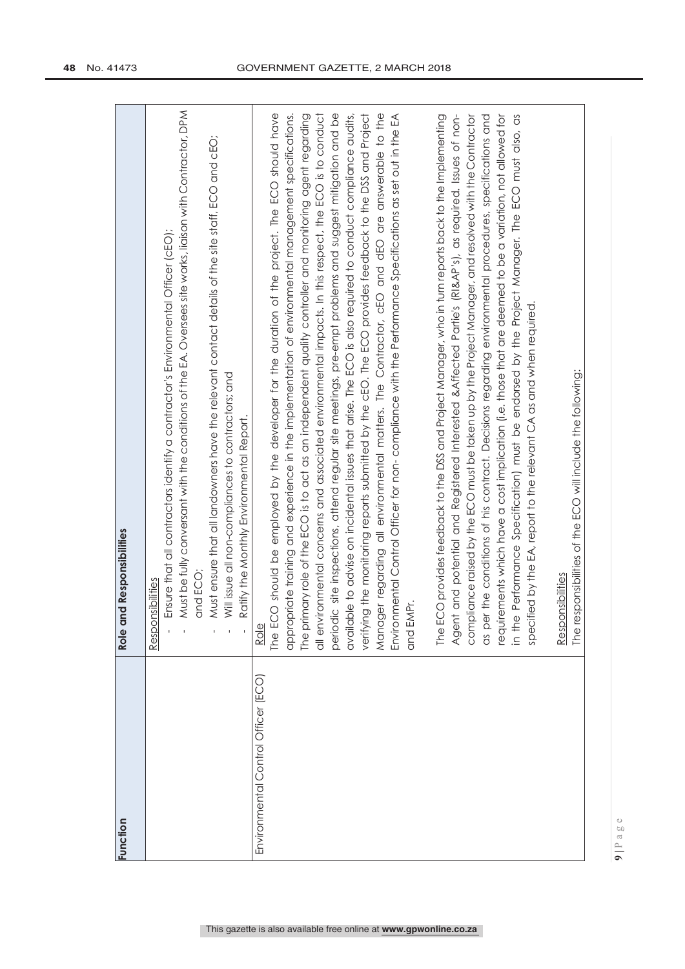| Function                            | Role and Responsibilities                                                                                                                                                                                                                                                                                                                                                                                                                                                                                                                                                                                                                                                                                                                                                                                                                                                                                                                                                                                    |
|-------------------------------------|--------------------------------------------------------------------------------------------------------------------------------------------------------------------------------------------------------------------------------------------------------------------------------------------------------------------------------------------------------------------------------------------------------------------------------------------------------------------------------------------------------------------------------------------------------------------------------------------------------------------------------------------------------------------------------------------------------------------------------------------------------------------------------------------------------------------------------------------------------------------------------------------------------------------------------------------------------------------------------------------------------------|
|                                     | Must be fully conversant with the conditions of the EA. Oversees site works, liaison with Contractor, DPM<br>Must ensure that all landowners have the relevant contact details of the site staff, ECO and cEO;<br>Ensure that all contractors identify a contractor's Environmental Officer (cEO);<br>Will issue all non-compliances to contractors; and<br>Ratify the Monthly Environmental Report.<br>and ECO;<br>Responsibilities                                                                                                                                                                                                                                                                                                                                                                                                                                                                                                                                                                         |
| Environmental Control Officer (ECO) | The ECO should be employed by the developer for the duration of the project. The ECO should have<br>The primary role of the ECO is to act as an independent quality controller and monitoring agent regarding<br>all environmental concerns and associated environmental impacts. In this respect, the ECO is to conduct<br>periodic site inspections, attend regular site meetings, pre-empt problems and suggest mitigation and be<br>verifying the monitoring reports submitted by the cEO. The ECO provides feedback to the DSS and Project<br>Manager regarding all environmental matters. The Contractor, cEO and dEO are answerable to the<br>Environmental Control Officer for non- compliance with the Performance Specifications as set out in the EA<br>appropriate training and experience in the implementation of environmental management specifications.<br>available to advise on incidental issues that arise. The ECO is also required to conduct compliance audits,<br>and EMPr.<br>Role |
|                                     | in the Performance Specification) must be endorsed by the Project Manager. The ECO must also, as<br>The ECO provides feedback to the DSS and Project Manager, who in turn reports back to the Implementing<br>compliance raised by the ECO must be taken up by the Project Manager, and resolved with the Contractor<br>as per the conditions of his contract. Decisions regarding environmental procedures, specifications and<br>requirements which have a cost implication (i.e. those that are deemed to be a variation, not allowed for<br>Agent and potential and Registered Interested & Affected Partie's (RI&AP's), as required. Issues of non-<br>specified by the EA, report to the relevant CA as and when required.<br>The responsibilities of the ECO will include the following:<br>Responsibilities                                                                                                                                                                                          |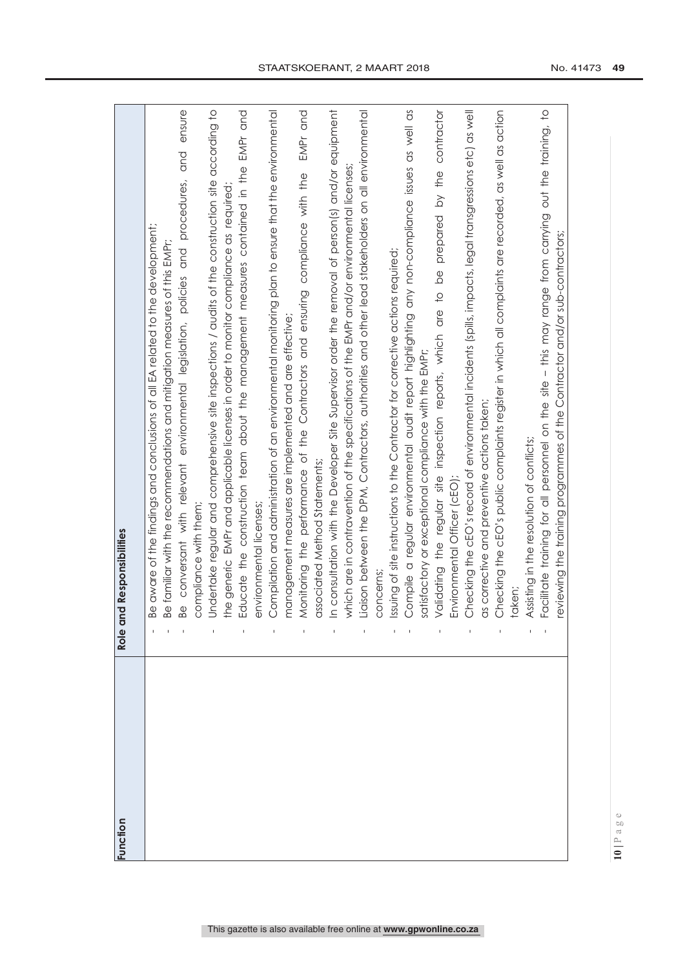| unction | Role and Responsibilities                                                                                 |
|---------|-----------------------------------------------------------------------------------------------------------|
|         |                                                                                                           |
|         | Be aware of the findings and conclusions of all EA related to the development;                            |
|         | Be familiar with the recommendations and mitigation measures of this EMPr;                                |
|         | ensure<br>procedures, and<br>Be conversant with relevant environmental legislation, policies and          |
|         | compliance with them;                                                                                     |
|         | Undertake regular and comprehensive site inspections / audits of the construction site according to       |
|         | the generic EMPr and applicable licenses in order to monitor compliance as required                       |
|         | EMPr and<br>Educate the construction team about the management measures contained in the                  |
|         | environmental licenses;                                                                                   |
|         | Compilation and administration of an environmental monitoring plan to ensure that the environmental       |
|         | management measures are implemented and are effective;                                                    |
|         | EMPr and<br>Monitoring the performance of the Contractors and ensuring compliance with the                |
|         | associated Method Statements;                                                                             |
|         | In consultation with the Developer Site Supervisor order the removal of person(s) and/or equipment        |
|         | which are in contravention of the specifications of the EMPr and/or environmental licenses:               |
|         | Liaison between the DPM, Contractors, authorities and other lead stakeholders on all environmental        |
|         | concerns                                                                                                  |
|         | issuing of site instructions to the Contractor for corrective actions required;                           |
|         | Compile a regular environmental audit report highlighting any non-compliance issues as well as            |
|         | satisfactory or exceptional compliance with the EMPr;                                                     |
|         | contractor<br>by the<br>prepared<br>Validating the regular site inspection reports, which are to be       |
|         | Environmental Officer (cEO);                                                                              |
|         | Checking the cEO's record of environmental incidents (spills, impacts, legal transgressions etc.) as well |
|         | as corrective and preventive actions taken;                                                               |
|         | Checking the cEO's public complaints register in which all complaints are recorded, as well as action     |
|         | taken;                                                                                                    |
|         | Assisting in the resolution of conflicts;                                                                 |
|         | Facilitate training for all personnel on the site - this may range from carrying out the training, to     |
|         | reviewing the training programmes of the Contractor and/or sub-contractors;                               |

STAATSKOERANT, 2 MAART 2018 No. 41473 49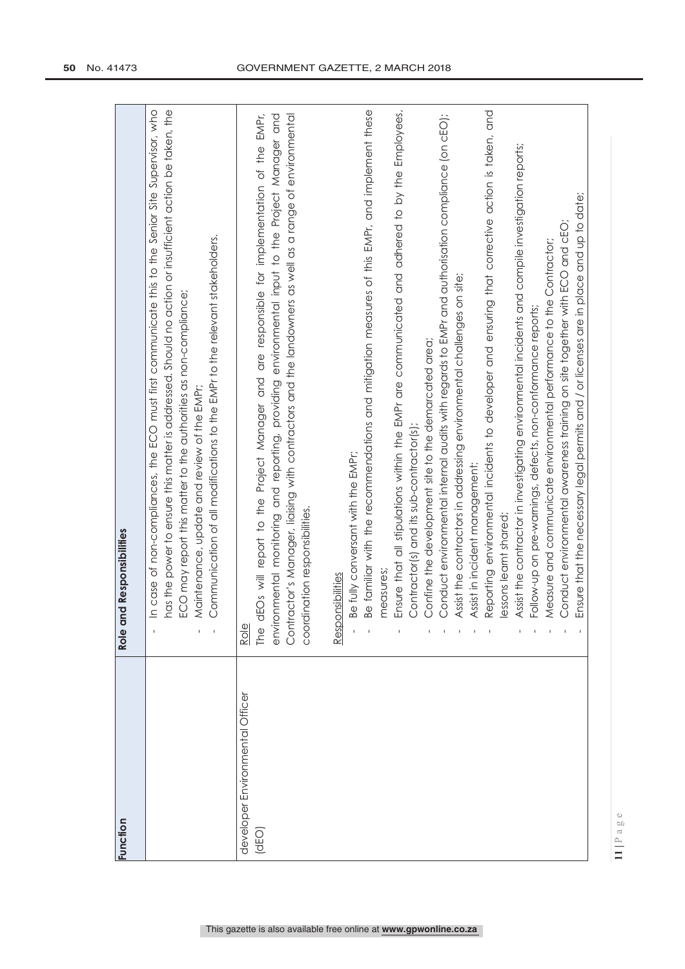| unction                                  | Role and Responsibilities                                                                                                                                                                                                                                                                                                                                                                                        |
|------------------------------------------|------------------------------------------------------------------------------------------------------------------------------------------------------------------------------------------------------------------------------------------------------------------------------------------------------------------------------------------------------------------------------------------------------------------|
|                                          | In case of non-compliances, the ECO must first communicate this to the Senior Site Supervisor, who<br>has the power to ensure this matter is addressed. Should no action or insufficient action be taken, the<br>Communication of all modifications to the EMPr to the relevant stakeholders.<br>ECO may report this matter to the authorities as non-compliance;<br>Maintenance, update and review of the EMPr; |
| developer Environmental Officer<br>(dEO) | dEOs will report to the Project Manager and are responsible for implementation of the EMPr,<br>environmental monitoring and reporting, providing environmental input to the Project Manager and<br>Contractor's Manager, liaising with contractors and the landowners as well as a range of environmental<br>dination responsibilities.<br>Role<br>COO<br>The                                                    |
|                                          | Be fully conversant with the EMPr;<br>Responsibilities                                                                                                                                                                                                                                                                                                                                                           |
|                                          | Be familiar with the recommendations and mitigation measures of this EMPr, and implement these<br>measures                                                                                                                                                                                                                                                                                                       |
|                                          | Ensure that all stipulations within the EMPr are communicated and a dhered to by the Employees,<br>Contractor(s) and its sub-contractor(s);                                                                                                                                                                                                                                                                      |
|                                          | Conduct environmental internal audits with regards to EMPr and authorisation compliance (on cEO);<br>Confine the development site to the demarcated area;                                                                                                                                                                                                                                                        |
|                                          | Assist the contractors in addressing environmental challenges on site;                                                                                                                                                                                                                                                                                                                                           |
|                                          | Assist in incident management:                                                                                                                                                                                                                                                                                                                                                                                   |
|                                          | Reporting environmental incidents to developer and ensuring that corrective action is taken, and<br>lessons learnt shared;                                                                                                                                                                                                                                                                                       |
|                                          | Assist the contractor in investigating environmental incidents and compile investigation reports;                                                                                                                                                                                                                                                                                                                |
|                                          | Follow-up on pre-warnings, defects, non-conformance reports;                                                                                                                                                                                                                                                                                                                                                     |
|                                          | Measure and communicate environmental performance to the Contractor;                                                                                                                                                                                                                                                                                                                                             |
|                                          | Conduct environmental awareness training on site together with ECO and cEO.                                                                                                                                                                                                                                                                                                                                      |
|                                          | Ensure that the necessary legal permits and / or licenses are in place and up to date;                                                                                                                                                                                                                                                                                                                           |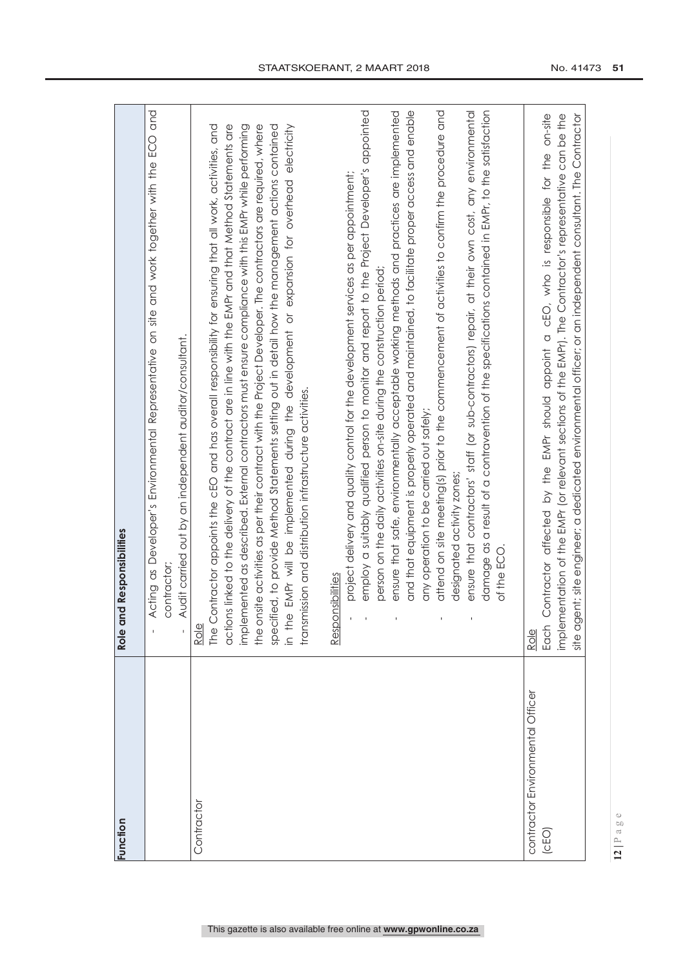| Function                         | Role and Responsibilities                                                                                                 |
|----------------------------------|---------------------------------------------------------------------------------------------------------------------------|
|                                  |                                                                                                                           |
|                                  | Acting as Developer's Environmental Representative on site and work together with the ECO and<br>$\overline{\phantom{a}}$ |
|                                  | contractor;                                                                                                               |
|                                  | Audit carried out by an independent auditor/consultant.                                                                   |
| Contractor                       | Role                                                                                                                      |
|                                  | The Contractor appoints the cEO and has overall responsibility for ensuring that all work, activities, and                |
|                                  | actions linked to the delivery of the contract are in line with the EMPr and that Method Statements are                   |
|                                  | implemented as described. External contractors must ensure compliance with this EMPr while performing                     |
|                                  | the onsite activities as per their contract with the Project Developer. The contractors are required, where               |
|                                  | specified, to provide Method Statements setting out in detail how the management actions contained                        |
|                                  | in the EMPr will be implemented during the development or expansion for overhead electricity                              |
|                                  | transmission and distribution infrastructure activities.                                                                  |
|                                  | Responsibilities                                                                                                          |
|                                  | project delivery and quality control for the development services as per appointment;                                     |
|                                  | employ a suitably qualified person to monitor and report to the Project Developer's appointed                             |
|                                  | person on the daily activities on-site during the construction period;                                                    |
|                                  | ensure that safe, environmentally acceptable working methods and practices are implemented                                |
|                                  | and that equipment is properly operated and maintained, to facilitate proper access and enable                            |
|                                  | any operation to be carried out safely;                                                                                   |
|                                  | attend on site meeting(s) prior to the commencement of activities to confirm the procedure and                            |
|                                  | designated activity zones;                                                                                                |
|                                  | ensure that contractors' staff (or sub-contractors) repair, at their own cost, any environmental                          |
|                                  | damage as a result of a contravention of the specifications contained in EMPr, to the satisfaction                        |
|                                  | of the ECO.                                                                                                               |
| contractor Environmental Officer | Role                                                                                                                      |
| (CEO)                            | Contractor affected by the EMPr should appoint a cEO, who is responsible for the on-site<br>Each                          |
|                                  | implementation of the EMPr (or relevant sections of the EMPr). The Contractor's representative can be the                 |
|                                  | site agent; site engineer; a dedicated environmental officer; or an independent consultant. The Contractor                |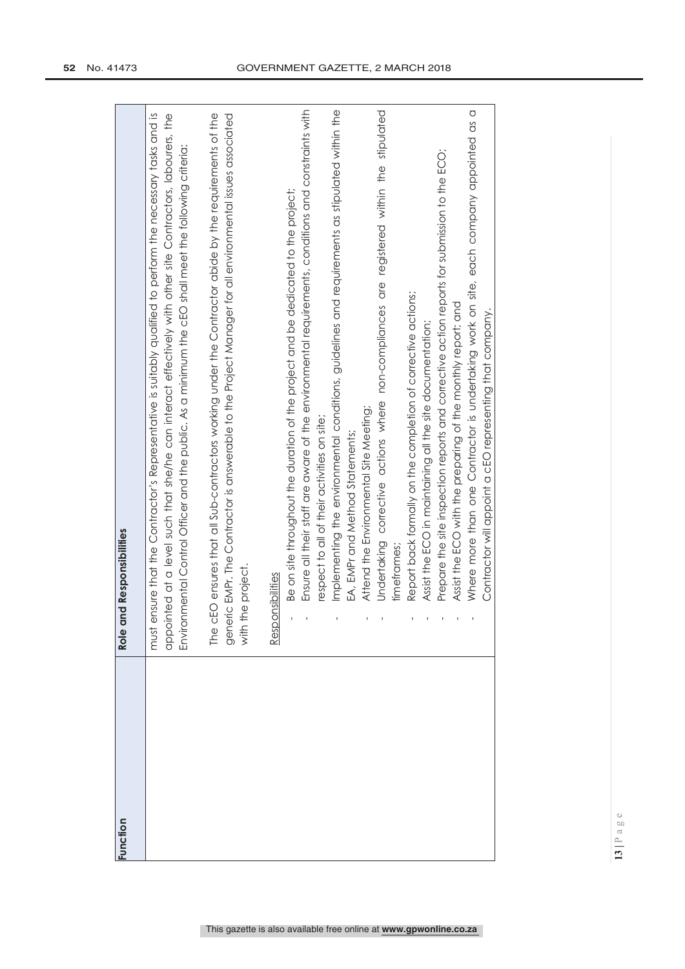| Function | Role and Responsibilities                                                                                                                                                                                                                                                                                                           |
|----------|-------------------------------------------------------------------------------------------------------------------------------------------------------------------------------------------------------------------------------------------------------------------------------------------------------------------------------------|
|          | must ensure that the Contractor's Representative is suitably qualified to perform the necessary tasks and is<br>appointed at a level such that she/he can interact effectively with other site Contractors, labourers, the<br>Environmental Control Officer and the public. As a minimum the cEO shall meet the following criteria: |
|          | The cEO ensures that all Sub-contractors working under the Contractor abide by the requirements of the<br>generic EMPr. The Contractor is answerable to the Project Manager for all environmental issues associated<br>with the project.                                                                                            |
|          | Responsibilities                                                                                                                                                                                                                                                                                                                    |
|          | Ensure all their staff are aware of the environmental requirements, conditions and constraints with<br>Be on site throughout the duration of the project and be dedicated to the project;                                                                                                                                           |
|          | respect to all of their activities on site;                                                                                                                                                                                                                                                                                         |
|          | Implementing the environmental conditions, guidelines and requirements as stipulated within the                                                                                                                                                                                                                                     |
|          | EA, EMPr and Method Statements;                                                                                                                                                                                                                                                                                                     |
|          | Attend the Environmental Site Meeting;                                                                                                                                                                                                                                                                                              |
|          | Undertaking corrective actions where non-compliances are registered within the stipulated                                                                                                                                                                                                                                           |
|          | timetrames;                                                                                                                                                                                                                                                                                                                         |
|          | Report back formally on the completion of corrective actions;                                                                                                                                                                                                                                                                       |
|          | Assist the ECO in maintaining all the site documentation;                                                                                                                                                                                                                                                                           |
|          | Prepare the site inspection reports and corrective action reports for submission to the ECO;                                                                                                                                                                                                                                        |
|          | Assist the ECO with the preparing of the monthly report; and                                                                                                                                                                                                                                                                        |
|          | Where more than one Contractor is undertaking work on site, each company appointed as a                                                                                                                                                                                                                                             |
|          | Contractor will appoint a cEO representing that company.                                                                                                                                                                                                                                                                            |
|          |                                                                                                                                                                                                                                                                                                                                     |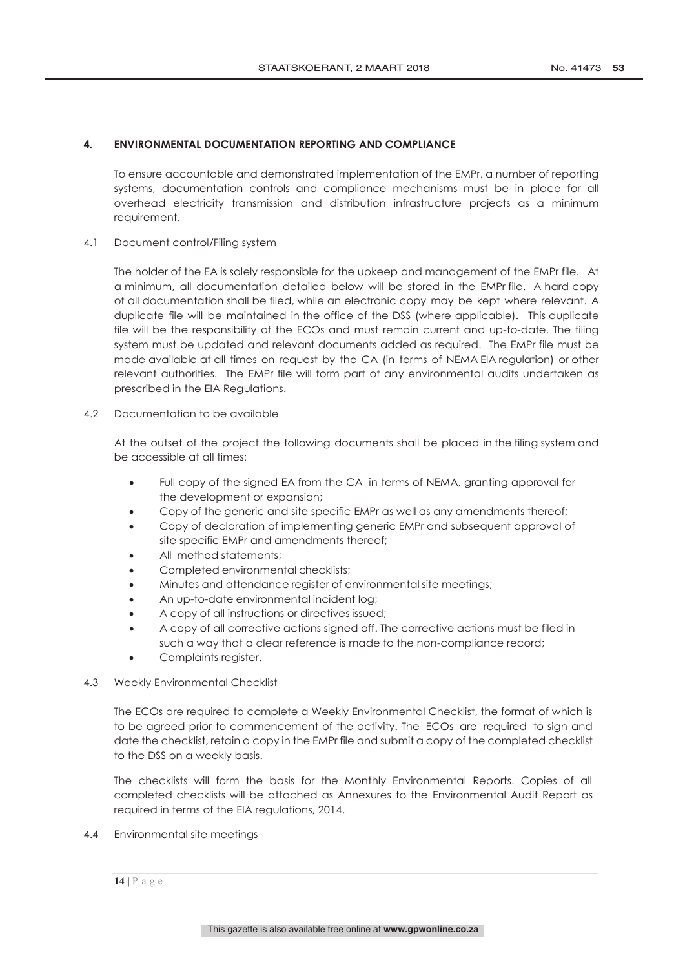# **4. ENVIRONMENTAL DOCUMENTATION REPORTING AND COMPLIANCE**

To ensure accountable and demonstrated implementation of the EMPr, a number of reporting systems, documentation controls and compliance mechanisms must be in place for all overhead electricity transmission and distribution infrastructure projects as a minimum requirement.

4.1 Document control/Filing system

The holder of the EA is solely responsible for the upkeep and management of the EMPr file. At a minimum, all documentation detailed below will be stored in the EMPr file. A hard copy of all documentation shall be filed, while an electronic copy may be kept where relevant. A duplicate file will be maintained in the office of the DSS (where applicable). This duplicate file will be the responsibility of the ECOs and must remain current and up-to-date. The filing system must be updated and relevant documents added as required. The EMPr file must be made available at all times on request by the CA (in terms of NEMA EIA regulation) or other relevant authorities. The EMPr file will form part of any environmental audits undertaken as prescribed in the EIA Regulations.

4.2 Documentation to be available

At the outset of the project the following documents shall be placed in the filing system and be accessible at all times:

- Full copy of the signed EA from the CA in terms of NEMA, granting approval for the development or expansion;
- Copy of the generic and site specific EMPr as well as any amendments thereof;
- Copy of declaration of implementing generic EMPr and subsequent approval of site specific EMPr and amendments thereof;
- All method statements;
- Completed environmental checklists;
- Minutes and attendance register of environmental site meetings;
- An up-to-date environmental incident log;
- A copy of all instructions or directives issued;
- A copy of all corrective actions signed off. The corrective actions must be filed in such a way that a clear reference is made to the non-compliance record;
- Complaints register.
- 4.3 Weekly Environmental Checklist

The ECOs are required to complete a Weekly Environmental Checklist, the format of which is to be agreed prior to commencement of the activity. The ECOs are required to sign and date the checklist, retain a copy in the EMPr file and submit a copy of the completed checklist to the DSS on a weekly basis.

The checklists will form the basis for the Monthly Environmental Reports. Copies of all completed checklists will be attached as Annexures to the Environmental Audit Report as required in terms of the EIA regulations, 2014.

- 4.4 Environmental site meetings
	- **14 |** Page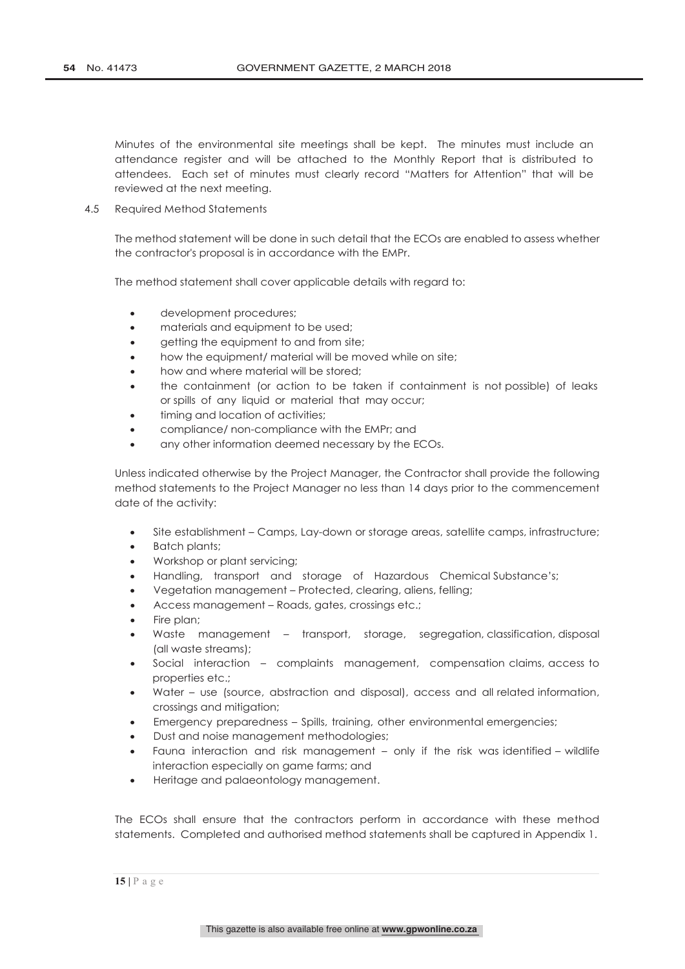Minutes of the environmental site meetings shall be kept. The minutes must include an attendance register and will be attached to the Monthly Report that is distributed to attendees. Each set of minutes must clearly record "Matters for Attention" that will be reviewed at the next meeting.

4.5 Required Method Statements

The method statement will be done in such detail that the ECOs are enabled to assess whether the contractor's proposal is in accordance with the EMPr.

The method statement shall cover applicable details with regard to:

- development procedures;
- materials and equipment to be used;
- getting the equipment to and from site;
- how the equipment/ material will be moved while on site;
- how and where material will be stored;
- the containment (or action to be taken if containment is not possible) of leaks or spills of any liquid or material that may occur;
- timing and location of activities;
- compliance/ non-compliance with the EMPr; and
- any other information deemed necessary by the ECOs.

Unless indicated otherwise by the Project Manager, the Contractor shall provide the following method statements to the Project Manager no less than 14 days prior to the commencement date of the activity:

- Site establishment Camps, Lay-down or storage areas, satellite camps, infrastructure;
- Batch plants;
- Workshop or plant servicing;
- Handling, transport and storage of Hazardous Chemical Substance's;
- Vegetation management Protected, clearing, aliens, felling;
- Access management Roads, gates, crossings etc.;
- Fire plan;
- Waste management transport, storage, segregation, classification, disposal (all waste streams);
- Social interaction complaints management, compensation claims, access to properties etc.;
- Water use (source, abstraction and disposal), access and all related information, crossings and mitigation;
- Emergency preparedness Spills, training, other environmental emergencies;
- Dust and noise management methodologies;
- Fauna interaction and risk management only if the risk was identified wildlife interaction especially on game farms; and
- Heritage and palaeontology management.

The ECOs shall ensure that the contractors perform in accordance with these method statements. Completed and authorised method statements shall be captured in Appendix 1.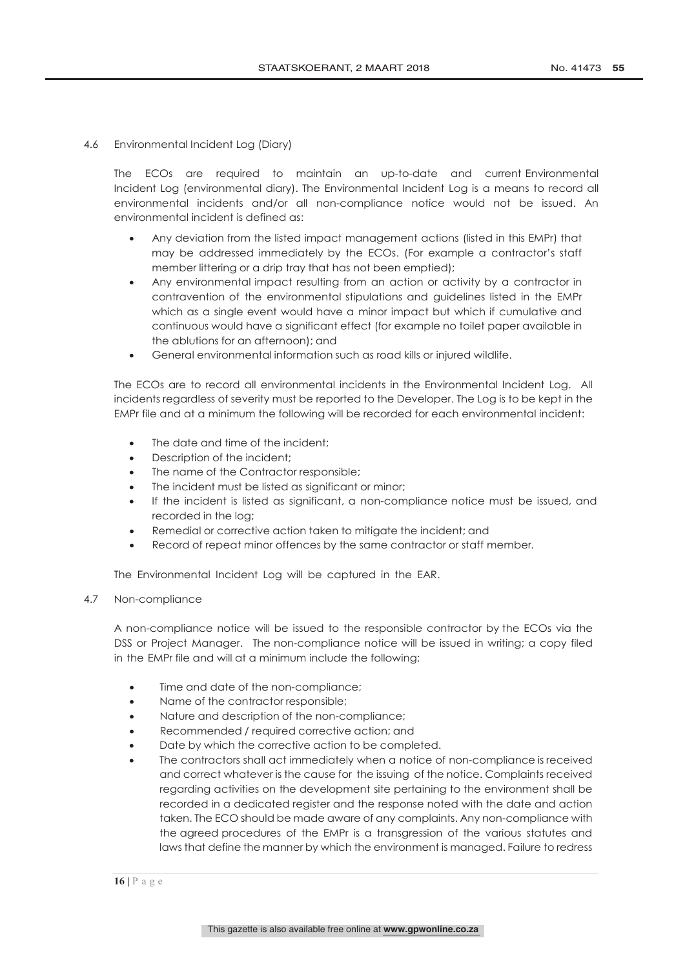4.6 Environmental Incident Log (Diary)

The ECOs are required to maintain an up-to-date and current Environmental Incident Log (environmental diary). The Environmental Incident Log is a means to record all environmental incidents and/or all non-compliance notice would not be issued. An environmental incident is defined as:

- Any deviation from the listed impact management actions (listed in this EMPr) that may be addressed immediately by the ECOs. (For example a contractor's staff member littering or a drip tray that has not been emptied);
- Any environmental impact resulting from an action or activity by a contractor in contravention of the environmental stipulations and guidelines listed in the EMPr which as a single event would have a minor impact but which if cumulative and continuous would have a significant effect (for example no toilet paper available in the ablutions for an afternoon); and
- General environmental information such as road kills or injured wildlife.

The ECOs are to record all environmental incidents in the Environmental Incident Log. All incidents regardless of severity must be reported to the Developer. The Log is to be kept in the EMPr file and at a minimum the following will be recorded for each environmental incident:

- The date and time of the incident;
- Description of the incident;
- The name of the Contractor responsible;
- The incident must be listed as significant or minor;
- If the incident is listed as significant, a non-compliance notice must be issued, and recorded in the log;
- Remedial or corrective action taken to mitigate the incident; and
- Record of repeat minor offences by the same contractor or staff member.

The Environmental Incident Log will be captured in the EAR.

# 4.7 Non-compliance

A non-compliance notice will be issued to the responsible contractor by the ECOs via the DSS or Project Manager. The non-compliance notice will be issued in writing; a copy filed in the EMPr file and will at a minimum include the following:

- Time and date of the non-compliance;
- Name of the contractor responsible;
- Nature and description of the non-compliance;
- Recommended / required corrective action; and
- Date by which the corrective action to be completed.
- The contractors shall act immediately when a notice of non-compliance is received and correct whatever is the cause for the issuing of the notice. Complaints received regarding activities on the development site pertaining to the environment shall be recorded in a dedicated register and the response noted with the date and action taken. The ECO should be made aware of any complaints. Any non-compliance with the agreed procedures of the EMPr is a transgression of the various statutes and laws that define the manner by which the environment is managed. Failure to redress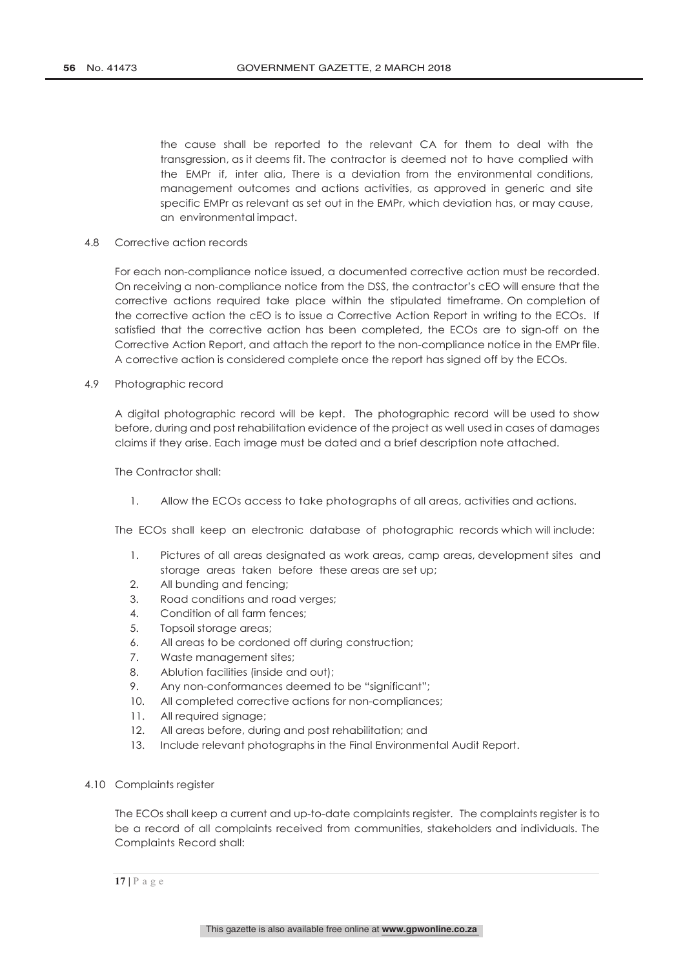the cause shall be reported to the relevant CA for them to deal with the transgression, as it deems fit. The contractor is deemed not to have complied with the EMPr if, inter alia, There is a deviation from the environmental conditions, management outcomes and actions activities, as approved in generic and site specific EMPr as relevant as set out in the EMPr, which deviation has, or may cause, an environmental impact.

# 4.8 Corrective action records

For each non-compliance notice issued, a documented corrective action must be recorded. On receiving a non-compliance notice from the DSS, the contractor's cEO will ensure that the corrective actions required take place within the stipulated timeframe. On completion of the corrective action the cEO is to issue a Corrective Action Report in writing to the ECOs. If satisfied that the corrective action has been completed, the ECOs are to sign-off on the Corrective Action Report, and attach the report to the non-compliance notice in the EMPr file. A corrective action is considered complete once the report has signed off by the ECOs.

# 4.9 Photographic record

A digital photographic record will be kept. The photographic record will be used to show before, during and post rehabilitation evidence of the project as well used in cases of damages claims if they arise. Each image must be dated and a brief description note attached.

The Contractor shall:

1. Allow the ECOs access to take photographs of all areas, activities and actions.

The ECOs shall keep an electronic database of photographic records which will include:

- 1. Pictures of all areas designated as work areas, camp areas, development sites and storage areas taken before these areas are set up;
- 2. All bunding and fencing;
- 3. Road conditions and road verges;
- 4. Condition of all farm fences;
- 5. Topsoil storage areas;
- 6. All areas to be cordoned off during construction;
- 7. Waste management sites;
- 8. Ablution facilities (inside and out);
- 9. Any non-conformances deemed to be "significant";
- 10. All completed corrective actions for non-compliances;
- 11. All required signage;
- 12. All areas before, during and post rehabilitation; and
- 13. Include relevant photographs in the Final Environmental Audit Report.
- 4.10 Complaints register

The ECOs shall keep a current and up-to-date complaints register. The complaints register is to be a record of all complaints received from communities, stakeholders and individuals. The Complaints Record shall: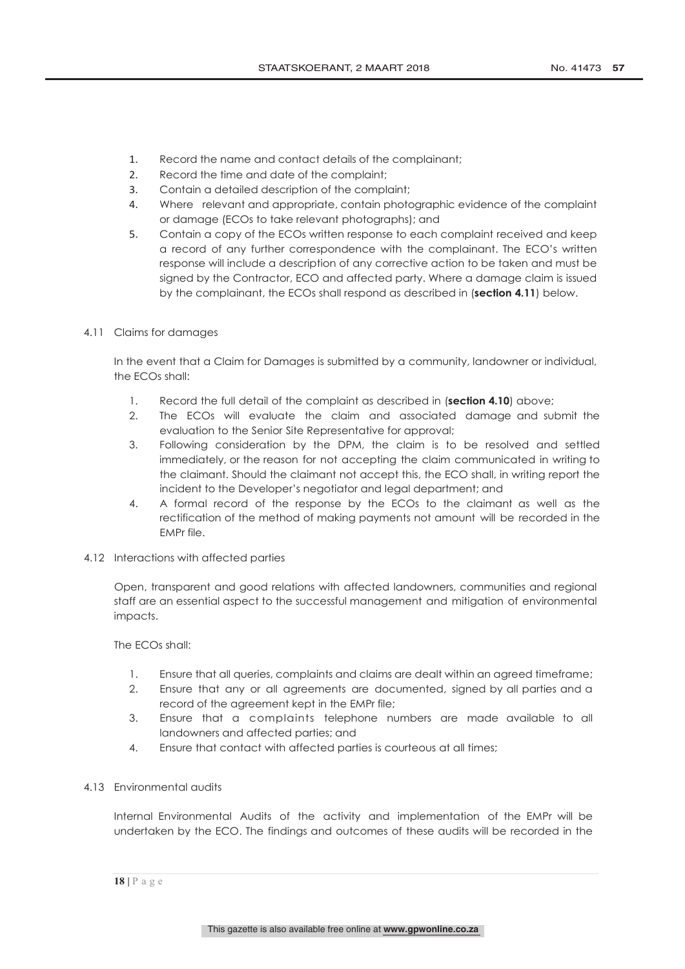- 1. Record the name and contact details of the complainant;
- 2. Record the time and date of the complaint;
- 3. Contain a detailed description of the complaint;
- 4. Where relevant and appropriate, contain photographic evidence of the complaint or damage (ECOs to take relevant photographs); and
- 5. Contain a copy of the ECOs written response to each complaint received and keep a record of any further correspondence with the complainant. The ECO's written response will include a description of any corrective action to be taken and must be signed by the Contractor, ECO and affected party. Where a damage claim is issued by the complainant, the ECOs shall respond as described in (**section 4.11**) below.
- 4.11 Claims for damages

In the event that a Claim for Damages is submitted by a community, landowner or individual, the ECOs shall:

- 1. Record the full detail of the complaint as described in (**section 4.10**) above;
- 2. The ECOs will evaluate the claim and associated damage and submit the evaluation to the Senior Site Representative for approval;
- 3. Following consideration by the DPM, the claim is to be resolved and settled immediately, or the reason for not accepting the claim communicated in writing to the claimant. Should the claimant not accept this, the ECO shall, in writing report the incident to the Developer's negotiator and legal department; and
- 4. A formal record of the response by the ECOs to the claimant as well as the rectification of the method of making payments not amount will be recorded in the EMPr file.
- 4.12 Interactions with affected parties

Open, transparent and good relations with affected landowners, communities and regional staff are an essential aspect to the successful management and mitigation of environmental impacts.

The ECOs shall:

- 1. Ensure that all queries, complaints and claims are dealt within an agreed timeframe;
- 2. Ensure that any or all agreements are documented, signed by all parties and a record of the agreement kept in the EMPr file;
- 3. Ensure that a complaints telephone numbers are made available to all landowners and affected parties; and
- 4. Ensure that contact with affected parties is courteous at all times;
- 4.13 Environmental audits

Internal Environmental Audits of the activity and implementation of the EMPr will be undertaken by the ECO. The findings and outcomes of these audits will be recorded in the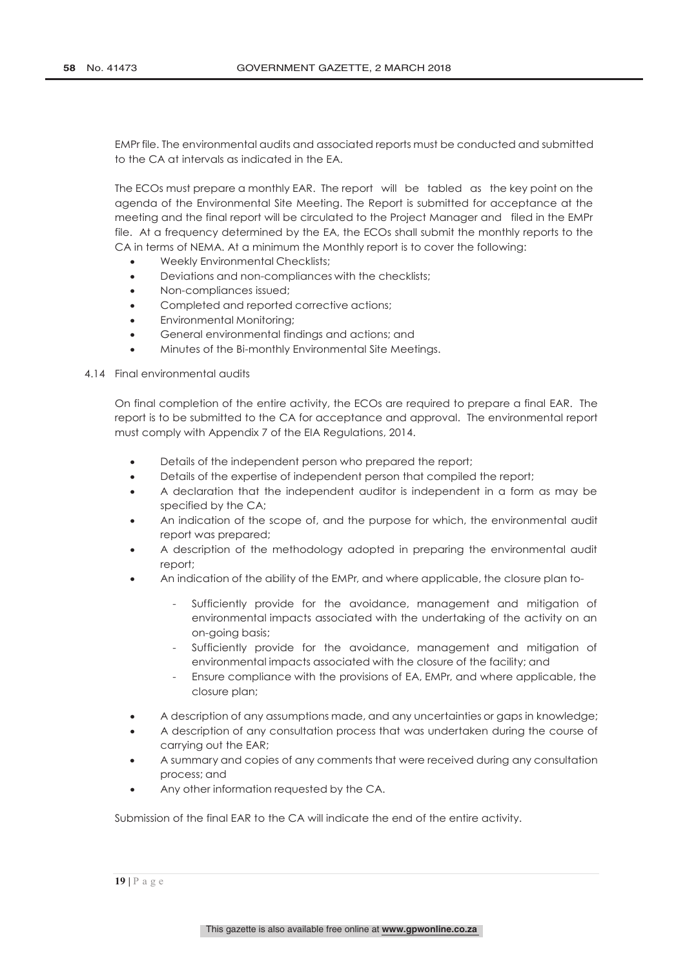EMPr file. The environmental audits and associated reports must be conducted and submitted to the CA at intervals as indicated in the EA.

The ECOs must prepare a monthly EAR. The report will be tabled as the key point on the agenda of the Environmental Site Meeting. The Report is submitted for acceptance at the meeting and the final report will be circulated to the Project Manager and filed in the EMPr file. At a frequency determined by the EA, the ECOs shall submit the monthly reports to the CA in terms of NEMA. At a minimum the Monthly report is to cover the following:

- Weekly Environmental Checklists;
- Deviations and non-compliances with the checklists;
- Non-compliances issued;
- Completed and reported corrective actions;
- Environmental Monitoring;
- General environmental findings and actions; and
- Minutes of the Bi-monthly Environmental Site Meetings.

### 4.14 Final environmental audits

On final completion of the entire activity, the ECOs are required to prepare a final EAR. The report is to be submitted to the CA for acceptance and approval. The environmental report must comply with Appendix 7 of the EIA Regulations, 2014.

- Details of the independent person who prepared the report;
- Details of the expertise of independent person that compiled the report;
- A declaration that the independent auditor is independent in a form as may be specified by the CA;
- An indication of the scope of, and the purpose for which, the environmental audit report was prepared;
- A description of the methodology adopted in preparing the environmental audit report;
- An indication of the ability of the EMPr, and where applicable, the closure plan to-
	- Sufficiently provide for the avoidance, management and mitigation of environmental impacts associated with the undertaking of the activity on an on-going basis;
	- Sufficiently provide for the avoidance, management and mitigation of environmental impacts associated with the closure of the facility; and
	- Ensure compliance with the provisions of EA, EMPr, and where applicable, the closure plan;
- A description of any assumptions made, and any uncertainties or gaps in knowledge;
- A description of any consultation process that was undertaken during the course of carrying out the EAR;
- A summary and copies of any comments that were received during any consultation process; and
- Any other information requested by the CA.

Submission of the final EAR to the CA will indicate the end of the entire activity.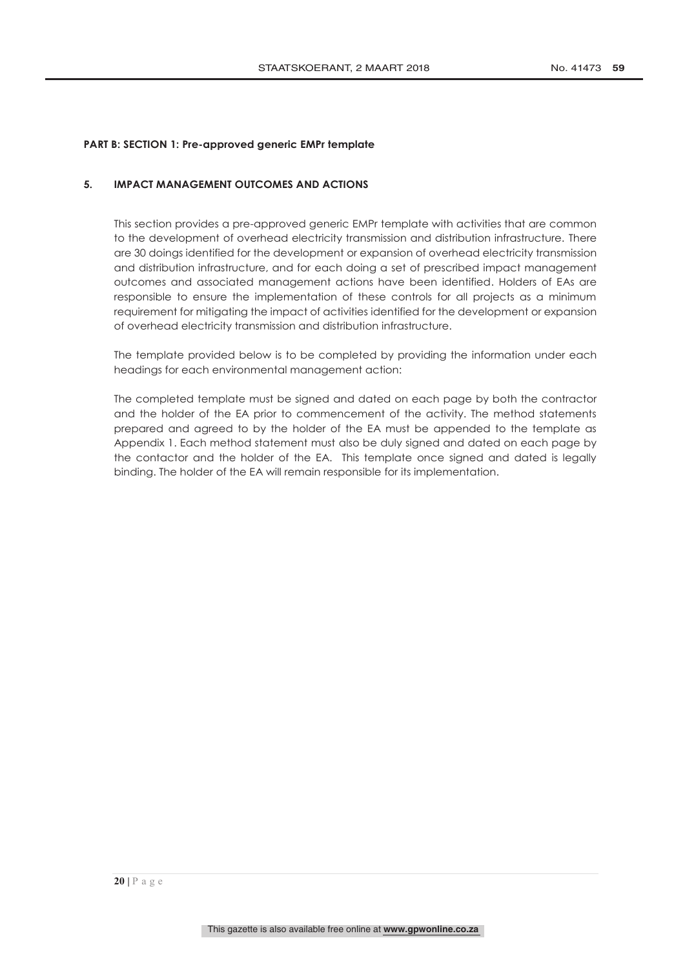# **PART B: SECTION 1: Pre-approved generic EMPr template**

# **5. IMPACT MANAGEMENT OUTCOMES AND ACTIONS**

This section provides a pre-approved generic EMPr template with activities that are common to the development of overhead electricity transmission and distribution infrastructure. There are 30 doings identified for the development or expansion of overhead electricity transmission and distribution infrastructure, and for each doing a set of prescribed impact management outcomes and associated management actions have been identified. Holders of EAs are responsible to ensure the implementation of these controls for all projects as a minimum requirement for mitigating the impact of activities identified for the development or expansion of overhead electricity transmission and distribution infrastructure.

The template provided below is to be completed by providing the information under each headings for each environmental management action:

The completed template must be signed and dated on each page by both the contractor and the holder of the EA prior to commencement of the activity. The method statements prepared and agreed to by the holder of the EA must be appended to the template as Appendix 1. Each method statement must also be duly signed and dated on each page by the contactor and the holder of the EA. This template once signed and dated is legally binding. The holder of the EA will remain responsible for its implementation.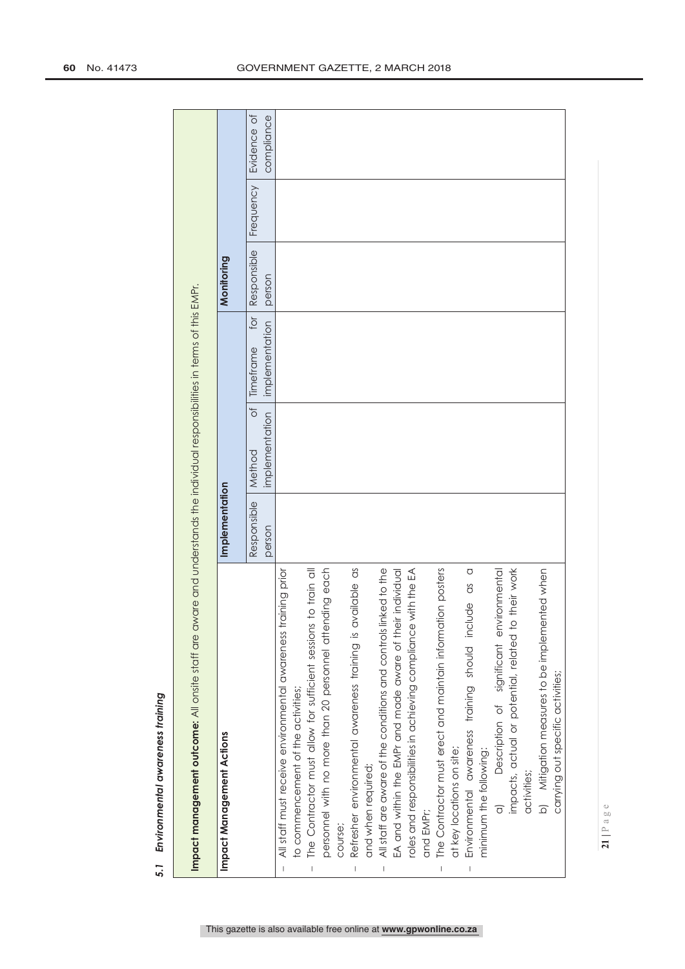| Impact management outcome: All onsite staff are aware and understands the individual responsibilities in terms of this EMPr. |                |                |                  |             |           |             |
|------------------------------------------------------------------------------------------------------------------------------|----------------|----------------|------------------|-------------|-----------|-------------|
| Impact Management Actions                                                                                                    | Implementation |                |                  | Monitoring  |           |             |
|                                                                                                                              | Responsible    | đ<br>Method    | for<br>Timetrame | Responsible | Frequency | Evidence of |
|                                                                                                                              | person         | implementation | implementation   | person      |           | compliance  |
| training prior<br>All staff must receive environmental awareness<br>$\begin{array}{c} \hline \end{array}$                    |                |                |                  |             |           |             |
| to commencement of the activities;                                                                                           |                |                |                  |             |           |             |
| The Contractor must allow for sufficient sessions to train all<br>$\vert$                                                    |                |                |                  |             |           |             |
| personnel with no more than 20 personnel attending each                                                                      |                |                |                  |             |           |             |
| course;                                                                                                                      |                |                |                  |             |           |             |
| available as<br>Refresher environmental awareness training is                                                                |                |                |                  |             |           |             |
| and when required;                                                                                                           |                |                |                  |             |           |             |
| All staff are aware of the conditions and controls linked to the<br>$\overline{\phantom{a}}$                                 |                |                |                  |             |           |             |
| EA and within the EMPr and made aware of their individual                                                                    |                |                |                  |             |           |             |
| roles and responsibilities in achieving compliance with the EA                                                               |                |                |                  |             |           |             |
| and EMPr;                                                                                                                    |                |                |                  |             |           |             |
| The Contractor must erect and maintain information posters                                                                   |                |                |                  |             |           |             |
| at key locations on site;                                                                                                    |                |                |                  |             |           |             |
| $\circ$<br>Environmental awareness training should include as                                                                |                |                |                  |             |           |             |
| minimum the following:                                                                                                       |                |                |                  |             |           |             |
| Description of significant environmental<br>$\overline{a}$                                                                   |                |                |                  |             |           |             |
| impacts, actual or potential, related to their work                                                                          |                |                |                  |             |           |             |
| activities;                                                                                                                  |                |                |                  |             |           |             |
| b) Mitigation measures to be implemented when                                                                                |                |                |                  |             |           |             |
| carrying out specific activities;                                                                                            |                |                |                  |             |           |             |

Environmental awareness training *5.1 Environmental awareness training* 5.1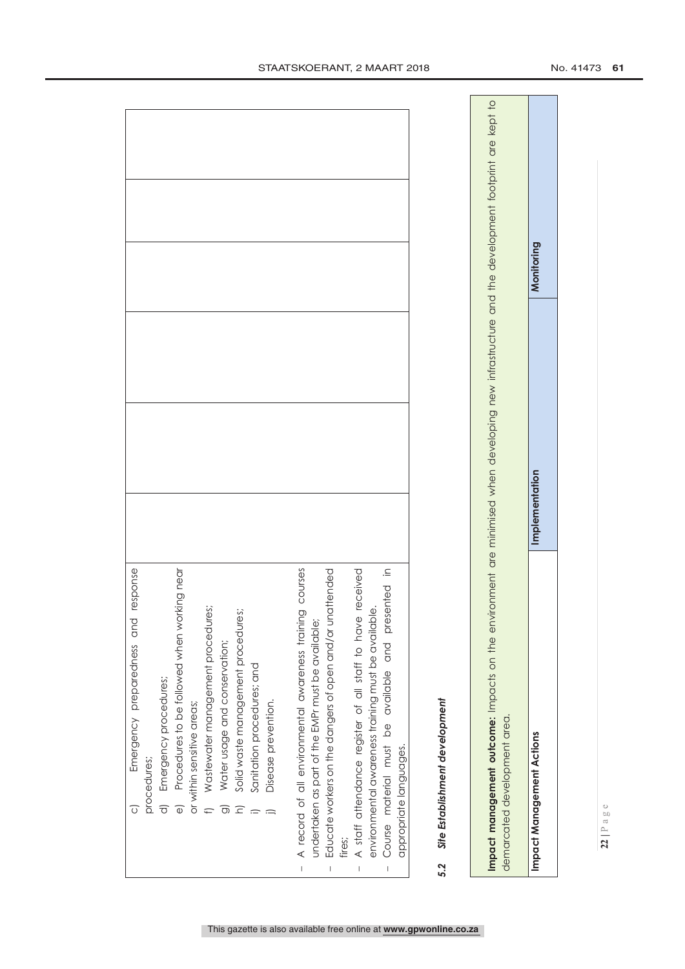| Emergency preparedness and response<br>Ō                                             |  |
|--------------------------------------------------------------------------------------|--|
| procedures;                                                                          |  |
| Emergency procedures;                                                                |  |
| orking near<br>Procedures to be followed when w<br>$\overline{\Theta}$               |  |
| or within sensitive areas;                                                           |  |
| Wastewater management procedures;                                                    |  |
| Water usage and conservation;<br>ಕಾ                                                  |  |
| es;<br>Solid waste management procedur                                               |  |
| Sanitation procedures; and                                                           |  |
| Disease prevention.                                                                  |  |
|                                                                                      |  |
| A record of all environmental awareness training courses<br>$\overline{1}$           |  |
| undertaken as part of the EMPr must be available;                                    |  |
| Educate workers on the dangers of open and/or unattended<br>$\overline{\phantom{a}}$ |  |
| fires;                                                                               |  |
| A staff attendance register of all staff to have received<br>$\overline{1}$          |  |
| environmental awareness training must be available.                                  |  |
| Course material must be available and presented in<br>$\overline{\phantom{a}}$       |  |
| appropriate languages.                                                               |  |
| Site Establishment development<br>5.2                                                |  |
|                                                                                      |  |

# 5.2

Impact management outcome: Impacts on the environment are minimised when developing new infrastructure and the development footprint are kept to **Impact management outcome:** Impacts on the environment are minimised when developing new infrastructure and the development footprint are kept to demarcated development area. demarcated development area.

Monitoring **Impact Management Actions Implementation Monitoring**Implementation **Impact Management Actions**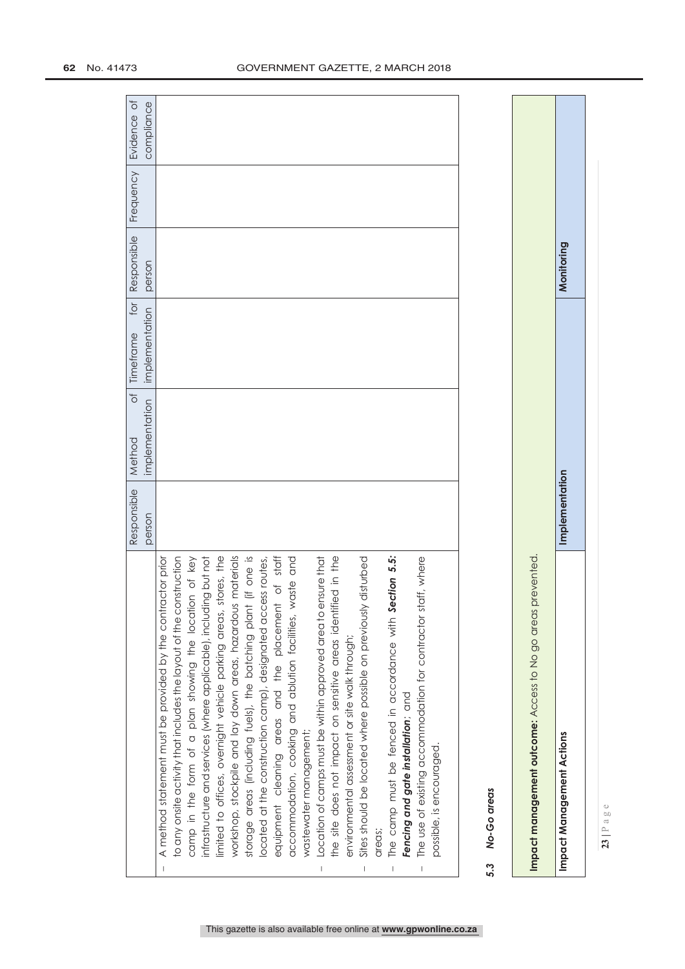|                                       |                                                                     | Responsible | Method         | of limeframe for Responsible |        | <b>Frequency</b> | Evidence of |
|---------------------------------------|---------------------------------------------------------------------|-------------|----------------|------------------------------|--------|------------------|-------------|
|                                       |                                                                     | person      | implementation | implementation               | person |                  | compliance  |
|                                       | A method statement must be provided by the contractor prior         |             |                |                              |        |                  |             |
|                                       | to any onsite activity that includes the layout of the construction |             |                |                              |        |                  |             |
|                                       | camp in the form of a plan showing the location of key              |             |                |                              |        |                  |             |
|                                       | infrastructure and services (where applicable), including but not   |             |                |                              |        |                  |             |
|                                       | stores, the<br>imited to offices, overnight vehicle parking areas,  |             |                |                              |        |                  |             |
|                                       | workshop, stockpile and lay down areas, hazardous materials         |             |                |                              |        |                  |             |
|                                       | storage areas (including fuels), the batching plant (if one is      |             |                |                              |        |                  |             |
|                                       | located at the construction camp), designated access routes,        |             |                |                              |        |                  |             |
|                                       | equipment cleaning areas and the placement of staff                 |             |                |                              |        |                  |             |
|                                       | waste and<br>accommodation, cooking and ablution facilities,        |             |                |                              |        |                  |             |
|                                       | wastewater management;                                              |             |                |                              |        |                  |             |
| $\vert$                               | ensure that<br>Location of camps must be within approved area to    |             |                |                              |        |                  |             |
|                                       | the site does not impact on sensitive areas identified in the       |             |                |                              |        |                  |             |
|                                       | environmental assessment or site walk through;                      |             |                |                              |        |                  |             |
|                                       | Sites should be located where possible on previously disturbed      |             |                |                              |        |                  |             |
|                                       | areas;                                                              |             |                |                              |        |                  |             |
| $\begin{array}{c} \hline \end{array}$ | Section 5.5:<br>The camp must be fenced in accordance with          |             |                |                              |        |                  |             |
|                                       | Fencing and gate installation; and                                  |             |                |                              |        |                  |             |
| $\begin{array}{c} \end{array}$        | The use of existing accommodation for contractor staff, where       |             |                |                              |        |                  |             |
|                                       | possible, is encouraged.                                            |             |                |                              |        |                  |             |
|                                       |                                                                     |             |                |                              |        |                  |             |
|                                       |                                                                     |             |                |                              |        |                  |             |
|                                       |                                                                     |             |                |                              |        |                  |             |

Monitoring **Impact Management Actions Implementation Monitoring**Implementation **Impact management outcome:** Access to No go areas prevented. Impact management outcome: Access to No go areas prevented. **Impact Management Actions** 

**23 |** Page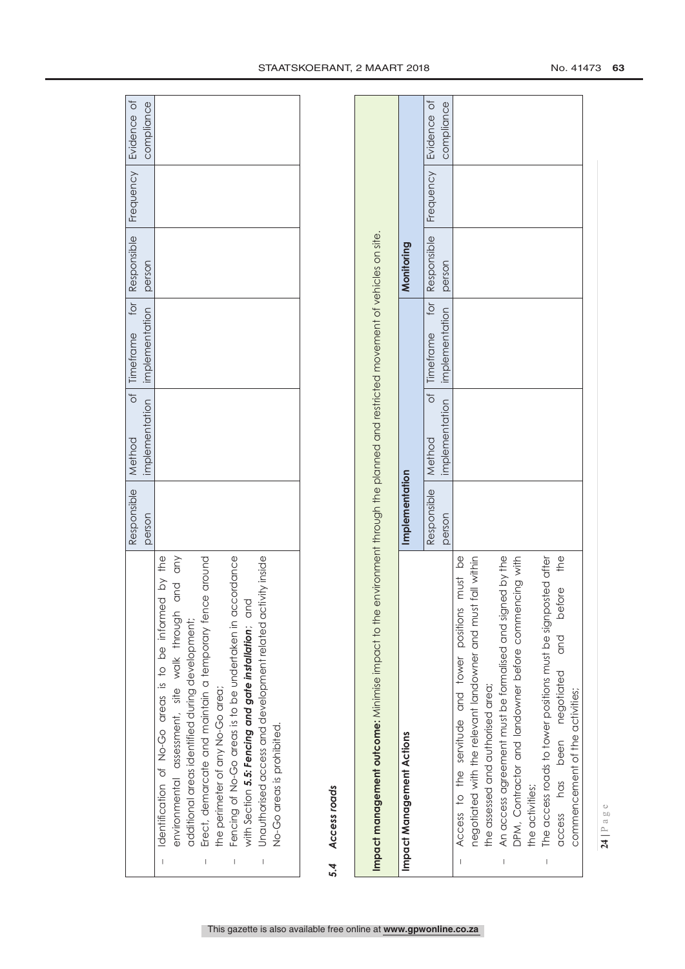|   |                                                             | Responsible   Method | of Timeframe for Responsible Frequency Evidence of |  |            |
|---|-------------------------------------------------------------|----------------------|----------------------------------------------------|--|------------|
|   |                                                             | person               | implementation implementation person               |  | compliance |
|   | Identification of No-Go areas is to be informed by the      |                      |                                                    |  |            |
|   | and any<br>environmental assessment, site walk through      |                      |                                                    |  |            |
|   | additional areas identified during development;             |                      |                                                    |  |            |
| I | Erect, demarcate and maintain a temporary fence around      |                      |                                                    |  |            |
|   | the perimeter of any No-Go area;                            |                      |                                                    |  |            |
|   | Fencing of No-Go areas is to be undertaken in accordance    |                      |                                                    |  |            |
|   | with Section 5.5: Fencing and gate installation; and        |                      |                                                    |  |            |
| I | Unauthorised access and development related activity inside |                      |                                                    |  |            |
|   | No-Go areas is prohibited.                                  |                      |                                                    |  |            |
|   |                                                             |                      |                                                    |  |            |
|   |                                                             |                      |                                                    |  |            |

# Access roads *5.4 Access roads* 5.4

| Impact management outcome: Minimise impact to the                                          |                | environment through the planned and restricted movement of vehicles on site. |                                                        |             |           |                           |
|--------------------------------------------------------------------------------------------|----------------|------------------------------------------------------------------------------|--------------------------------------------------------|-------------|-----------|---------------------------|
| Impact Management Actions                                                                  | Implementation |                                                                              |                                                        | Monitoring  |           |                           |
|                                                                                            | Responsible    | Method                                                                       | implementation implementation<br>for<br>of   Timeframe | Responsible | Frequency | Evidence of<br>compliance |
|                                                                                            | person         |                                                                              |                                                        | person      |           |                           |
| must be<br>Access to the servitude and tower positions                                     |                |                                                                              |                                                        |             |           |                           |
| negotiated with the relevant landowner and must fall within                                |                |                                                                              |                                                        |             |           |                           |
| the assessed and authorised area;                                                          |                |                                                                              |                                                        |             |           |                           |
| An access agreement must be formalised and signed by the<br>$\begin{array}{c} \end{array}$ |                |                                                                              |                                                        |             |           |                           |
| DPM, Contractor and landowner before commencing with                                       |                |                                                                              |                                                        |             |           |                           |
| the activities;                                                                            |                |                                                                              |                                                        |             |           |                           |
| The access roads to tower positions must be signposted after<br>I                          |                |                                                                              |                                                        |             |           |                           |
| access has been negotiated and before the                                                  |                |                                                                              |                                                        |             |           |                           |
| commencement of the activities;                                                            |                |                                                                              |                                                        |             |           |                           |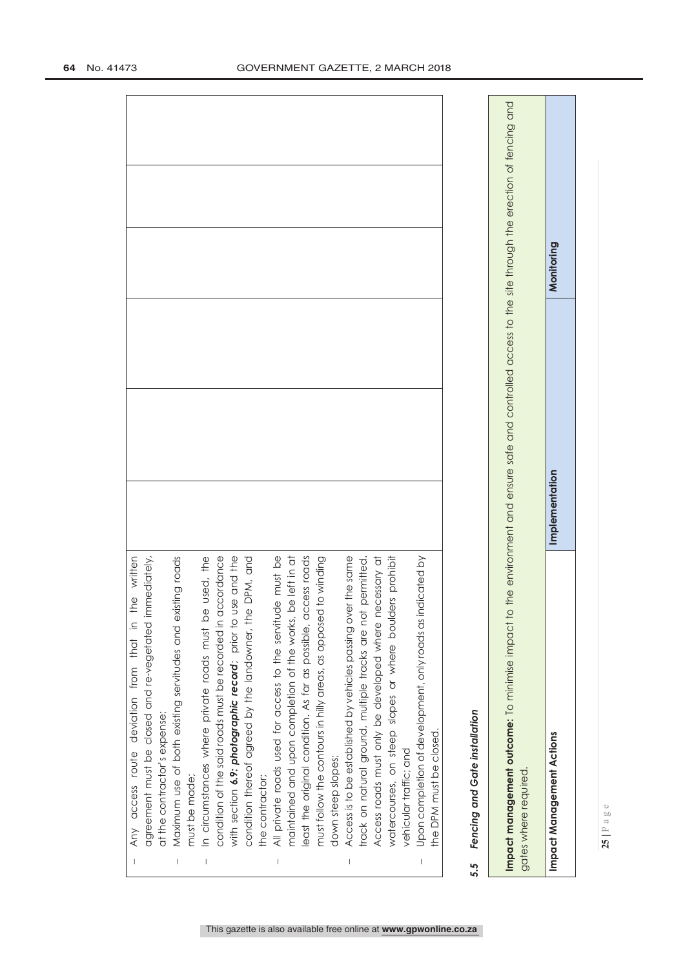|                                                                                                                                                                                                                                                                                                                                                                                  | the written<br>Any access route deviation from that in                                                                                                                          |
|----------------------------------------------------------------------------------------------------------------------------------------------------------------------------------------------------------------------------------------------------------------------------------------------------------------------------------------------------------------------------------|---------------------------------------------------------------------------------------------------------------------------------------------------------------------------------|
|                                                                                                                                                                                                                                                                                                                                                                                  | agreement must be closed and re-vegetated immediately,                                                                                                                          |
|                                                                                                                                                                                                                                                                                                                                                                                  | at the contractor's expense;                                                                                                                                                    |
| $\begin{array}{c} \rule{0pt}{2.5ex} \rule{0pt}{2.5ex} \rule{0pt}{2.5ex} \rule{0pt}{2.5ex} \rule{0pt}{2.5ex} \rule{0pt}{2.5ex} \rule{0pt}{2.5ex} \rule{0pt}{2.5ex} \rule{0pt}{2.5ex} \rule{0pt}{2.5ex} \rule{0pt}{2.5ex} \rule{0pt}{2.5ex} \rule{0pt}{2.5ex} \rule{0pt}{2.5ex} \rule{0pt}{2.5ex} \rule{0pt}{2.5ex} \rule{0pt}{2.5ex} \rule{0pt}{2.5ex} \rule{0pt}{2.5ex} \rule{0$ | isting roads<br>Maximum use of both existing servitudes and ex                                                                                                                  |
|                                                                                                                                                                                                                                                                                                                                                                                  | must be made;                                                                                                                                                                   |
|                                                                                                                                                                                                                                                                                                                                                                                  | In circumstances where private roads must be used, the                                                                                                                          |
|                                                                                                                                                                                                                                                                                                                                                                                  | condition of the said roads must be recorded in accordance                                                                                                                      |
|                                                                                                                                                                                                                                                                                                                                                                                  | with section 6.9: photographic record; prior to use and the                                                                                                                     |
|                                                                                                                                                                                                                                                                                                                                                                                  | condition thereof agreed by the landowner, the DPM, and                                                                                                                         |
|                                                                                                                                                                                                                                                                                                                                                                                  | he contractor;                                                                                                                                                                  |
|                                                                                                                                                                                                                                                                                                                                                                                  | All private roads used for access to the servitude must be                                                                                                                      |
|                                                                                                                                                                                                                                                                                                                                                                                  | be left in at<br>maintained and upon completion of the works,                                                                                                                   |
|                                                                                                                                                                                                                                                                                                                                                                                  | east the original condition. As far as possible, access roads                                                                                                                   |
|                                                                                                                                                                                                                                                                                                                                                                                  | must follow the contours in hilly areas, as opposed to winding                                                                                                                  |
|                                                                                                                                                                                                                                                                                                                                                                                  | down steep slopes;                                                                                                                                                              |
| $\mid$                                                                                                                                                                                                                                                                                                                                                                           | Access is to be established by vehicles passing over the same                                                                                                                   |
|                                                                                                                                                                                                                                                                                                                                                                                  | track on natural ground, multiple tracks are not permitted.                                                                                                                     |
|                                                                                                                                                                                                                                                                                                                                                                                  | Access roads must only be developed where necessary at                                                                                                                          |
|                                                                                                                                                                                                                                                                                                                                                                                  | lers prohibit<br>watercourses, on steep slopes or where bould                                                                                                                   |
|                                                                                                                                                                                                                                                                                                                                                                                  | vehicular traffic; and                                                                                                                                                          |
| $\mid$                                                                                                                                                                                                                                                                                                                                                                           | Upon completion of development, only roads as indicated by                                                                                                                      |
|                                                                                                                                                                                                                                                                                                                                                                                  | the DPM must be closed.                                                                                                                                                         |
|                                                                                                                                                                                                                                                                                                                                                                                  |                                                                                                                                                                                 |
| 5.5                                                                                                                                                                                                                                                                                                                                                                              | Fencing and Gate installation                                                                                                                                                   |
|                                                                                                                                                                                                                                                                                                                                                                                  |                                                                                                                                                                                 |
|                                                                                                                                                                                                                                                                                                                                                                                  | Impact management outcome: To minimise impact to the environment and ensure safe and controlled access to the site through the erection of fencing and<br>gates where required. |

**25 |** Page

This gazette is also available free online at **www.gpwonline.co.za**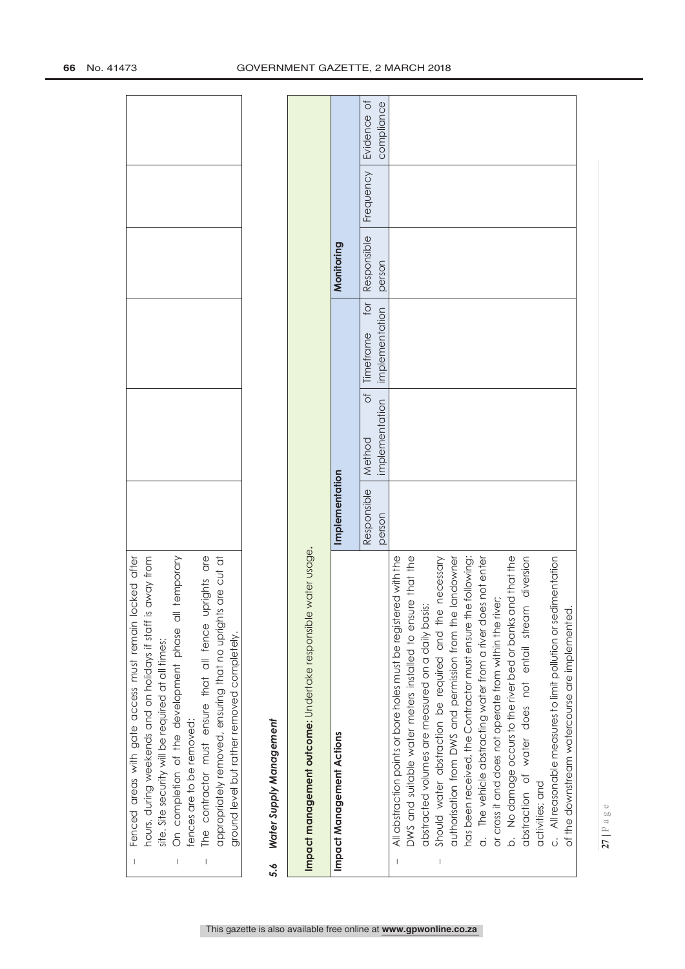| are cut at<br>The contractor must ensure that all fence uprights are<br>appropriately removed, ensuring that no uprights<br>ground level but rather removed completely.<br>fences are to be removed;<br>$\begin{array}{c} \rule{0pt}{2.5ex} \rule{0pt}{2.5ex} \rule{0pt}{2.5ex} \rule{0pt}{2.5ex} \rule{0pt}{2.5ex} \rule{0pt}{2.5ex} \rule{0pt}{2.5ex} \rule{0pt}{2.5ex} \rule{0pt}{2.5ex} \rule{0pt}{2.5ex} \rule{0pt}{2.5ex} \rule{0pt}{2.5ex} \rule{0pt}{2.5ex} \rule{0pt}{2.5ex} \rule{0pt}{2.5ex} \rule{0pt}{2.5ex} \rule{0pt}{2.5ex} \rule{0pt}{2.5ex} \rule{0pt}{2.5ex} \rule{0$ |                       |                                                 |                                    |                       |           |                           |
|------------------------------------------------------------------------------------------------------------------------------------------------------------------------------------------------------------------------------------------------------------------------------------------------------------------------------------------------------------------------------------------------------------------------------------------------------------------------------------------------------------------------------------------------------------------------------------------|-----------------------|-------------------------------------------------|------------------------------------|-----------------------|-----------|---------------------------|
| Water Supply Management<br>5.6                                                                                                                                                                                                                                                                                                                                                                                                                                                                                                                                                           |                       |                                                 |                                    |                       |           |                           |
| water usage.<br>Impact management outcome: Undertake responsible                                                                                                                                                                                                                                                                                                                                                                                                                                                                                                                         |                       |                                                 |                                    |                       |           |                           |
| Impact Management Actions                                                                                                                                                                                                                                                                                                                                                                                                                                                                                                                                                                | Implementation        |                                                 |                                    | Monitoring            |           |                           |
|                                                                                                                                                                                                                                                                                                                                                                                                                                                                                                                                                                                          | Responsible<br>person | $\overline{\sigma}$<br>implementation<br>Method | for<br>implementation<br>Timeframe | Responsible<br>person | Frequency | Evidence of<br>compliance |
| All abstraction points or bore holes must be registered with the<br>$\overline{\phantom{a}}$                                                                                                                                                                                                                                                                                                                                                                                                                                                                                             |                       |                                                 |                                    |                       |           |                           |
| DWS and suitable water meters installed to ensure that the                                                                                                                                                                                                                                                                                                                                                                                                                                                                                                                               |                       |                                                 |                                    |                       |           |                           |
| abstracted volumes are measured on a daily basis;                                                                                                                                                                                                                                                                                                                                                                                                                                                                                                                                        |                       |                                                 |                                    |                       |           |                           |
| necessary<br>Should water abstraction be required and the                                                                                                                                                                                                                                                                                                                                                                                                                                                                                                                                |                       |                                                 |                                    |                       |           |                           |
| landowner<br>authorisation from DWS and permission from the                                                                                                                                                                                                                                                                                                                                                                                                                                                                                                                              |                       |                                                 |                                    |                       |           |                           |
| has been received, the Contractor must ensure the following:                                                                                                                                                                                                                                                                                                                                                                                                                                                                                                                             |                       |                                                 |                                    |                       |           |                           |
| The vehicle abstracting water from a river does not enter<br>$\dot{\sigma}$                                                                                                                                                                                                                                                                                                                                                                                                                                                                                                              |                       |                                                 |                                    |                       |           |                           |
| or cross it and does not operate from within the river;                                                                                                                                                                                                                                                                                                                                                                                                                                                                                                                                  |                       |                                                 |                                    |                       |           |                           |
| No damage occurs to the river bed or banks and that the<br>.<br>ف                                                                                                                                                                                                                                                                                                                                                                                                                                                                                                                        |                       |                                                 |                                    |                       |           |                           |
| diversion<br>abstraction of water does not entail stream                                                                                                                                                                                                                                                                                                                                                                                                                                                                                                                                 |                       |                                                 |                                    |                       |           |                           |
| activities; and                                                                                                                                                                                                                                                                                                                                                                                                                                                                                                                                                                          |                       |                                                 |                                    |                       |           |                           |
| c. All reasonable measures to limit pollution or sedimentation                                                                                                                                                                                                                                                                                                                                                                                                                                                                                                                           |                       |                                                 |                                    |                       |           |                           |
| of the downstream watercourse are implemented                                                                                                                                                                                                                                                                                                                                                                                                                                                                                                                                            |                       |                                                 |                                    |                       |           |                           |

 $\bar{1}$ 

 Fenced areas with gate access must remain locked after hours, during weekends and on holidays if staff is away from

Fenced areas with gate access must remain locked after hours, during weekends and on holidays if staff is away from

site. Site security will be required at all times;

site. Site security will be required at all times;

On completion of the development phase all temporary

On completion of the development phase all temporary

 $\bar{1}$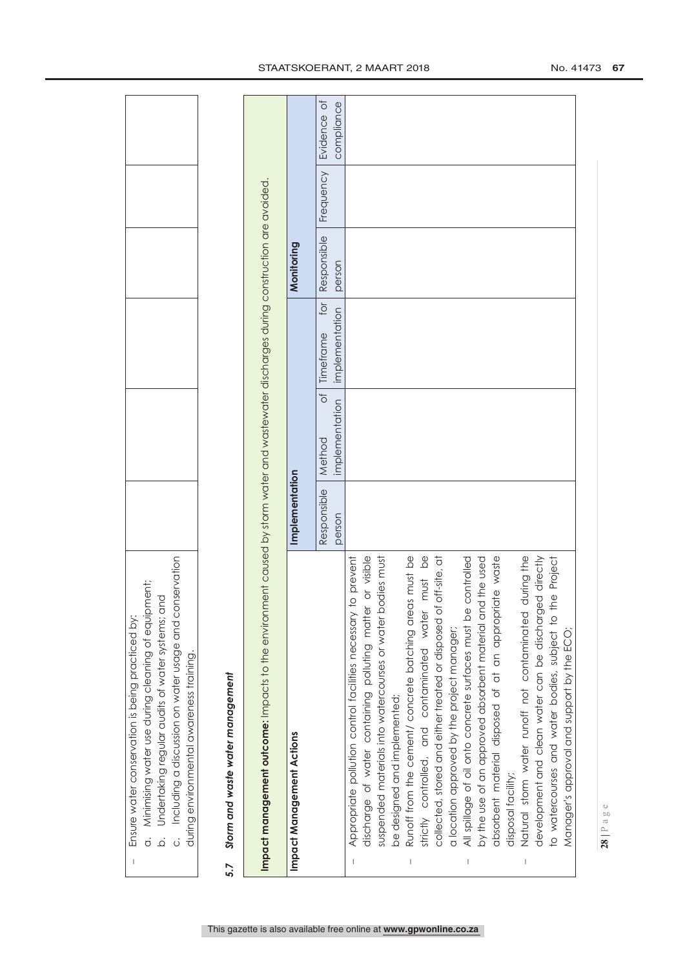| Impact management outcome: Impacts to the environment caused by storm water and wastewater discharges during construction are avoided<br>Responsible<br>Monitoring<br>person<br>for<br>implementation<br>Timeframe<br>ð<br>implementation<br>Method<br>Implementation<br>Responsible<br>person<br>strictly controlled, and contaminated water must be<br>development and clean water can be discharged directly<br>discharge of water containing polluting matter or visible<br>suspended materials into watercourses or water bodies must<br>Runoff from the cement/ concrete batching areas must be<br>of off-site, at<br>absorbent material disposed of at an appropriate waste<br>All spillage of oil onto concrete surfaces must be controlled<br>by the use of an approved absorbent material and the used<br>Natural storm water runoff not contaminated during the<br>Appropriate pollution control facilities necessary to prevent<br>the Project<br>to watercourses and water bodies, subject to<br>collected, stored and either treated or disposed<br>a location approved by the project manager;<br>Manager's approval and support by the ECO;<br>Storm and waste water management<br>be designed and implemented;<br>Impact Management Actions<br>disposal facility;<br>5.7 | Including a discussion on water usage and conservation<br>Minimising water use during cleaning of equipment;<br>and<br>Ensure water conservation is being practiced by:<br>Undertaking regular audits of water systems;<br>during environmental awareness training.<br>$\overline{O}$<br>$\dot{\Omega}$<br>ن |  |  |           |                                          |
|-------------------------------------------------------------------------------------------------------------------------------------------------------------------------------------------------------------------------------------------------------------------------------------------------------------------------------------------------------------------------------------------------------------------------------------------------------------------------------------------------------------------------------------------------------------------------------------------------------------------------------------------------------------------------------------------------------------------------------------------------------------------------------------------------------------------------------------------------------------------------------------------------------------------------------------------------------------------------------------------------------------------------------------------------------------------------------------------------------------------------------------------------------------------------------------------------------------------------------------------------------------------------------------------|--------------------------------------------------------------------------------------------------------------------------------------------------------------------------------------------------------------------------------------------------------------------------------------------------------------|--|--|-----------|------------------------------------------|
|                                                                                                                                                                                                                                                                                                                                                                                                                                                                                                                                                                                                                                                                                                                                                                                                                                                                                                                                                                                                                                                                                                                                                                                                                                                                                           |                                                                                                                                                                                                                                                                                                              |  |  |           |                                          |
|                                                                                                                                                                                                                                                                                                                                                                                                                                                                                                                                                                                                                                                                                                                                                                                                                                                                                                                                                                                                                                                                                                                                                                                                                                                                                           |                                                                                                                                                                                                                                                                                                              |  |  |           |                                          |
|                                                                                                                                                                                                                                                                                                                                                                                                                                                                                                                                                                                                                                                                                                                                                                                                                                                                                                                                                                                                                                                                                                                                                                                                                                                                                           |                                                                                                                                                                                                                                                                                                              |  |  |           |                                          |
|                                                                                                                                                                                                                                                                                                                                                                                                                                                                                                                                                                                                                                                                                                                                                                                                                                                                                                                                                                                                                                                                                                                                                                                                                                                                                           |                                                                                                                                                                                                                                                                                                              |  |  | Frequency | $\overline{O}$<br>compliance<br>Evidence |
|                                                                                                                                                                                                                                                                                                                                                                                                                                                                                                                                                                                                                                                                                                                                                                                                                                                                                                                                                                                                                                                                                                                                                                                                                                                                                           |                                                                                                                                                                                                                                                                                                              |  |  |           |                                          |
|                                                                                                                                                                                                                                                                                                                                                                                                                                                                                                                                                                                                                                                                                                                                                                                                                                                                                                                                                                                                                                                                                                                                                                                                                                                                                           |                                                                                                                                                                                                                                                                                                              |  |  |           |                                          |
|                                                                                                                                                                                                                                                                                                                                                                                                                                                                                                                                                                                                                                                                                                                                                                                                                                                                                                                                                                                                                                                                                                                                                                                                                                                                                           |                                                                                                                                                                                                                                                                                                              |  |  |           |                                          |
|                                                                                                                                                                                                                                                                                                                                                                                                                                                                                                                                                                                                                                                                                                                                                                                                                                                                                                                                                                                                                                                                                                                                                                                                                                                                                           |                                                                                                                                                                                                                                                                                                              |  |  |           |                                          |
|                                                                                                                                                                                                                                                                                                                                                                                                                                                                                                                                                                                                                                                                                                                                                                                                                                                                                                                                                                                                                                                                                                                                                                                                                                                                                           |                                                                                                                                                                                                                                                                                                              |  |  |           |                                          |
|                                                                                                                                                                                                                                                                                                                                                                                                                                                                                                                                                                                                                                                                                                                                                                                                                                                                                                                                                                                                                                                                                                                                                                                                                                                                                           |                                                                                                                                                                                                                                                                                                              |  |  |           |                                          |
|                                                                                                                                                                                                                                                                                                                                                                                                                                                                                                                                                                                                                                                                                                                                                                                                                                                                                                                                                                                                                                                                                                                                                                                                                                                                                           |                                                                                                                                                                                                                                                                                                              |  |  |           |                                          |

# STAATSKOERANT, 2 MAART 2018 No. 41473 67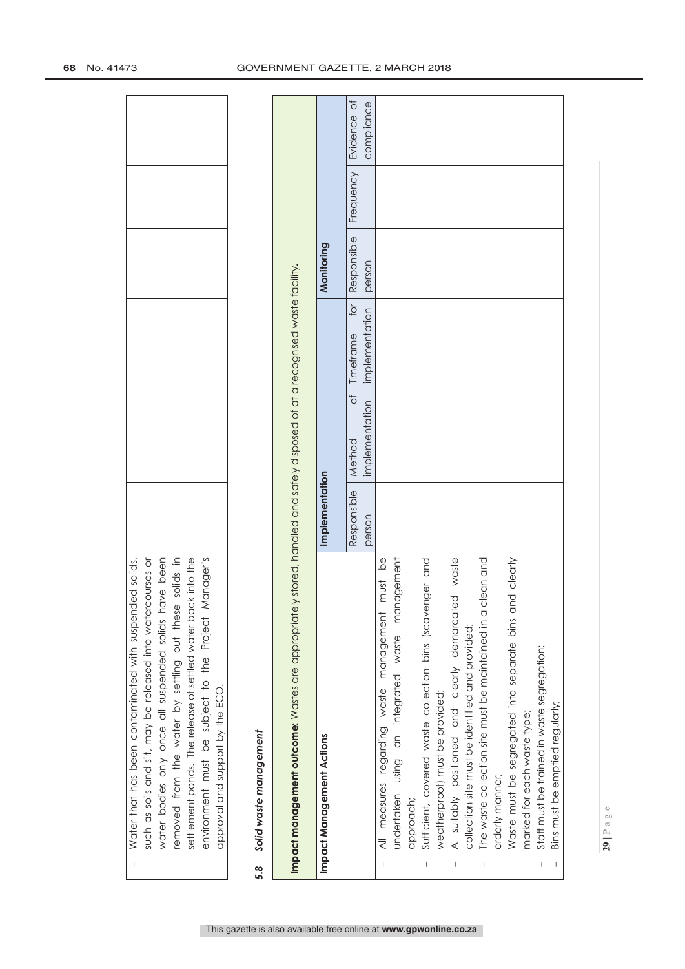|     | environment must be subject to the Project Manager's<br>such as soils and silt, may be released into watercourses or<br>water bodies only once all suspended solids have been<br>solids in<br>settlement ponds. The release of settled water back into the<br>removed from the water by settling out these<br>approval and support by the ECO. |                       |                               |                                    |                       |           |                           |
|-----|------------------------------------------------------------------------------------------------------------------------------------------------------------------------------------------------------------------------------------------------------------------------------------------------------------------------------------------------|-----------------------|-------------------------------|------------------------------------|-----------------------|-----------|---------------------------|
| 5.8 | Solid waste management                                                                                                                                                                                                                                                                                                                         |                       |                               |                                    |                       |           |                           |
|     | Impact management outcome: Wastes are appropriately stored, handled and safely disposed of at a recognised waste facility.                                                                                                                                                                                                                     |                       |                               |                                    |                       |           |                           |
|     | Impact Management Actions                                                                                                                                                                                                                                                                                                                      | Implementation        |                               |                                    | Monitoring            |           |                           |
|     |                                                                                                                                                                                                                                                                                                                                                | Responsible<br>person | ð<br>implementation<br>Method | for<br>implementation<br>Timeframe | Responsible<br>person | Frequency | Evidence of<br>compliance |
|     |                                                                                                                                                                                                                                                                                                                                                |                       |                               |                                    |                       |           |                           |
|     | undertaken using an integrated waste management<br>$\frac{\Theta}{\Theta}$<br>must<br>measures regarding waste management                                                                                                                                                                                                                      |                       |                               |                                    |                       |           |                           |
|     | approach;                                                                                                                                                                                                                                                                                                                                      |                       |                               |                                    |                       |           |                           |
|     | Sufficient, covered waste collection bins (scavenger and                                                                                                                                                                                                                                                                                       |                       |                               |                                    |                       |           |                           |
|     | weatherproof) must be provided;                                                                                                                                                                                                                                                                                                                |                       |                               |                                    |                       |           |                           |
|     | A suitably positioned and clearly demarcated waste                                                                                                                                                                                                                                                                                             |                       |                               |                                    |                       |           |                           |
|     | collection site must be identified and provided;                                                                                                                                                                                                                                                                                               |                       |                               |                                    |                       |           |                           |
|     | The waste collection site must be maintained in a clean and                                                                                                                                                                                                                                                                                    |                       |                               |                                    |                       |           |                           |
|     | orderly manner;                                                                                                                                                                                                                                                                                                                                |                       |                               |                                    |                       |           |                           |
|     | Waste must be segregated into separate bins and clearly                                                                                                                                                                                                                                                                                        |                       |                               |                                    |                       |           |                           |
|     | marked for each waste type;                                                                                                                                                                                                                                                                                                                    |                       |                               |                                    |                       |           |                           |
|     | Staff must be trained in waste segregation;                                                                                                                                                                                                                                                                                                    |                       |                               |                                    |                       |           |                           |
|     | Bins must be emptied regularly;                                                                                                                                                                                                                                                                                                                |                       |                               |                                    |                       |           |                           |

 $\overline{1}$ 

 Water that has been contaminated with suspended solids, such as soils and silt, may be released into watercourses or water bodies only once all suspended solids have been

Water that has been contaminated with suspended solids,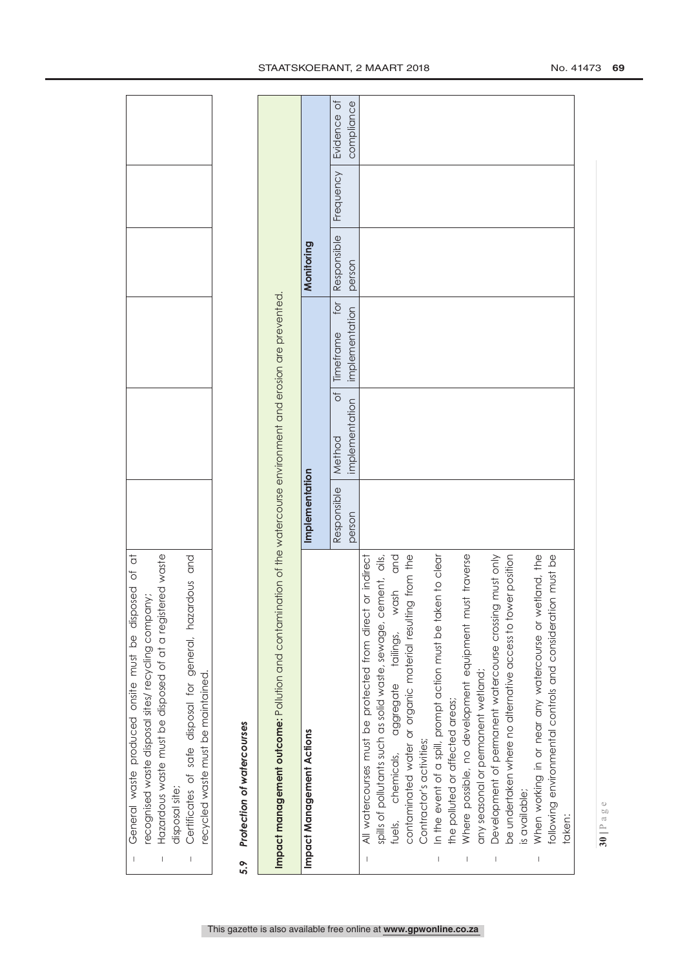| Hazardous waste must be disposed of at a registered waste<br>Certificates of safe disposal for general, hazardous and<br>recognised waste disposal sites/ recycling company;<br>ecycled waste must be maintained.<br>disposal site;<br>$\begin{array}{c} \rule{0pt}{2.5ex} \rule{0pt}{2.5ex} \rule{0pt}{2.5ex} \rule{0pt}{2.5ex} \rule{0pt}{2.5ex} \rule{0pt}{2.5ex} \rule{0pt}{2.5ex} \rule{0pt}{2.5ex} \rule{0pt}{2.5ex} \rule{0pt}{2.5ex} \rule{0pt}{2.5ex} \rule{0pt}{2.5ex} \rule{0pt}{2.5ex} \rule{0pt}{2.5ex} \rule{0pt}{2.5ex} \rule{0pt}{2.5ex} \rule{0pt}{2.5ex} \rule{0pt}{2.5ex} \rule{0pt}{2.5ex} \rule{0$                                                                                                                                                |                       |                                                 |                                    |                       |           |                           |
|------------------------------------------------------------------------------------------------------------------------------------------------------------------------------------------------------------------------------------------------------------------------------------------------------------------------------------------------------------------------------------------------------------------------------------------------------------------------------------------------------------------------------------------------------------------------------------------------------------------------------------------------------------------------------------------------------------------------------------------------------------------------|-----------------------|-------------------------------------------------|------------------------------------|-----------------------|-----------|---------------------------|
| Protection of watercourses<br>5.9                                                                                                                                                                                                                                                                                                                                                                                                                                                                                                                                                                                                                                                                                                                                      |                       |                                                 |                                    |                       |           |                           |
| Impact management outcome: Pollution and contamination of the watercourse environment and erosion are prevented.                                                                                                                                                                                                                                                                                                                                                                                                                                                                                                                                                                                                                                                       |                       |                                                 |                                    |                       |           |                           |
| Impact Management Actions                                                                                                                                                                                                                                                                                                                                                                                                                                                                                                                                                                                                                                                                                                                                              | Implementation        |                                                 |                                    | Monitoring            |           |                           |
|                                                                                                                                                                                                                                                                                                                                                                                                                                                                                                                                                                                                                                                                                                                                                                        | Responsible<br>person | $\overline{\sigma}$<br>implementation<br>Method | for<br>implementation<br>Timeframe | Responsible<br>person | Frequency | Evidence of<br>compliance |
| be undertaken where no alternative access to tower position<br>When working in or near any watercourse or wetland, the<br>following environmental controls and consideration must be<br>spills of pollutants such as solid waste, sewage, cement, oils,<br>wash and<br>In the event of a spill, prompt action must be taken to clear<br>Where possible, no development equipment must traverse<br>contaminated water or organic material resulting from the<br>Development of permanent watercourse crossing must only<br>All watercourses must be protected from direct or indirect<br>tailings,<br>any seasonal or permanent wetland;<br>aggregate<br>the polluted or affected areas;<br>Contractor's activities;<br>chemicals,<br>is available;<br>fuels,<br>taken: |                       |                                                 |                                    |                       |           |                           |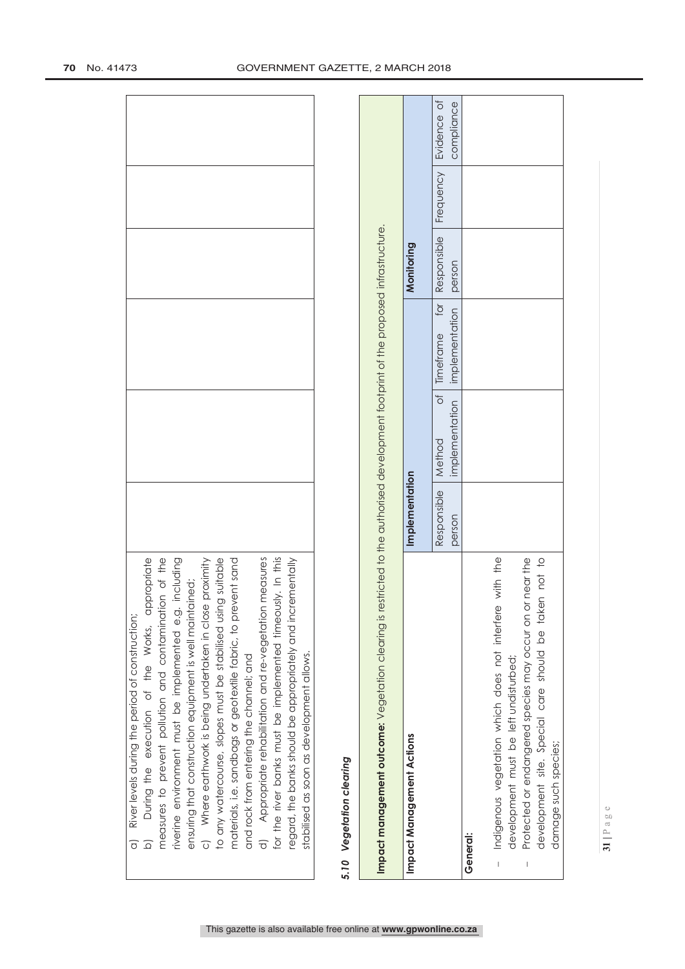| a) River levels during the period of construction; |  |  | b) During the execution of the Works, appropriate measures to prevent pollution and contamination of the riverine environment must be implemented e.g. including ensuring that construction equipment is well maintained;<br>c) W | prevent sand<br>materials, i.e. sandbags or geotextile fabric, to | and rock from entering the channel; and | Appropriate rehabilitation and re-vegetation measures | neously. In this<br>for the river banks must be implemented tim | incrementally<br>regard, the banks should be appropriately and | stabilised as soon as development allows. |  |
|----------------------------------------------------|--|--|-----------------------------------------------------------------------------------------------------------------------------------------------------------------------------------------------------------------------------------|-------------------------------------------------------------------|-----------------------------------------|-------------------------------------------------------|-----------------------------------------------------------------|----------------------------------------------------------------|-------------------------------------------|--|

# Vegetation clearing *5.10 Vegetation clearing* 5.10

| Impact management outcome: Vegetation clearing is                                                                    |                                | restricted to the authorised development footprint of the proposed infrastructure. |                                                                                            |            |            |
|----------------------------------------------------------------------------------------------------------------------|--------------------------------|------------------------------------------------------------------------------------|--------------------------------------------------------------------------------------------|------------|------------|
| Impact Management Actions                                                                                            | mplementation                  |                                                                                    |                                                                                            | Monitoring |            |
|                                                                                                                      | Responsible   Method<br>person |                                                                                    | of Timeframe for Responsible Frequency Evidence of<br>implementation implementation person |            | compliance |
| General:                                                                                                             |                                |                                                                                    |                                                                                            |            |            |
| with the<br>Indigenous vegetation which does not interfere<br>development must be left undisturbed;<br>I             |                                |                                                                                    |                                                                                            |            |            |
| development site. Special care should be taken not to<br>or near the<br>Protected or endangered species may occur on |                                |                                                                                    |                                                                                            |            |            |
| damage such species;                                                                                                 |                                |                                                                                    |                                                                                            |            |            |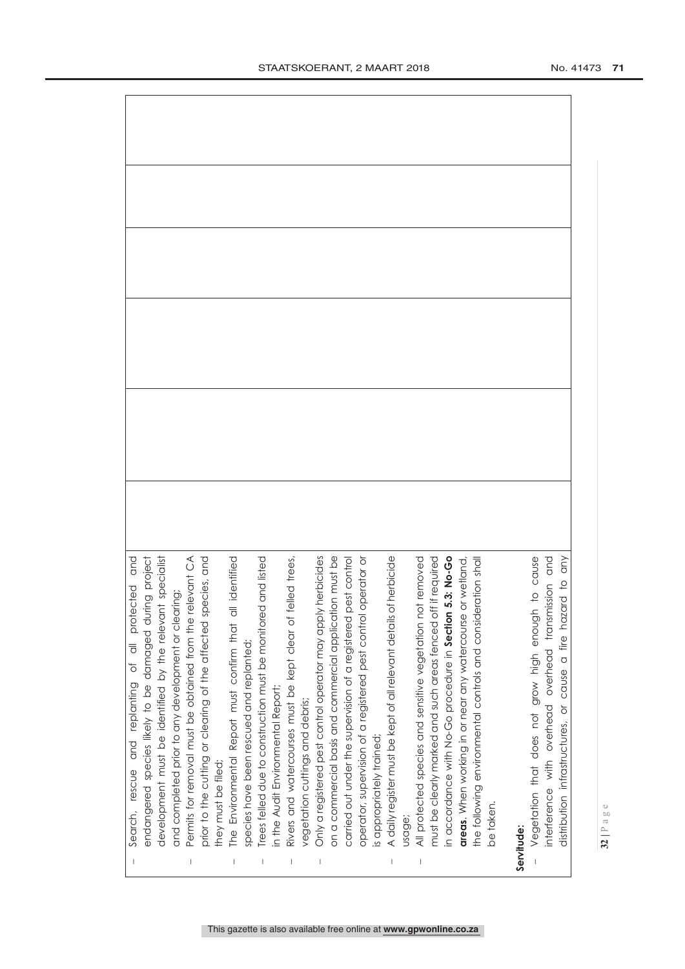|                                                                                                                                                                                                                                                                                                                                                                                  | search, rescue and replanting of all protected and                                                                  |  |
|----------------------------------------------------------------------------------------------------------------------------------------------------------------------------------------------------------------------------------------------------------------------------------------------------------------------------------------------------------------------------------|---------------------------------------------------------------------------------------------------------------------|--|
|                                                                                                                                                                                                                                                                                                                                                                                  | endangered species likely to be damaged during project                                                              |  |
|                                                                                                                                                                                                                                                                                                                                                                                  | development must be identified by the relevant specialist                                                           |  |
|                                                                                                                                                                                                                                                                                                                                                                                  | and completed prior to any development or clearing;                                                                 |  |
| $\begin{array}{c} \rule{0pt}{2.5ex} \rule{0pt}{2.5ex} \rule{0pt}{2.5ex} \rule{0pt}{2.5ex} \rule{0pt}{2.5ex} \rule{0pt}{2.5ex} \rule{0pt}{2.5ex} \rule{0pt}{2.5ex} \rule{0pt}{2.5ex} \rule{0pt}{2.5ex} \rule{0pt}{2.5ex} \rule{0pt}{2.5ex} \rule{0pt}{2.5ex} \rule{0pt}{2.5ex} \rule{0pt}{2.5ex} \rule{0pt}{2.5ex} \rule{0pt}{2.5ex} \rule{0pt}{2.5ex} \rule{0pt}{2.5ex} \rule{0$ | Permits for removal must be obtained from the relevant CA                                                           |  |
|                                                                                                                                                                                                                                                                                                                                                                                  | prior to the cutting or clearing of the affected species, and                                                       |  |
|                                                                                                                                                                                                                                                                                                                                                                                  | they must be filed;                                                                                                 |  |
|                                                                                                                                                                                                                                                                                                                                                                                  | identified<br>The Environmental Report must confirm that all                                                        |  |
|                                                                                                                                                                                                                                                                                                                                                                                  | species have been rescued and replanted;                                                                            |  |
|                                                                                                                                                                                                                                                                                                                                                                                  | Trees felled due to construction must be monitored and listed                                                       |  |
|                                                                                                                                                                                                                                                                                                                                                                                  | in the Audit Environmental Report;                                                                                  |  |
|                                                                                                                                                                                                                                                                                                                                                                                  | Rivers and watercourses must be kept clear of felled trees,                                                         |  |
|                                                                                                                                                                                                                                                                                                                                                                                  | vegetation cuttings and debris;                                                                                     |  |
|                                                                                                                                                                                                                                                                                                                                                                                  | herbicides<br>Only a registered pest control operator may apply                                                     |  |
|                                                                                                                                                                                                                                                                                                                                                                                  | on a commercial basis and commercial application must be                                                            |  |
|                                                                                                                                                                                                                                                                                                                                                                                  | carried out under the supervision of a registered pest control                                                      |  |
|                                                                                                                                                                                                                                                                                                                                                                                  | operator, supervision of a registered pest control operator or                                                      |  |
|                                                                                                                                                                                                                                                                                                                                                                                  | is appropriately trained;                                                                                           |  |
|                                                                                                                                                                                                                                                                                                                                                                                  | A daily register must be kept of all relevant details of herbicide                                                  |  |
|                                                                                                                                                                                                                                                                                                                                                                                  | usage                                                                                                               |  |
|                                                                                                                                                                                                                                                                                                                                                                                  | All protected species and sensitive vegetation not removed                                                          |  |
|                                                                                                                                                                                                                                                                                                                                                                                  | if required<br>must be clearly marked and such areas fenced off                                                     |  |
|                                                                                                                                                                                                                                                                                                                                                                                  | in accordance with No-Go procedure in Section 5.3: No-Go                                                            |  |
|                                                                                                                                                                                                                                                                                                                                                                                  | areas. When working in or near any watercourse or wetland                                                           |  |
|                                                                                                                                                                                                                                                                                                                                                                                  | ration shal<br>the following environmental controls and consider                                                    |  |
|                                                                                                                                                                                                                                                                                                                                                                                  | be taken.                                                                                                           |  |
|                                                                                                                                                                                                                                                                                                                                                                                  |                                                                                                                     |  |
|                                                                                                                                                                                                                                                                                                                                                                                  | Servitude:                                                                                                          |  |
|                                                                                                                                                                                                                                                                                                                                                                                  | to cause<br>Vegetation that does not grow high enough                                                               |  |
|                                                                                                                                                                                                                                                                                                                                                                                  | interference with overhead overhead transmission and<br>distribution infrastructures, or cause a fire hazard to any |  |
|                                                                                                                                                                                                                                                                                                                                                                                  |                                                                                                                     |  |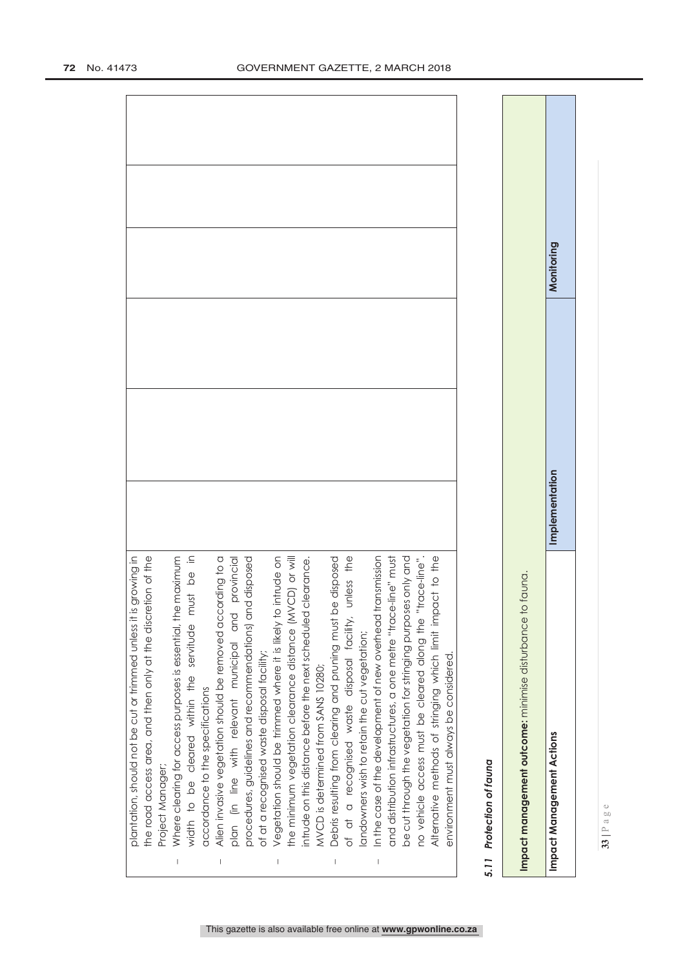| Monitoring | Implementation | Impact Management Actions                                                                                                                                                                                                         |
|------------|----------------|-----------------------------------------------------------------------------------------------------------------------------------------------------------------------------------------------------------------------------------|
|            |                | Impact management outcome: minimise disturbance to fauna.                                                                                                                                                                         |
|            |                | 5.11 Protection of fauna                                                                                                                                                                                                          |
|            |                | be cut through the vegetation for stringing purposes only and<br>Alternative methods of stringing which limit impact to the<br>no vehicle access must be cleared along the "trace-line"<br>environment must always be considered. |
|            |                | ansmission<br>and distribution infrastructures, a one metre "trace-line" must<br>In the case of the development of new overhead tr<br>landowners wish to retain the cut vegetation;<br>$\begin{array}{c} \hline \end{array}$      |
|            |                | Debris resulting from clearing and pruning must be disposed<br>unless the<br>of at a recognised waste disposal facility,                                                                                                          |
|            |                | intrude on this distance before the next scheduled clearance.<br>MVCD is determined from SANS 10280;                                                                                                                              |
|            |                | CD) or will<br>Vegetation should be trimmed where it is likely to intrude on<br>the minimum vegetation clearance distance (MV                                                                                                     |
|            |                | procedures, guidelines and recommendations) and disposed<br>of at a recognised waste disposal facility;                                                                                                                           |
|            |                | provincial<br>Alien invasive vegetation should be removed according to a<br>plan (in line with relevant municipal and<br>$\overline{\phantom{a}}$                                                                                 |
|            |                | width to be cleared within the servitude must be in<br>accordance to the specifications                                                                                                                                           |
|            |                | Where clearing for access purposes is essential, the maximum<br>Project Manager;                                                                                                                                                  |
|            |                | growing in<br>the road access area, and then only at the discretion of the<br>plantation, should not be cut or trimmed unless it is                                                                                               |

 $\overline{\phantom{a}}$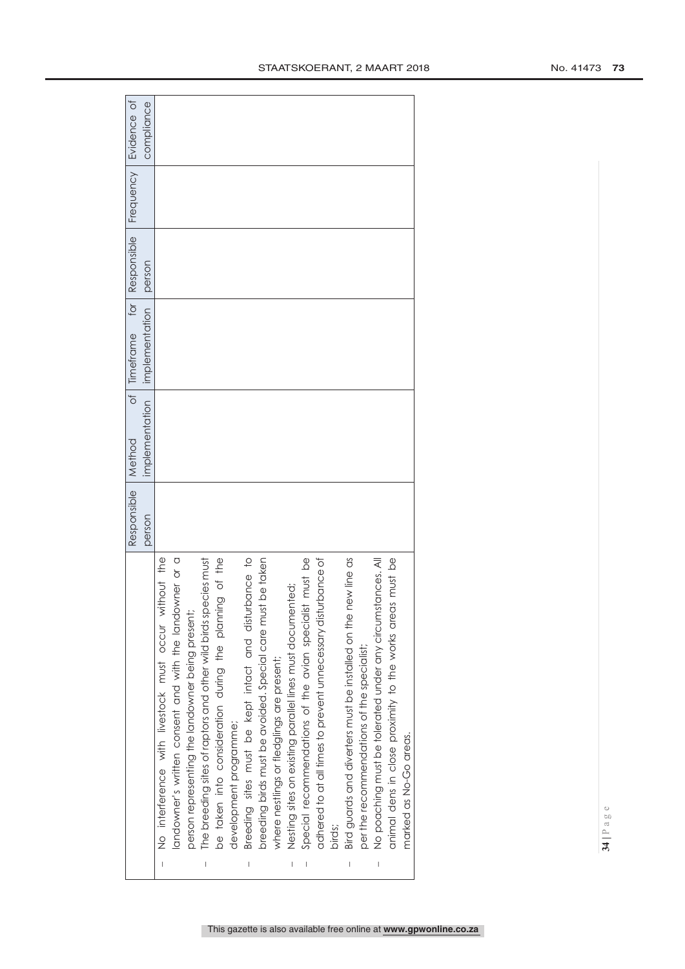|                                                                                                                                                                                                                                                                                                                                                                                  |                                                                 | Responsible | $\frac{1}{\sqrt{2}}$<br>Method | for $\vert$<br>Timeframe        | Responsible | Frequency | Evidence of |
|----------------------------------------------------------------------------------------------------------------------------------------------------------------------------------------------------------------------------------------------------------------------------------------------------------------------------------------------------------------------------------|-----------------------------------------------------------------|-------------|--------------------------------|---------------------------------|-------------|-----------|-------------|
|                                                                                                                                                                                                                                                                                                                                                                                  |                                                                 | person      |                                | implementation   implementation | person      |           | compliance  |
|                                                                                                                                                                                                                                                                                                                                                                                  | without the<br>No interference with livestock must occur        |             |                                |                                 |             |           |             |
|                                                                                                                                                                                                                                                                                                                                                                                  | landowner's written consent and with the landowner or a         |             |                                |                                 |             |           |             |
|                                                                                                                                                                                                                                                                                                                                                                                  | person representing the landowner being present;                |             |                                |                                 |             |           |             |
| $\begin{array}{c} \rule{0pt}{2.5ex} \rule{0pt}{2.5ex} \rule{0pt}{2.5ex} \rule{0pt}{2.5ex} \rule{0pt}{2.5ex} \rule{0pt}{2.5ex} \rule{0pt}{2.5ex} \rule{0pt}{2.5ex} \rule{0pt}{2.5ex} \rule{0pt}{2.5ex} \rule{0pt}{2.5ex} \rule{0pt}{2.5ex} \rule{0pt}{2.5ex} \rule{0pt}{2.5ex} \rule{0pt}{2.5ex} \rule{0pt}{2.5ex} \rule{0pt}{2.5ex} \rule{0pt}{2.5ex} \rule{0pt}{2.5ex} \rule{0$ | The breeding sites of raptors and other wild birds species must |             |                                |                                 |             |           |             |
|                                                                                                                                                                                                                                                                                                                                                                                  | be taken into consideration during the planning of the          |             |                                |                                 |             |           |             |
|                                                                                                                                                                                                                                                                                                                                                                                  | development programme;                                          |             |                                |                                 |             |           |             |
| $\begin{array}{c} \rule{0pt}{2.5ex} \rule{0pt}{2.5ex} \rule{0pt}{2.5ex} \rule{0pt}{2.5ex} \rule{0pt}{2.5ex} \rule{0pt}{2.5ex} \rule{0pt}{2.5ex} \rule{0pt}{2.5ex} \rule{0pt}{2.5ex} \rule{0pt}{2.5ex} \rule{0pt}{2.5ex} \rule{0pt}{2.5ex} \rule{0pt}{2.5ex} \rule{0pt}{2.5ex} \rule{0pt}{2.5ex} \rule{0pt}{2.5ex} \rule{0pt}{2.5ex} \rule{0pt}{2.5ex} \rule{0pt}{2.5ex} \rule{0$ | Breeding sites must be kept intact and disturbance to           |             |                                |                                 |             |           |             |
|                                                                                                                                                                                                                                                                                                                                                                                  | breeding birds must be avoided. Special care must be taken      |             |                                |                                 |             |           |             |
|                                                                                                                                                                                                                                                                                                                                                                                  | where nestlings or fledglings are present;                      |             |                                |                                 |             |           |             |
| $\begin{array}{c} \rule{0pt}{2.5ex} \rule{0pt}{2.5ex} \rule{0pt}{2.5ex} \rule{0pt}{2.5ex} \rule{0pt}{2.5ex} \rule{0pt}{2.5ex} \rule{0pt}{2.5ex} \rule{0pt}{2.5ex} \rule{0pt}{2.5ex} \rule{0pt}{2.5ex} \rule{0pt}{2.5ex} \rule{0pt}{2.5ex} \rule{0pt}{2.5ex} \rule{0pt}{2.5ex} \rule{0pt}{2.5ex} \rule{0pt}{2.5ex} \rule{0pt}{2.5ex} \rule{0pt}{2.5ex} \rule{0pt}{2.5ex} \rule{0$ | Nesting sites on existing parallel lines must documented;       |             |                                |                                 |             |           |             |
| I                                                                                                                                                                                                                                                                                                                                                                                | Special recommendations of the avian specialist must be         |             |                                |                                 |             |           |             |
|                                                                                                                                                                                                                                                                                                                                                                                  | adhered to at all times to prevent unnecessary disturbance of   |             |                                |                                 |             |           |             |
|                                                                                                                                                                                                                                                                                                                                                                                  | birds;                                                          |             |                                |                                 |             |           |             |
| I                                                                                                                                                                                                                                                                                                                                                                                | Bird guards and diverters must be installed on the new line as  |             |                                |                                 |             |           |             |
|                                                                                                                                                                                                                                                                                                                                                                                  | per the recommendations of the specialist;                      |             |                                |                                 |             |           |             |
| I                                                                                                                                                                                                                                                                                                                                                                                | No poaching must be tolerated under any circumstances. All      |             |                                |                                 |             |           |             |
|                                                                                                                                                                                                                                                                                                                                                                                  | animal dens in close proximity to the works areas must be       |             |                                |                                 |             |           |             |
|                                                                                                                                                                                                                                                                                                                                                                                  | marked as No-Go areas.                                          |             |                                |                                 |             |           |             |
|                                                                                                                                                                                                                                                                                                                                                                                  |                                                                 |             |                                |                                 |             |           |             |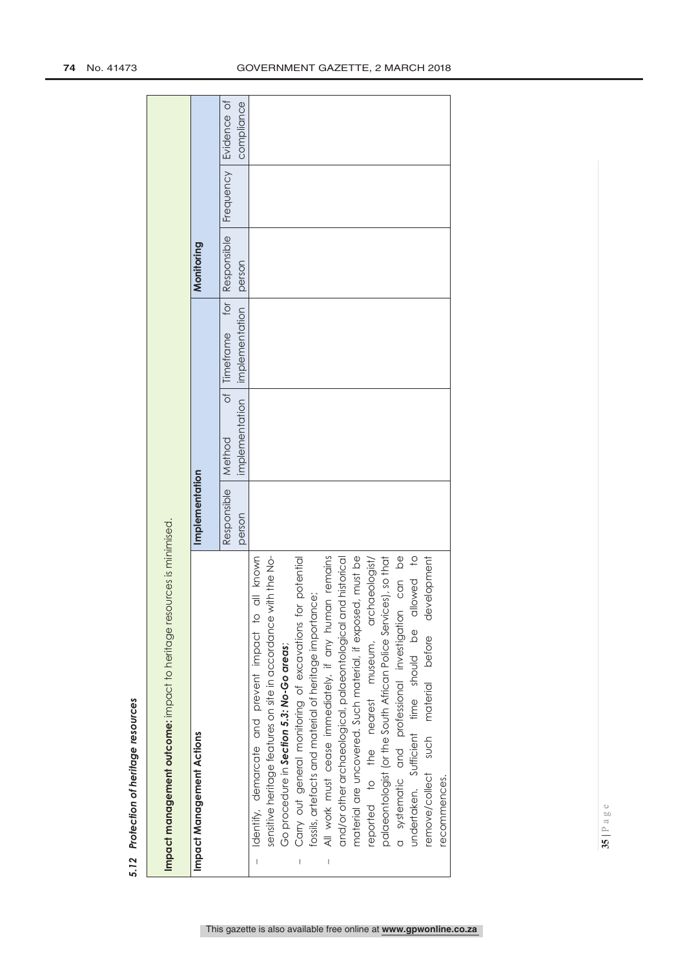| ֠      |
|--------|
| ١<br>I |
| ı<br>l |

j

 $\overline{1}$  $\ddot{\cdot}$ 

| <b>Impact management outcome:</b> impact to heritage resources is minimised.             |                |                |                       |             |                  |             |
|------------------------------------------------------------------------------------------|----------------|----------------|-----------------------|-------------|------------------|-------------|
| Impact Management Actions                                                                | Implementation |                |                       | Monitoring  |                  |             |
|                                                                                          | Responsible    | Method         | for<br>of   Timeframe | Responsible | <b>Frequency</b> | Evidence of |
|                                                                                          | person         | implementation | implementation        | person      |                  | compliance  |
| all known<br>Identify, demarcate and prevent impact to<br>$\begin{array}{c} \end{array}$ |                |                |                       |             |                  |             |
| sensitive heritage features on site in accordance with the No-                           |                |                |                       |             |                  |             |
| Go procedure in Section 5.3: No-Go areas;                                                |                |                |                       |             |                  |             |
| Carry out general monitoring of excavations for potential<br>I                           |                |                |                       |             |                  |             |
| fossils, artefacts and material of heritage importance;                                  |                |                |                       |             |                  |             |
| All work must cease immediately, if any human remains<br>I                               |                |                |                       |             |                  |             |
| and/or other archaeological, palaeontological and historical                             |                |                |                       |             |                  |             |
| material are uncovered. Such material, if exposed, must be                               |                |                |                       |             |                  |             |
| reported to the nearest museum, archaeologist/                                           |                |                |                       |             |                  |             |
| palaeontologist (or the South African Police Services), so that                          |                |                |                       |             |                  |             |
| can be<br>a systematic and professional investigation                                    |                |                |                       |             |                  |             |
| llowed to<br>undertaken. Sufficient time should be al                                    |                |                |                       |             |                  |             |
| remove/collect such material before development                                          |                |                |                       |             |                  |             |
| recommences.                                                                             |                |                |                       |             |                  |             |

**35 |** Page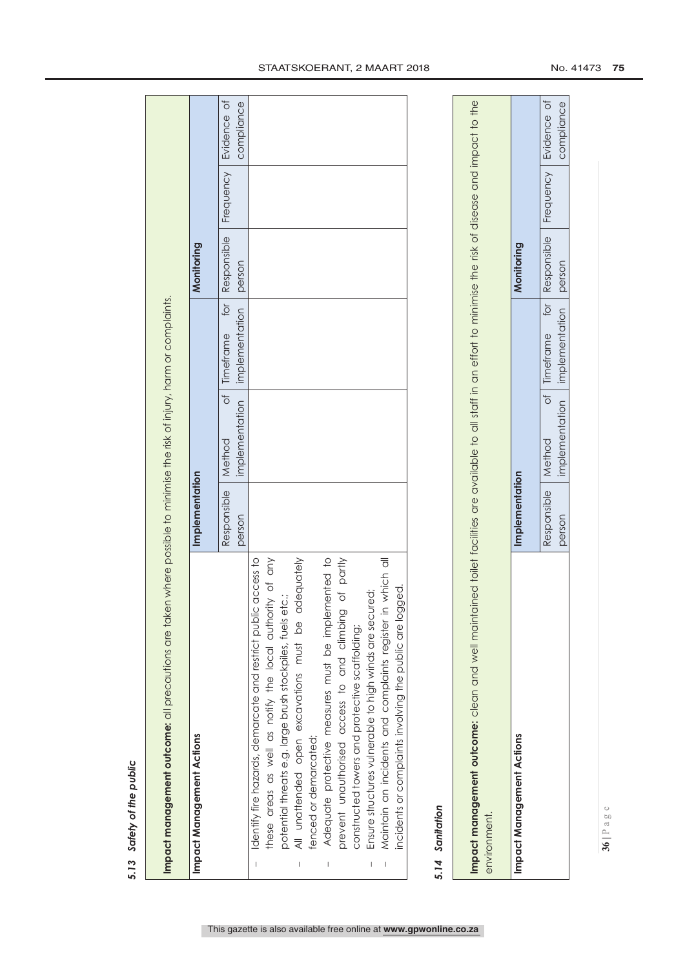| ì |
|---|
|   |
|   |
|   |
|   |
| t |
|   |
|   |
|   |
|   |
| г |
|   |
| ú |
|   |
|   |
|   |
|   |
|   |
|   |
| ¢ |
|   |
|   |
| u |
|   |

| ١<br>is an<br>į<br>ţ<br>֝<br>֪֦֪֪֦֧֧֚֚֞֝֝֝֝֝֝֝֝֝֝֟֓֝֝֝֝֝֝֝֝֝֓֝֓֝֬֝֓֝֓֝֓֝֓֝<br>≒ |
|---------------------------------------------------------------------------------|
| in the contract<br>J                                                            |
| TICO T<br>$\overline{\phantom{a}}$<br>-<br>-<br>-<br>-<br>į                     |
|                                                                                 |
| 1<br>֧֦֧֦֧֦֧֦֧֦֧֦֧֦֧֦֧֦֧֦֧֦֧֦֧֦֧֦֧֦֞֝֝֝                                         |
| .<br>=<br>=<br>į<br>o<br>ie:                                                    |
|                                                                                 |
|                                                                                 |

|   | Impact Management Actions                                      | Implementation       |                                      | Monitoring |                                       |
|---|----------------------------------------------------------------|----------------------|--------------------------------------|------------|---------------------------------------|
|   |                                                                | Responsible   Method | of limetrame for                     |            | Responsible   Frequency   Evidence of |
|   |                                                                | person               | implementation implementation person |            | compliance                            |
|   | Identify fire hazards, demarcate and restrict public access to |                      |                                      |            |                                       |
|   | these areas as well as notify the local authority of any       |                      |                                      |            |                                       |
|   | potential threats e.g. large brush stockpiles, fuels etc.;     |                      |                                      |            |                                       |
|   | All unattended open excavations must be adequately             |                      |                                      |            |                                       |
|   | fenced or demarcated;                                          |                      |                                      |            |                                       |
| I | Adequate protective measures must be implemented to            |                      |                                      |            |                                       |
|   | of partly<br>prevent unauthorised access to and climbing       |                      |                                      |            |                                       |
|   | constructed towers and protective scaffolding;                 |                      |                                      |            |                                       |
| I | Ensure structures vulnerable to high winds are secured;        |                      |                                      |            |                                       |
| I | Maintain an incidents and complaints register in which all     |                      |                                      |            |                                       |
|   | incidents or complaints involving the public are logged.       |                      |                                      |            |                                       |

# 5.14 Sanitation *5.14 Sanitation*

Impact management outcome: clean and well maintained toilet facilities are available to all staff in an effort to minimise the risk of disease and impact to the **Impact management outcome:** clean and well maintained toilet facilities are available to all staff in an effort to minimise the risk of disease and impact to the environment. environment.

| ACT<br>anagement / | mplementation       |                |                              | Monitoring |                           |
|--------------------|---------------------|----------------|------------------------------|------------|---------------------------|
|                    | esponsible   Method |                | of limetrame for Responsible |            | I Frequency   Evidence of |
|                    | person              | implementation | implementation person        |            | compliance                |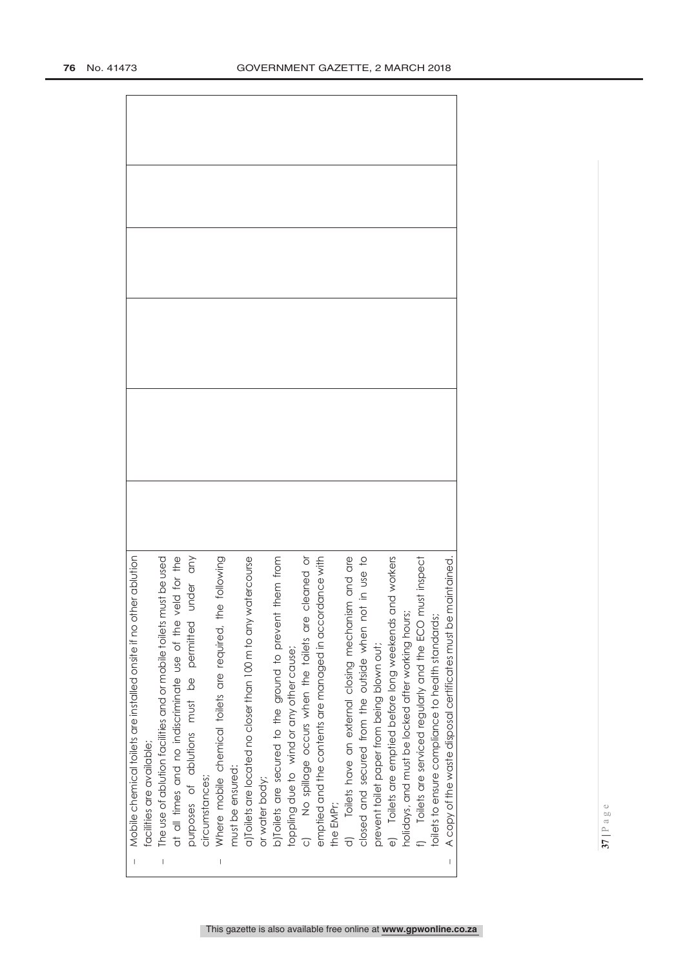| The use of ablution facilities and or mobile toilets must be used<br>facilities are available; |  |
|------------------------------------------------------------------------------------------------|--|
| at all times and no indiscriminate use of the veld for the                                     |  |
| permitted under any<br>must be<br>purposes of ablutions                                        |  |
| circumstances;                                                                                 |  |
| Where mobile chemical toilets are required, the following                                      |  |
| must be ensured:                                                                               |  |
| a)Toilets are located no closer than 100 m to any watercourse                                  |  |
| or water body;                                                                                 |  |
| b)Toilets are secured to the ground to prevent them from                                       |  |
| toppling due to wind or any other cause;                                                       |  |
| c) No spillage occurs when the toilets are cleaned or                                          |  |
| emptied and the contents are managed in accordance with                                        |  |
| the EMPr;                                                                                      |  |
| d) Toilets have an external closing mechanism and are                                          |  |
| closed and secured from the outside when not in use to                                         |  |
| prevent toilet paper from being blown out;                                                     |  |
| e) Toilets are emptied before long weekends and workers                                        |  |
| holidays, and must be locked after working hours;                                              |  |
| f) Toilets are serviced regularly and the ECO must inspect                                     |  |
| toilets to ensure compliance to health standards;                                              |  |
| A copy of the waste disposal certificates must be maintained.                                  |  |

- Mobile chemical toilets are installed onsite if no other ablution Mobile chemical toilets are installed onsite if no other ablution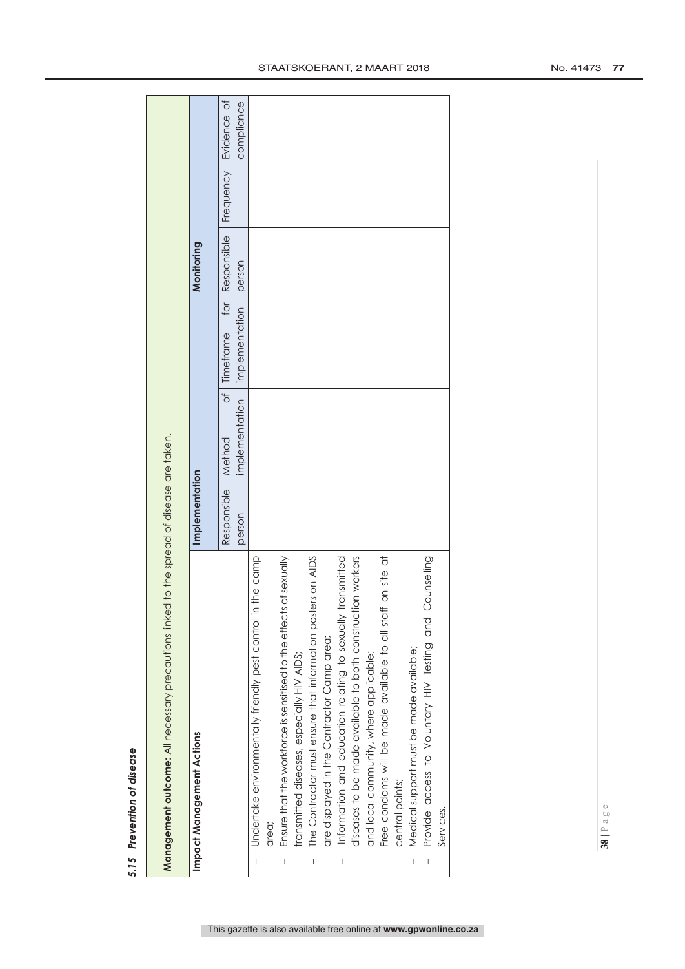| ı |
|---|
|   |
| ٠ |
| í |
|   |
| I |
|   |
| ï |
|   |
|   |
|   |
|   |
| l |
|   |
|   |
|   |
|   |
|   |
|   |
| b |
| ь |
|   |

J

|        | <b>Management outcome:</b> All necessary precautions linked to the spread of disease are taken. |                                |               |                                                |            |                                       |
|--------|-------------------------------------------------------------------------------------------------|--------------------------------|---------------|------------------------------------------------|------------|---------------------------------------|
|        | <b>Impact Management Actions</b>                                                                | Implementation                 |               |                                                | Monitoring |                                       |
|        |                                                                                                 | Responsible   Method<br>person | mplementation | of Timeframe for Responsible<br>implementation | person     | Frequency   Evidence of<br>compliance |
|        | - Undertake environmentally-friendly pest control in the camp                                   |                                |               |                                                |            |                                       |
|        | area;                                                                                           |                                |               |                                                |            |                                       |
| $\mid$ | Ensure that the workforce is sensitised to the effects of sexually                              |                                |               |                                                |            |                                       |
|        | transmitted diseases, especially HIV AIDS;                                                      |                                |               |                                                |            |                                       |
| I      | The Contractor must ensure that information posters on AIDS                                     |                                |               |                                                |            |                                       |
|        | are displayed in the Contractor Camp area;                                                      |                                |               |                                                |            |                                       |
| $\mid$ | Information and education relating to sexually transmitted                                      |                                |               |                                                |            |                                       |
|        | diseases to be made available to both construction workers                                      |                                |               |                                                |            |                                       |
|        | and local community, where applicable;                                                          |                                |               |                                                |            |                                       |
|        | on site at<br>Free condoms will be made available to all staff                                  |                                |               |                                                |            |                                       |

central points;

central points;

 $\bar{\Gamma}$ 

 $\bar{\phantom{a}}$ 

Services.

Services.

Medical support must be made available;

Medical support must be made available;

Provide access to Voluntary HIV Testing and Counselling

Provide access to Voluntary HIV Testing and Counselling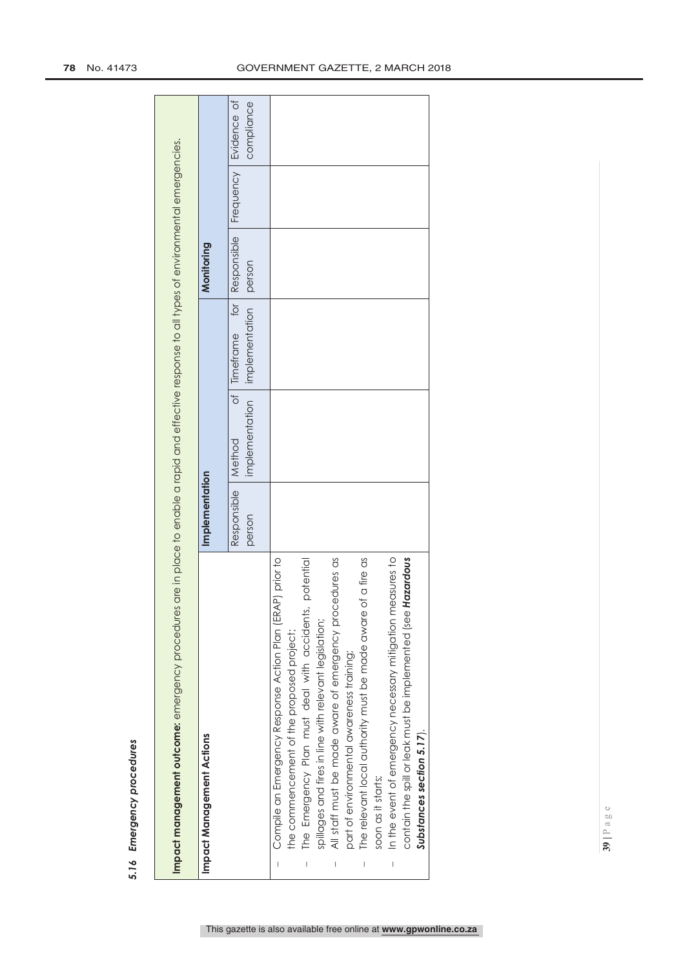| l                                                                                                              |
|----------------------------------------------------------------------------------------------------------------|
|                                                                                                                |
|                                                                                                                |
|                                                                                                                |
| l                                                                                                              |
|                                                                                                                |
|                                                                                                                |
|                                                                                                                |
|                                                                                                                |
|                                                                                                                |
|                                                                                                                |
|                                                                                                                |
|                                                                                                                |
|                                                                                                                |
|                                                                                                                |
|                                                                                                                |
| i                                                                                                              |
|                                                                                                                |
|                                                                                                                |
| i<br>١                                                                                                         |
| in the control of the control of the control of the control of the control of the control of the control of th |
|                                                                                                                |
|                                                                                                                |
|                                                                                                                |
|                                                                                                                |
|                                                                                                                |
|                                                                                                                |
|                                                                                                                |
|                                                                                                                |
|                                                                                                                |
| ı                                                                                                              |
| ţ                                                                                                              |

| Impact management outcome: emergency procedures                                                           |                       |                                                  | are in place to enable a rapid and effective response to all types of environmental emergencies. |                       |                  |                           |
|-----------------------------------------------------------------------------------------------------------|-----------------------|--------------------------------------------------|--------------------------------------------------------------------------------------------------|-----------------------|------------------|---------------------------|
| Impact Management Actions                                                                                 | Implementation        |                                                  |                                                                                                  | Monitoring            |                  |                           |
|                                                                                                           | Responsible<br>person | implementation<br>$\frac{1}{\sqrt{2}}$<br>Method | for $\overline{\phantom{a}}$<br>implementation<br>Timeframe                                      | Responsible<br>person | <b>Frequency</b> | Evidence of<br>compliance |
| Compile an Emergency Response Action Plan (ERAP) prior to                                                 |                       |                                                  |                                                                                                  |                       |                  |                           |
| potential<br>The Emergency Plan must deal with accidents,<br>the commencement of the proposed project;    |                       |                                                  |                                                                                                  |                       |                  |                           |
| spillages and fires in line with relevant legislation;                                                    |                       |                                                  |                                                                                                  |                       |                  |                           |
| edures as<br>All staff must be made aware of emergency proc-<br>part of environmental awareness training; |                       |                                                  |                                                                                                  |                       |                  |                           |
| The relevant local authority must be made aware of a fire as<br>I                                         |                       |                                                  |                                                                                                  |                       |                  |                           |
| soon as it starts;                                                                                        |                       |                                                  |                                                                                                  |                       |                  |                           |
| In the event of emergency necessary mitigation measures to<br>$\mid$                                      |                       |                                                  |                                                                                                  |                       |                  |                           |
| Hazardous<br>contain the spill or leak must be implemented (see                                           |                       |                                                  |                                                                                                  |                       |                  |                           |
| Substances section 5.17).                                                                                 |                       |                                                  |                                                                                                  |                       |                  |                           |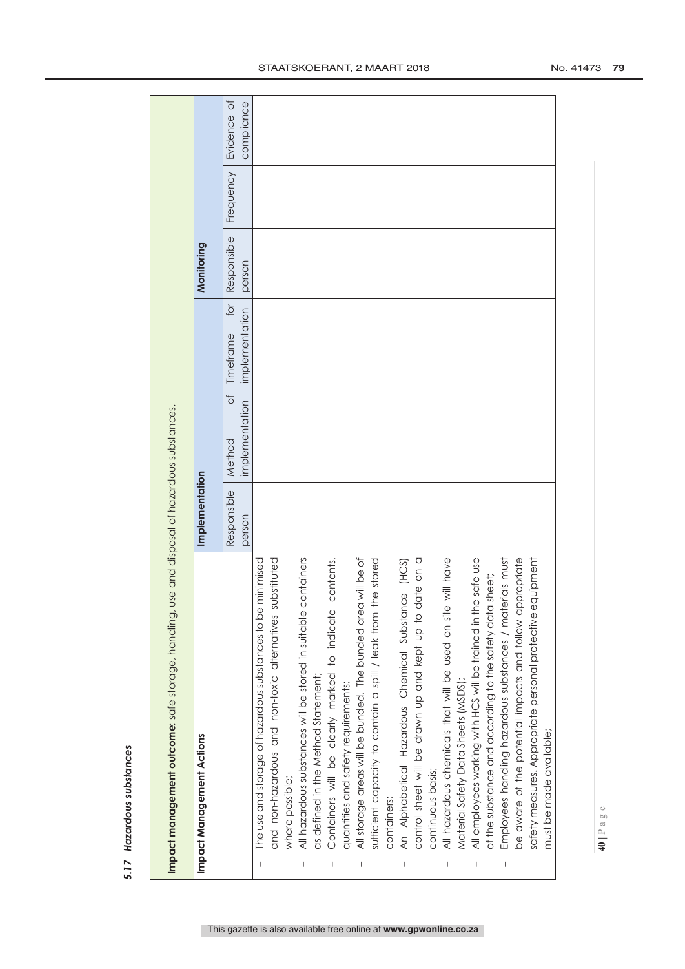| ï |
|---|
|   |
|   |
|   |
|   |
|   |
|   |
|   |
|   |
|   |
|   |
|   |
|   |
|   |
|   |
|   |
| I |
|   |
|   |
|   |
|   |
|   |
|   |
| ı |
|   |

|                          | Impact management outcome: safe storage, handling                 |                | use and disposal of hazardous substances. |                  |             |           |             |
|--------------------------|-------------------------------------------------------------------|----------------|-------------------------------------------|------------------|-------------|-----------|-------------|
|                          | Impact Management Actions                                         | Implementation |                                           |                  | Monitoring  |           |             |
|                          |                                                                   | Responsible    | $\frac{1}{\sigma}$<br>Method              | for<br>Timeframe | Responsible | Frequency | Evidence of |
|                          |                                                                   | person         | implementation                            | implementation   | person      |           | compliance  |
|                          | The use and storage of hazardous substances to be minimised       |                |                                           |                  |             |           |             |
|                          | substituted<br>and non-hazardous and non-toxic alternatives       |                |                                           |                  |             |           |             |
|                          | where possible;                                                   |                |                                           |                  |             |           |             |
| $\overline{\phantom{a}}$ | containers<br>All hazardous substances will be stored in suitable |                |                                           |                  |             |           |             |
|                          | as defined in the Method Statement;                               |                |                                           |                  |             |           |             |
|                          | contents,<br>Containers will be clearly marked to indicate        |                |                                           |                  |             |           |             |
|                          | quantities and safety requirements;                               |                |                                           |                  |             |           |             |
|                          | a will be of<br>All storage areas will be bunded. The bunded are  |                |                                           |                  |             |           |             |
|                          | the stored<br>sufficient capacity to contain a spill / leak from  |                |                                           |                  |             |           |             |
|                          | containers;                                                       |                |                                           |                  |             |           |             |
|                          | An Alphabetical Hazardous Chemical Substance (HCS)                |                |                                           |                  |             |           |             |
|                          | date on a<br>control sheet will be drawn up and kept up to        |                |                                           |                  |             |           |             |
|                          | continuous basis;                                                 |                |                                           |                  |             |           |             |
|                          | All hazardous chemicals that will be used on site will have       |                |                                           |                  |             |           |             |
|                          | Material Safety Data Sheets (MSDS);                               |                |                                           |                  |             |           |             |
|                          | All employees working with HCS will be trained in the safe use    |                |                                           |                  |             |           |             |
|                          | of the substance and according to the safety data sheet;          |                |                                           |                  |             |           |             |
|                          | Employees handling hazardous substances / materials must          |                |                                           |                  |             |           |             |
|                          | be aware of the potential impacts and follow appropriate          |                |                                           |                  |             |           |             |
|                          | equipment<br>safety measures. Appropriate personal protective     |                |                                           |                  |             |           |             |
|                          | must be made available;                                           |                |                                           |                  |             |           |             |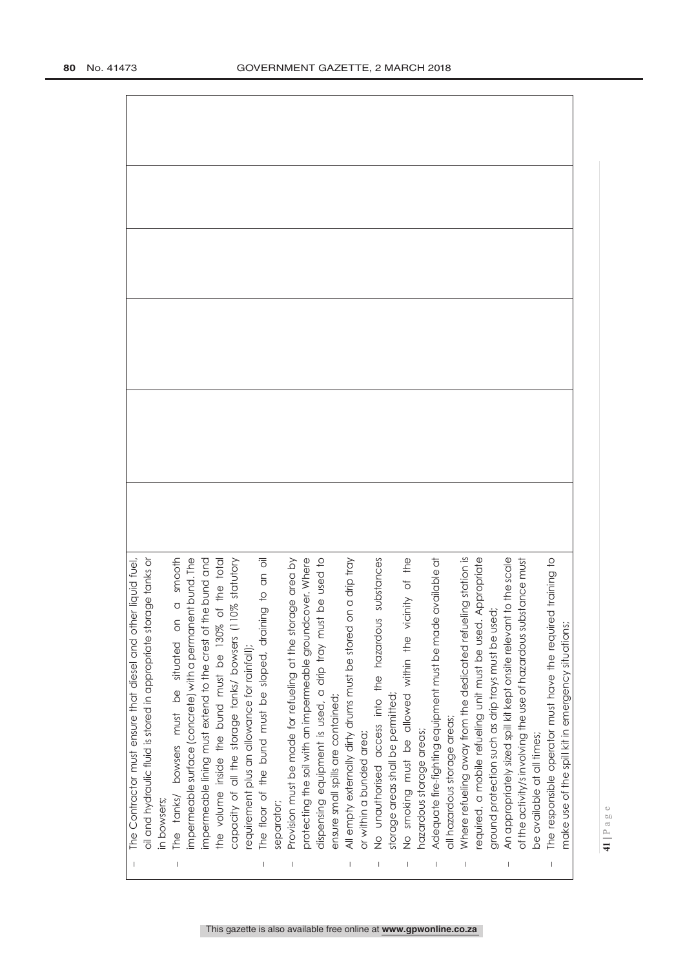| The Contractor must ensure that diesel and other liquid fuel,                                                       |  |
|---------------------------------------------------------------------------------------------------------------------|--|
| e tanks or<br>oil and hydraulic fluid is stored in appropriate storag                                               |  |
| in bowsers;                                                                                                         |  |
| smooth<br>$\circ$<br>The tanks/ bowsers must be situated on                                                         |  |
| impermeable surface (concrete) with a permanent bund. The                                                           |  |
| impermeable lining must extend to the crest of the bund and<br>the volume inside the bund must be 130% of the total |  |
|                                                                                                                     |  |
| statutory<br>capacity of all the storage tanks/ bowsers (110%                                                       |  |
| requirement plus an allowance for rainfall);                                                                        |  |
| to an oil<br>The floor of the bund must be sloped, draining                                                         |  |
| separator;                                                                                                          |  |
| Provision must be made for refueling at the storage area by                                                         |  |
| protecting the soil with an impermeable groundcover. Where                                                          |  |
| dispensing equipment is used, a drip tray must be used to                                                           |  |
| ensure small spills are contained;                                                                                  |  |
| All empty externally dirty drums must be stored on a drip tray                                                      |  |
| or within a bunded area;                                                                                            |  |
| No unauthorised access into the hazardous substances                                                                |  |
| storage areas shall be permitted;                                                                                   |  |
| No smoking must be allowed within the vicinity of the                                                               |  |
| hazardous storage areas;                                                                                            |  |
| Adequate fire-fighting equipment must be made available at                                                          |  |
| all hazardous storage areas;                                                                                        |  |
| station is<br>Where refueling away from the dedicated refueling                                                     |  |
| propriate<br>required, a mobile refueling unit must be used. Ap                                                     |  |
| ground protection such as drip trays must be used;                                                                  |  |
| An appropriately sized spill kit kept onsite relevant to the scale                                                  |  |
| of the activity/s involving the use of hazardous substance must                                                     |  |
| be available at all times;                                                                                          |  |
| training to<br>The responsible operator must have the required                                                      |  |
| make use of the spill kit in emergency situations;                                                                  |  |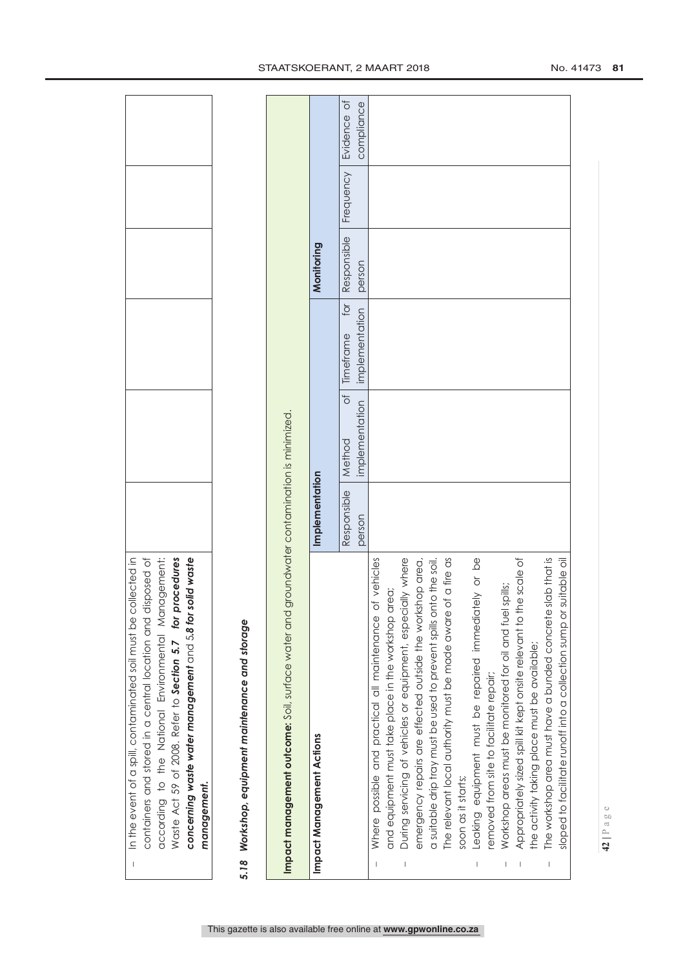| In the event of a spill, contaminated soil must be collected in<br>according to the National Environmental Management:<br>Waste Act 59 of 2008. Refer to Section 5.7 for procedures<br>solid waste<br>disposed of<br>concerning waste water management and 5.8 for<br>containers and stored in a central location and<br>management.<br>$\mathbf{I}$ |                       |                                         |                                    |                       |           |                           |
|------------------------------------------------------------------------------------------------------------------------------------------------------------------------------------------------------------------------------------------------------------------------------------------------------------------------------------------------------|-----------------------|-----------------------------------------|------------------------------------|-----------------------|-----------|---------------------------|
| 5.18 Workshop, equipment maintenance and storage                                                                                                                                                                                                                                                                                                     |                       |                                         |                                    |                       |           |                           |
| Impact management outcome: Soil, surface water and                                                                                                                                                                                                                                                                                                   |                       | groundwater contamination is minimized. |                                    |                       |           |                           |
| Impact Management Actions                                                                                                                                                                                                                                                                                                                            | Implementation        |                                         |                                    | Monitoring            |           |                           |
|                                                                                                                                                                                                                                                                                                                                                      | Responsible<br>person | đ<br>implementation<br>Method           | for<br>implementation<br>Timeframe | Responsible<br>person | Frequency | Evidence of<br>compliance |
| of vehicles<br>Where possible and practical all maintenance                                                                                                                                                                                                                                                                                          |                       |                                         |                                    |                       |           |                           |
| During servicing of vehicles or equipment, especially where<br>area;<br>and equipment must take place in the workshop                                                                                                                                                                                                                                |                       |                                         |                                    |                       |           |                           |
| emergency repairs are effected outside the workshop area,                                                                                                                                                                                                                                                                                            |                       |                                         |                                    |                       |           |                           |
| a suitable drip tray must be used to prevent spills onto the soil.                                                                                                                                                                                                                                                                                   |                       |                                         |                                    |                       |           |                           |
| The relevant local authority must be made aware of a fire as                                                                                                                                                                                                                                                                                         |                       |                                         |                                    |                       |           |                           |
| soon as it starts;                                                                                                                                                                                                                                                                                                                                   |                       |                                         |                                    |                       |           |                           |
| Leaking equipment must be repaired immediately or be                                                                                                                                                                                                                                                                                                 |                       |                                         |                                    |                       |           |                           |
| removed from site to facilitate repair;                                                                                                                                                                                                                                                                                                              |                       |                                         |                                    |                       |           |                           |
| Workshop areas must be monitored for oil and fuel spills;                                                                                                                                                                                                                                                                                            |                       |                                         |                                    |                       |           |                           |
| Appropriately sized spill kit kept onsite relevant to the scale of                                                                                                                                                                                                                                                                                   |                       |                                         |                                    |                       |           |                           |
| he activity taking place must be available;                                                                                                                                                                                                                                                                                                          |                       |                                         |                                    |                       |           |                           |
| The workshop area must have a bunded concrete slab that is                                                                                                                                                                                                                                                                                           |                       |                                         |                                    |                       |           |                           |
| suitable oil<br>sloped to facilitate runoff into a collection sump or                                                                                                                                                                                                                                                                                |                       |                                         |                                    |                       |           |                           |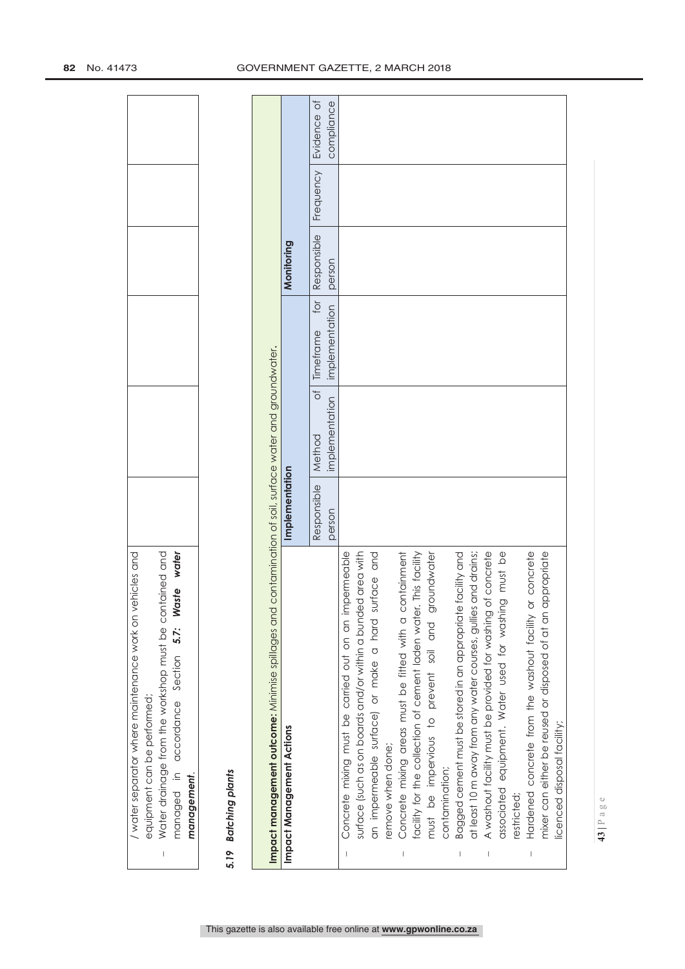| ehicles and<br>water separator where maintenance work on | equipment can be performed; | Nater drainage from the workshop must be cc<br>I | wate <sub>1</sub><br>vaste<br>managed in accordance Section 5.7: | management. |
|----------------------------------------------------------|-----------------------------|--------------------------------------------------|------------------------------------------------------------------|-------------|

# 5.19 Batching plants *5.19 Batching plants*

|                                | Impact management outcome: Minimise spillages and contamination of soil, sufface water and groundwater. |                |                |                                    |             |                         |
|--------------------------------|---------------------------------------------------------------------------------------------------------|----------------|----------------|------------------------------------|-------------|-------------------------|
|                                | Impact Management Actions                                                                               | Implementation |                |                                    | Monitoring  |                         |
|                                |                                                                                                         | Responsible    | Method         | $\overline{101}$<br>of   Timeframe | Responsible | Frequency   Evidence of |
|                                |                                                                                                         | person         | implementation | implementation                     | person      | compliance              |
|                                | Concrete mixing must be carried out on an impermeable                                                   |                |                |                                    |             |                         |
|                                | surface (such as on boards and/or within a bunded area with                                             |                |                |                                    |             |                         |
|                                | surface and<br>an impermeable surface) or make a hard                                                   |                |                |                                    |             |                         |
|                                | remove when done;                                                                                       |                |                |                                    |             |                         |
| $\begin{array}{c} \end{array}$ | containment<br>Concrete mixing areas must be fitted with a                                              |                |                |                                    |             |                         |
|                                | facility for the collection of cement laden water. This facility                                        |                |                |                                    |             |                         |
|                                | groundwater<br>must be impervious to prevent soil and                                                   |                |                |                                    |             |                         |
|                                | contamination;                                                                                          |                |                |                                    |             |                         |
|                                | Bagged cement must be stored in an appropriate facility and                                             |                |                |                                    |             |                         |
|                                | at least 10 m away from any water courses, gullies and drains;                                          |                |                |                                    |             |                         |
| T                              | A washout facility must be provided for washing of concrete                                             |                |                |                                    |             |                         |
|                                | associated equipment. Water used for washing must be                                                    |                |                |                                    |             |                         |
|                                | restricted;                                                                                             |                |                |                                    |             |                         |
| $\overline{1}$                 | or concrete<br>Hardened concrete from the washout facility                                              |                |                |                                    |             |                         |
|                                | appropriate<br>mixer can either be reused or disposed of at an                                          |                |                |                                    |             |                         |
|                                | licenced disposal facility;                                                                             |                |                |                                    |             |                         |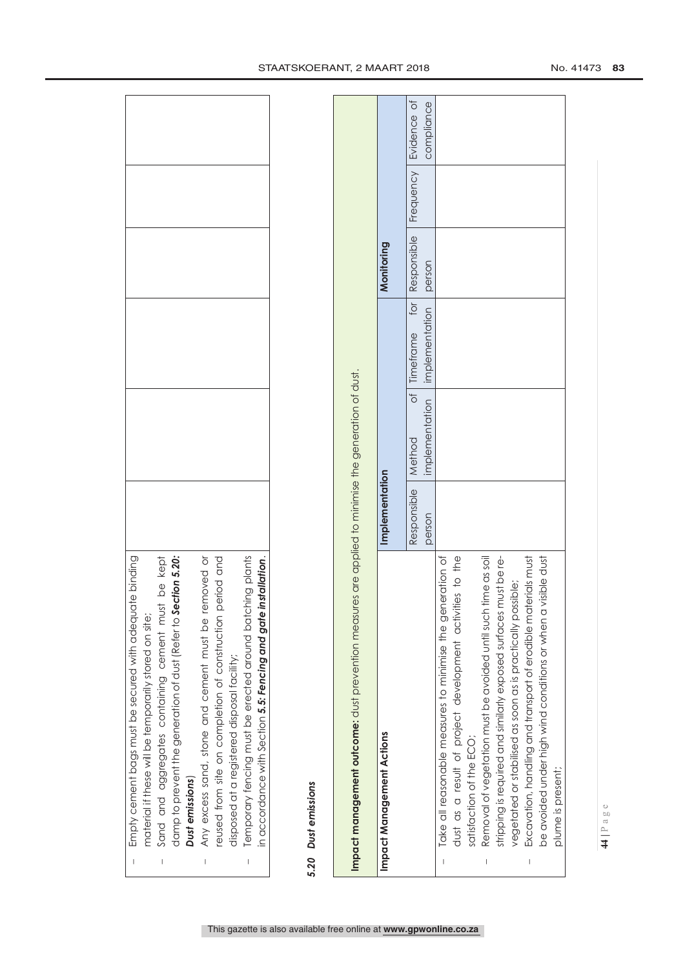| Temporary fencing must be erected around batching plants<br>damp to prevent the generation of dust (Refer to <b>Section 5.20:</b><br>period and<br>Sand and aggregates containing cement must be kept<br>installation.<br>or pevome<br>material if these will be temporarily stored on site;<br>in accordance with Section 5.5: Fencing and gate<br>reused from site on completion of construction<br>Any excess sand, stone and cement must be<br>disposed at a registered disposal facility;<br>Dust emissions<br>$\begin{array}{c} \rule{0pt}{2.5ex} \rule{0pt}{2.5ex} \rule{0pt}{2.5ex} \rule{0pt}{2.5ex} \rule{0pt}{2.5ex} \rule{0pt}{2.5ex} \rule{0pt}{2.5ex} \rule{0pt}{2.5ex} \rule{0pt}{2.5ex} \rule{0pt}{2.5ex} \rule{0pt}{2.5ex} \rule{0pt}{2.5ex} \rule{0pt}{2.5ex} \rule{0pt}{2.5ex} \rule{0pt}{2.5ex} \rule{0pt}{2.5ex} \rule{0pt}{2.5ex} \rule{0pt}{2.5ex} \rule{0pt}{2.5ex} \rule{0$<br>$\overline{\phantom{a}}$ |                       |                                                |                                    |                       |           |                           |
|----------------------------------------------------------------------------------------------------------------------------------------------------------------------------------------------------------------------------------------------------------------------------------------------------------------------------------------------------------------------------------------------------------------------------------------------------------------------------------------------------------------------------------------------------------------------------------------------------------------------------------------------------------------------------------------------------------------------------------------------------------------------------------------------------------------------------------------------------------------------------------------------------------------------------------|-----------------------|------------------------------------------------|------------------------------------|-----------------------|-----------|---------------------------|
| 5.20 Dust emissions                                                                                                                                                                                                                                                                                                                                                                                                                                                                                                                                                                                                                                                                                                                                                                                                                                                                                                              |                       |                                                |                                    |                       |           |                           |
| Impact management outcome: dust prevention measures are applied to minimise the generation of dust.                                                                                                                                                                                                                                                                                                                                                                                                                                                                                                                                                                                                                                                                                                                                                                                                                              |                       |                                                |                                    |                       |           |                           |
| Impact Management Actions                                                                                                                                                                                                                                                                                                                                                                                                                                                                                                                                                                                                                                                                                                                                                                                                                                                                                                        | Implementation        |                                                |                                    | Monitoring            |           |                           |
|                                                                                                                                                                                                                                                                                                                                                                                                                                                                                                                                                                                                                                                                                                                                                                                                                                                                                                                                  | Responsible<br>person | $\overline{\circ}$<br>implementation<br>Method | tor<br>implementation<br>Timeframe | Responsible<br>person | Frequency | Evidence of<br>compliance |
| dust as a result of project development activities to the<br>Take all reasonable measures to minimise the generation of<br>satisfaction of the ECO;                                                                                                                                                                                                                                                                                                                                                                                                                                                                                                                                                                                                                                                                                                                                                                              |                       |                                                |                                    |                       |           |                           |
| Removal of vegetation must be avoided until such time as soil<br>stripping is required and similarly exposed surfaces must be re-<br>$\begin{array}{c} \rule{0pt}{2.5ex} \rule{0pt}{2.5ex} \rule{0pt}{2.5ex} \rule{0pt}{2.5ex} \rule{0pt}{2.5ex} \rule{0pt}{2.5ex} \rule{0pt}{2.5ex} \rule{0pt}{2.5ex} \rule{0pt}{2.5ex} \rule{0pt}{2.5ex} \rule{0pt}{2.5ex} \rule{0pt}{2.5ex} \rule{0pt}{2.5ex} \rule{0pt}{2.5ex} \rule{0pt}{2.5ex} \rule{0pt}{2.5ex} \rule{0pt}{2.5ex} \rule{0pt}{2.5ex} \rule{0pt}{2.5ex} \rule{0$                                                                                                                                                                                                                                                                                                                                                                                                            |                       |                                                |                                    |                       |           |                           |
| Excavation, handling and transport of erodible materials must<br>be avoided under high wind conditions or when a visible dust<br>vegetated or stabilised as soon as is practically possible;<br>plume is present;                                                                                                                                                                                                                                                                                                                                                                                                                                                                                                                                                                                                                                                                                                                |                       |                                                |                                    |                       |           |                           |
|                                                                                                                                                                                                                                                                                                                                                                                                                                                                                                                                                                                                                                                                                                                                                                                                                                                                                                                                  |                       |                                                |                                    |                       |           |                           |

 $\overline{1}$ 

Empty cement bags must be secured with adequate binding

Empty cement bags must be secured with adequate binding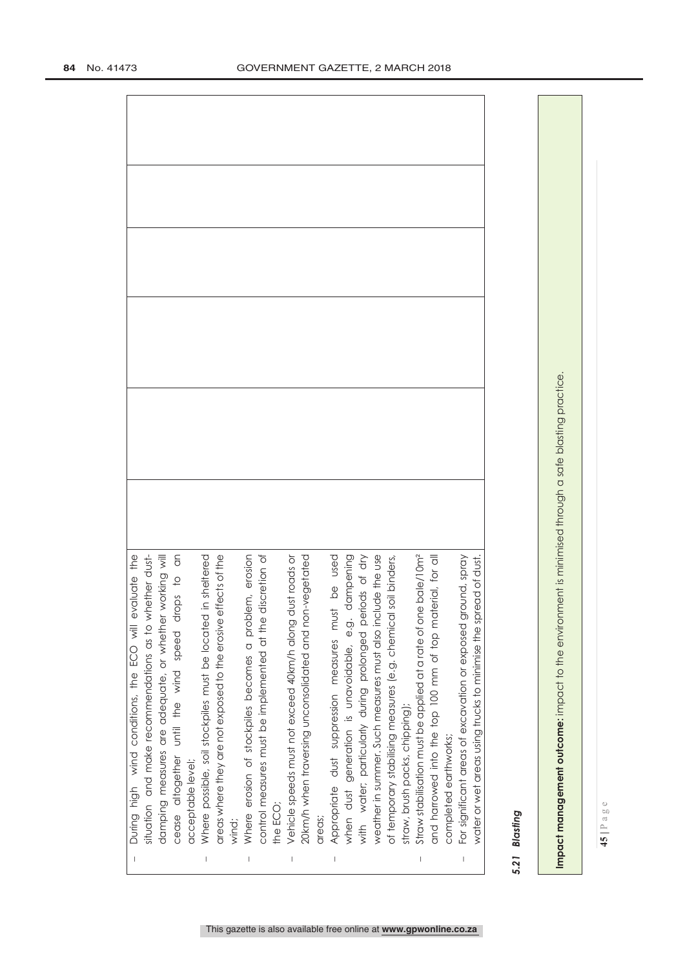| <b>DIA-Ho TC</b>                                                                                                                                                              |
|-------------------------------------------------------------------------------------------------------------------------------------------------------------------------------|
| water or wet areas using trucks to minimise the spread of dust                                                                                                                |
| For significant areas of excavation or exposed ground, spray                                                                                                                  |
| completed earthworks;                                                                                                                                                         |
| erial, for all<br>and harrowed into the top 100 mm of top mat                                                                                                                 |
| Straw stabilisation must be applied at a rate of one bale/10m <sup>2</sup>                                                                                                    |
| straw, brush packs, chipping);                                                                                                                                                |
| soil binders,<br>of temporary stabilising measures (e.g. chemical                                                                                                             |
|                                                                                                                                                                               |
| when dust generation is unavoidable, e.g. dampening<br>with water; particularly during prolonged periods of dry<br>weather in summer. Such measures must also include the use |
|                                                                                                                                                                               |
| be used<br>Appropriate dust suppression measures must                                                                                                                         |
| areas;                                                                                                                                                                        |
| 20km/h when traversing unconsolidated and non-vegetated                                                                                                                       |
|                                                                                                                                                                               |
| the ECO;                                                                                                                                                                      |
|                                                                                                                                                                               |
| Where erosion of stockpiles becomes a problem, erosion<br>control measures must be implemented at the discretion of                                                           |
| wind;                                                                                                                                                                         |
| areas where they are not exposed to the erosive effects of the                                                                                                                |
| in sheltered<br>Where possible, soil stockpiles must be located                                                                                                               |
| acceptable level;                                                                                                                                                             |
| cease altogether until the wind speed drops to an                                                                                                                             |
| working will<br>damping measures are adequate, or whether                                                                                                                     |
| situation and make recommendations as to whether dust-                                                                                                                        |
| aluate the<br>During high wind conditions, the ECO will ev                                                                                                                    |

# *5.21 Blasting*  Blasting  $5.21$

Impact management outcome: impact to the environment is minimised through a safe blasting practice. **Impact management outcome:** impact to the environment is minimised through a safe blasting practice.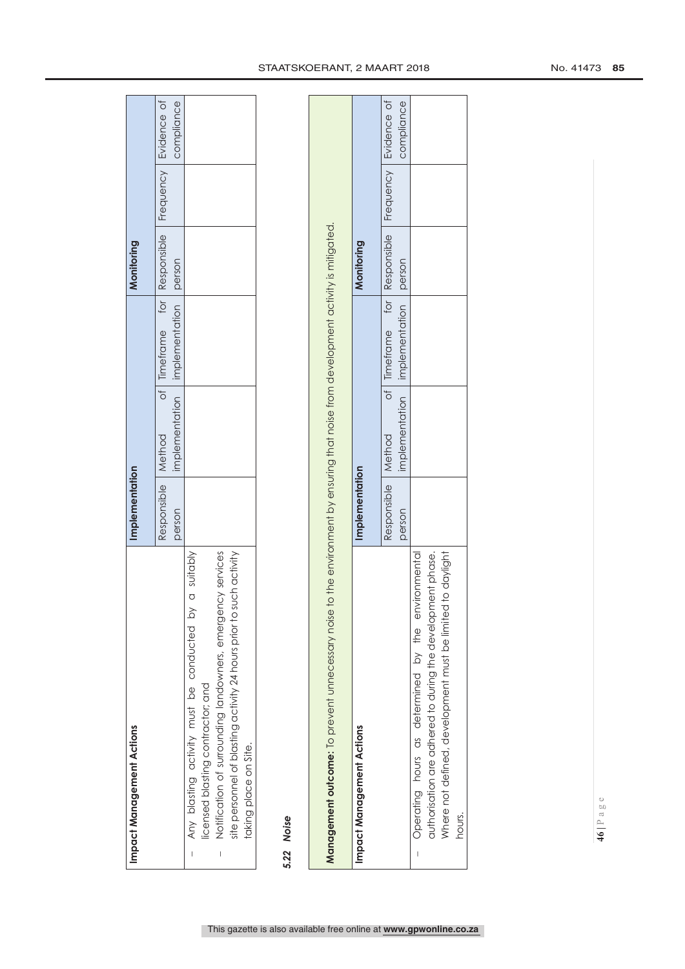| Impact Management Actions                                           | mplementation |                                                                                |                                          | Monitoring |            |
|---------------------------------------------------------------------|---------------|--------------------------------------------------------------------------------|------------------------------------------|------------|------------|
|                                                                     |               | esponsible   Method of   Timeframe for   Responsible   Frequency   Evidence of |                                          |            |            |
|                                                                     | person        |                                                                                | implementation   implementation   person |            | compliance |
| Any blasting activity must be conducted by a suitably               |               |                                                                                |                                          |            |            |
| licensed blasting contractor; and                                   |               |                                                                                |                                          |            |            |
| Notification of surrounding landowners, emergency services<br>I     |               |                                                                                |                                          |            |            |
| site personnel of blasting activity 24 hours prior to such activity |               |                                                                                |                                          |            |            |
| taking place on Site.                                               |               |                                                                                |                                          |            |            |
|                                                                     |               |                                                                                |                                          |            |            |

# *5.22 Noise*  5.22 Noise

| Management outcome: To prevent unnecessary noise           |                      | to the environment by ensuring that noise from development activity is mitigated. |                                                            |            |            |
|------------------------------------------------------------|----------------------|-----------------------------------------------------------------------------------|------------------------------------------------------------|------------|------------|
| Impact Management Actions                                  | Implementation       |                                                                                   |                                                            | Monitoring |            |
|                                                            | Responsible   Method |                                                                                   | of   Timeframe tor   Responsible   Frequency   Evidence of |            |            |
|                                                            | person               |                                                                                   | implementation implementation person                       |            | compliance |
| Operating hours as determined by the environmental         |                      |                                                                                   |                                                            |            |            |
| authorisation are adhered to during the development phase. |                      |                                                                                   |                                                            |            |            |
| Where not defined, development must be limited to daylight |                      |                                                                                   |                                                            |            |            |
| nours.                                                     |                      |                                                                                   |                                                            |            |            |

# This gazette is also available free online at **www.gpwonline.co.za**

# STAATSKOERANT, 2 MAART 2018 12018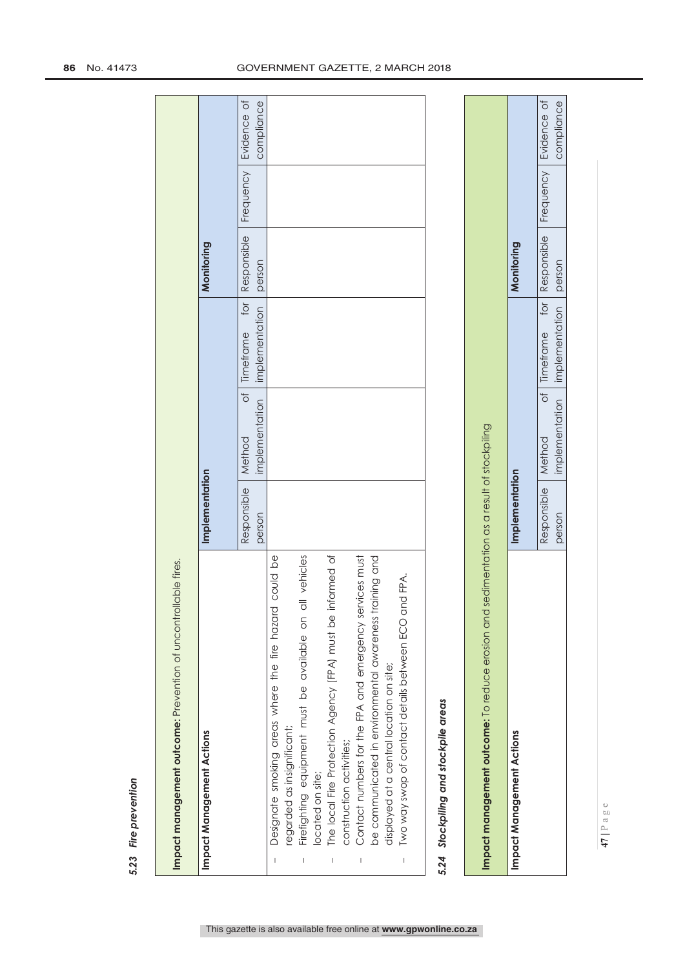| Impact management outcome: Prevention of uncontrollable fires.                                                                                                                                                                                                                                                                                                                                                                                                                                               |                                          |                                                |                                                   |                       |           |                           |
|--------------------------------------------------------------------------------------------------------------------------------------------------------------------------------------------------------------------------------------------------------------------------------------------------------------------------------------------------------------------------------------------------------------------------------------------------------------------------------------------------------------|------------------------------------------|------------------------------------------------|---------------------------------------------------|-----------------------|-----------|---------------------------|
| Impact Management Actions                                                                                                                                                                                                                                                                                                                                                                                                                                                                                    | Implementation                           |                                                |                                                   | Monitoring            |           |                           |
|                                                                                                                                                                                                                                                                                                                                                                                                                                                                                                              | Responsible<br>person                    | $\overline{\circ}$<br>implementation<br>Method | $\overline{5}$<br>implementation<br>Timeframe     | Responsible<br>person | Frequency | Evidence of<br>compliance |
| The local Fire Protection Agency (FPA) must be informed of<br>could be<br>all vehicles<br>Contact numbers for the FPA and emergency services must<br>aining and<br>Two way swop of contact details between ECO and FPA.<br>Designate smoking areas where the fire hazard<br>be communicated in environmental awareness tr<br>Firefighting equipment must be available on<br>displayed at a central location on site;<br>regarded as insignificant;<br>construction activities;<br>located on site;<br>I<br>I |                                          |                                                |                                                   |                       |           |                           |
| 5.24 Stockpiling and stockpile areas                                                                                                                                                                                                                                                                                                                                                                                                                                                                         |                                          |                                                |                                                   |                       |           |                           |
| Impact management outcome: To reduce erosion and                                                                                                                                                                                                                                                                                                                                                                                                                                                             | sedimentation as a result of stockpiling |                                                |                                                   |                       |           |                           |
| Impact Management Actions                                                                                                                                                                                                                                                                                                                                                                                                                                                                                    | Implementation                           |                                                |                                                   | Monitoring            |           |                           |
|                                                                                                                                                                                                                                                                                                                                                                                                                                                                                                              | Responsible<br>person                    | ð<br>implementation<br>Method                  | for $\overline{a}$<br>implementation<br>Timeframe | Responsible<br>person | Frequency | Evidence of<br>compliance |

# **86** No. 41473 GOVERNMENT GAZETTE, 2 MARCH 2018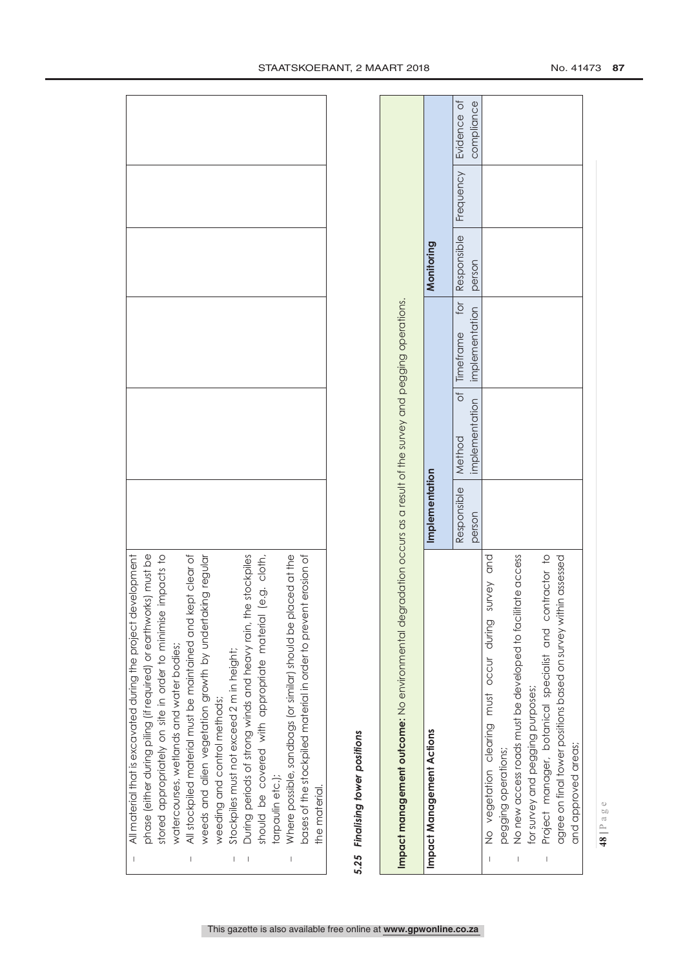| All material that is excavated during the project development                                                                    |  |
|----------------------------------------------------------------------------------------------------------------------------------|--|
|                                                                                                                                  |  |
| phase (either during piling (if required) or earthworks) must be<br>stored appropriately on site in order to minimise impacts to |  |
| watercourses, wetlands and water bodies;                                                                                         |  |
| All stockpiled material must be maintained and kept clear of                                                                     |  |
| iking regular<br>weeds and alien vegetation growth by undertal                                                                   |  |
| weeding and control methods;                                                                                                     |  |
| Stockpiles must not exceed 2 m in height;                                                                                        |  |
| re stockpiles<br>During periods of strong winds and heavy rain, th                                                               |  |
| (e.g. cloth,<br>should be covered with appropriate material                                                                      |  |
| tarpaulin etc.);                                                                                                                 |  |
| Where possible, sandbags (or similar) should be placed at the                                                                    |  |
| bases of the stockpiled material in order to prevent erosion of                                                                  |  |
| the material.                                                                                                                    |  |
|                                                                                                                                  |  |

# 5.25 Finalising tower positions *5.25 Finalising tower positions*

| Impact management outcome: No environmental degradation occurs as a result of the survey and pegging operations. |                      |                                      |                                  |            |                                |
|------------------------------------------------------------------------------------------------------------------|----------------------|--------------------------------------|----------------------------------|------------|--------------------------------|
| Impact Management Actions                                                                                        | Implementation       |                                      |                                  | Monitoring |                                |
|                                                                                                                  | Responsible   Method |                                      | of   Timeframe for   Responsible |            | <b>Frequency   Evidence of</b> |
|                                                                                                                  | person               | implementation implementation person |                                  |            | compliance                     |
| No vegetation clearing must occur during survey and                                                              |                      |                                      |                                  |            |                                |
| pegging operations;                                                                                              |                      |                                      |                                  |            |                                |
| No new access roads must be developed to facilitate access                                                       |                      |                                      |                                  |            |                                |
| for survey and pegging purposes;                                                                                 |                      |                                      |                                  |            |                                |
| Project manager, botanical specialist and contractor to                                                          |                      |                                      |                                  |            |                                |
| agree on final tower positions based on survey within assessed                                                   |                      |                                      |                                  |            |                                |
| and approved areas;                                                                                              |                      |                                      |                                  |            |                                |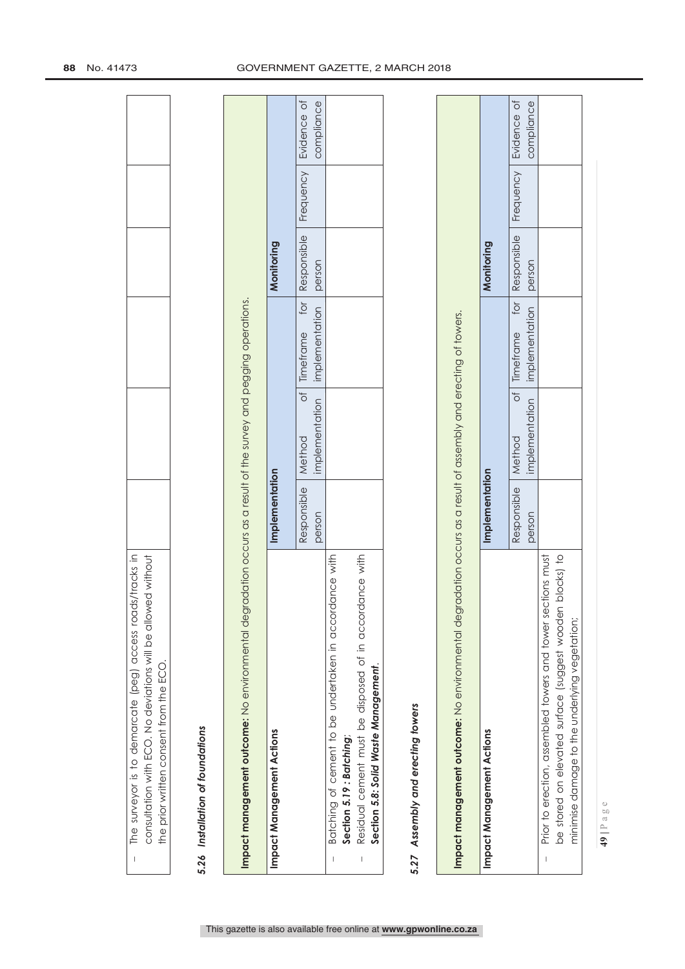| consultation with ECO. No deviations will be allowed without<br>The surveyor is to demarcate (peg) access roads/tracks in<br>the prior written consent from the ECO.<br>$\mathbf{I}$     |                       |                                                |                                    |                       |                  |                           |
|------------------------------------------------------------------------------------------------------------------------------------------------------------------------------------------|-----------------------|------------------------------------------------|------------------------------------|-----------------------|------------------|---------------------------|
| 5.26 Installation of foundations                                                                                                                                                         |                       |                                                |                                    |                       |                  |                           |
| Impact management outcome: No environmental degradation occurs as a result of the survey and pegging operations.                                                                         |                       |                                                |                                    |                       |                  |                           |
| Impact Management Actions                                                                                                                                                                | Implementation        |                                                |                                    | Monitoring            |                  |                           |
|                                                                                                                                                                                          | Responsible<br>person | ð<br>implementation<br>Method                  | tor<br>implementation<br>Timeframe | Responsible<br>person | Frequency        | Evidence of<br>compliance |
| Residual cement must be disposed of in accordance with<br>Batching of cement to be undertaken in accordance with<br>Section 5.8: Solid Waste Management.<br>Section 5.19: Batching;<br>Т |                       |                                                |                                    |                       |                  |                           |
| Assembly and erecting towers<br>5.27                                                                                                                                                     |                       |                                                |                                    |                       |                  |                           |
| Impact management outcome: No environmental degradation occurs as a result of assembly and erecting of towers.                                                                           |                       |                                                |                                    |                       |                  |                           |
| Impact Management Actions                                                                                                                                                                | Implementation        |                                                |                                    | Monitoring            |                  |                           |
|                                                                                                                                                                                          | Responsible<br>person | $\overline{\circ}$<br>implementation<br>Method | tor<br>implementation<br>Timeframe | Responsible<br>person | <b>Frequency</b> | Evidence of<br>compliance |
| blocks) to<br>Prior to erection, assembled towers and tower sections must<br>be stored on elevated surface (suggest wooden<br>minimise damage to the underlying vegetation;              |                       |                                                |                                    |                       |                  |                           |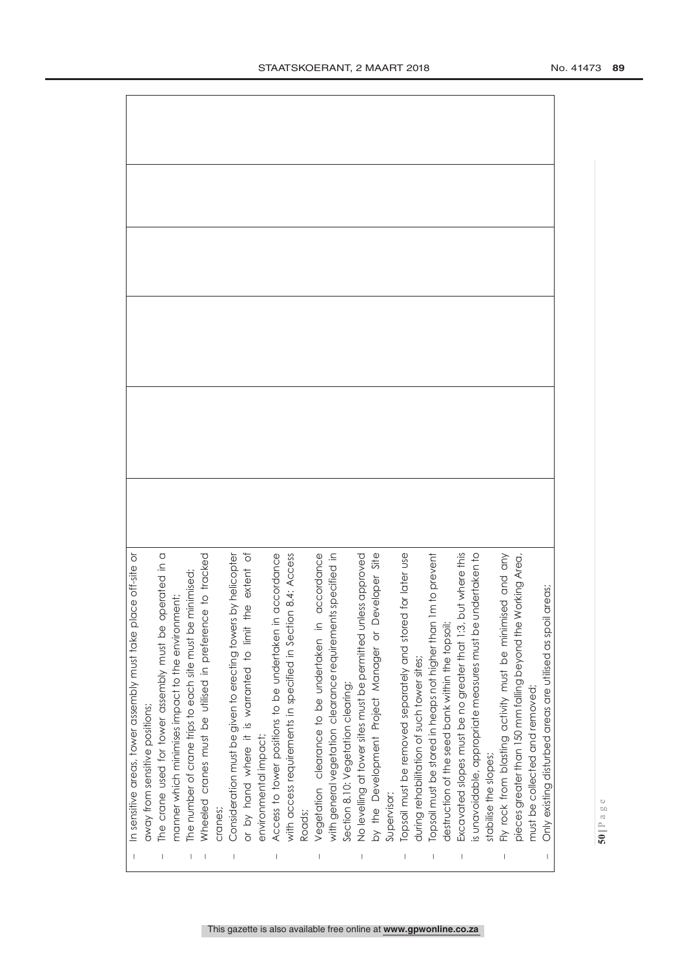| $\overline{\phantom{a}}$       | In sensitive areas, tower assembly must take place off-site or                                                             |  |
|--------------------------------|----------------------------------------------------------------------------------------------------------------------------|--|
|                                | away from sensitive positions;                                                                                             |  |
|                                | The crane used for tower assembly must be operated in a                                                                    |  |
|                                | manner which minimises impact to the environment;                                                                          |  |
|                                | The number of crane trips to each site must be minimised;                                                                  |  |
|                                | to tracked<br>Wheeled cranes must be utilised in preference                                                                |  |
|                                | cranes;                                                                                                                    |  |
|                                | Consideration must be given to erecting towers by helicopter                                                               |  |
|                                | extent of<br>or by hand where it is warranted to limit the                                                                 |  |
|                                | environmental impact;                                                                                                      |  |
| $\begin{array}{c} \end{array}$ | Access to tower positions to be undertaken in accordance                                                                   |  |
|                                | 8.4: Access<br>with access requirements in specified in Section                                                            |  |
|                                | Roads;                                                                                                                     |  |
|                                | accordance<br>vegetation clearance to be undertaken in                                                                     |  |
|                                | pecified in<br>with general vegetation clearance requirements s                                                            |  |
|                                | Section 8.10: Vegetation clearing;                                                                                         |  |
|                                | No levelling at tower sites must be permitted unless approved                                                              |  |
|                                | by the Development Project Manager or Developer Site                                                                       |  |
|                                | Supervisor;                                                                                                                |  |
|                                | Topsoil must be removed separately and stared for later use                                                                |  |
|                                | during rehabilitation of such tower sites;                                                                                 |  |
|                                | Topsoil must be stored in heaps not higher than 1m to prevent                                                              |  |
|                                | destruction of the seed bank within the topsoil;                                                                           |  |
|                                | Excavated slopes must be no greater that 1:3, but where this<br>is unavoidable, appropriate measures must be undertaken to |  |
|                                |                                                                                                                            |  |
|                                | stabilise the slopes;                                                                                                      |  |
| $\vert$                        | Fly rock from blasting activity must be minimised and any                                                                  |  |
|                                | pieces greater than 150 mm falling beyond the Working Area                                                                 |  |
|                                | must be collected and removed;                                                                                             |  |
|                                | reas;<br>Only existing disturbed areas are utilised as spoil ar                                                            |  |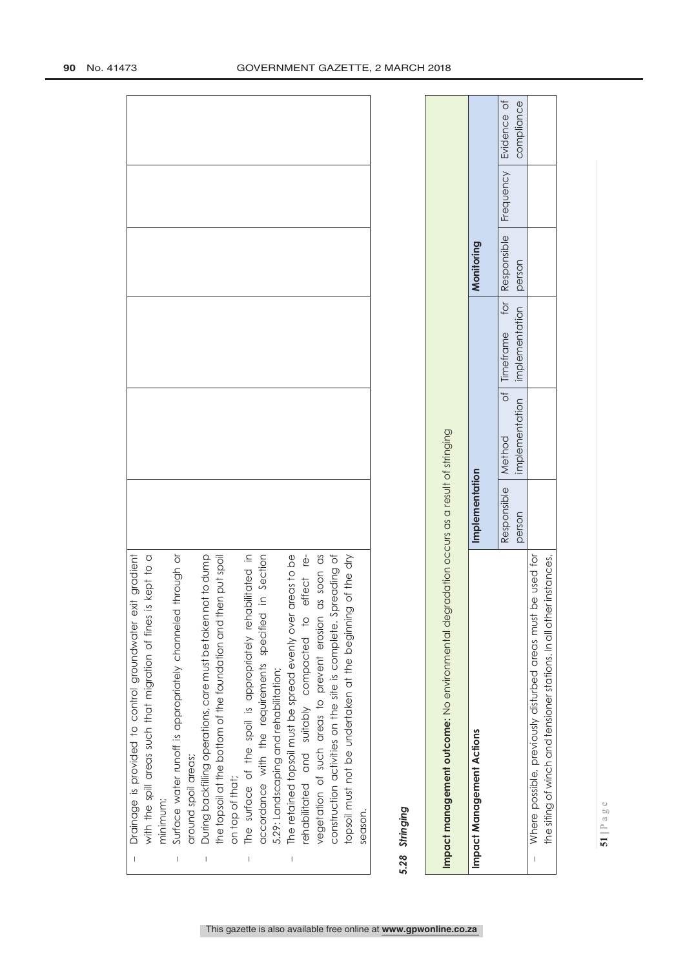| effect re-<br>as soon as<br>construction activities on the site is complete. Spreading of<br>Drainage is provided to control groundwater exit gradient<br>with the spill areas such that migration of fines is kept to a<br>bilitated in<br>areas to be<br>through or<br>in Section<br>During backfilling operations, care must be taken not to dump<br>en put spoil<br>topsoil must not be undertaken at the beginning of the dry<br>Surface water runoff is appropriately channeled<br>the topsoil at the bottom of the foundation and th<br>The surface of the spoil is appropriately reha<br>The retained topsoil must be spread evenly over<br>accordance with the requirements specified<br>ehabilitated and suitably compacted to<br>vegetation of such areas to prevent erosion<br>5.29: Landscaping and rehabilitation;<br>around spoil areas;<br>on top of that;<br>minimum;<br>5.28 Stringing<br>season.<br>$\mathsf{I}$<br>$\overline{\phantom{a}}$<br>$\overline{\phantom{a}}$ |                       |                                                 |                                    |                       |           |                           |
|---------------------------------------------------------------------------------------------------------------------------------------------------------------------------------------------------------------------------------------------------------------------------------------------------------------------------------------------------------------------------------------------------------------------------------------------------------------------------------------------------------------------------------------------------------------------------------------------------------------------------------------------------------------------------------------------------------------------------------------------------------------------------------------------------------------------------------------------------------------------------------------------------------------------------------------------------------------------------------------------|-----------------------|-------------------------------------------------|------------------------------------|-----------------------|-----------|---------------------------|
| Impact management outcome: No environmental degradation occurs as a result of stringing                                                                                                                                                                                                                                                                                                                                                                                                                                                                                                                                                                                                                                                                                                                                                                                                                                                                                                     |                       |                                                 |                                    |                       |           |                           |
| Impact Management Actions                                                                                                                                                                                                                                                                                                                                                                                                                                                                                                                                                                                                                                                                                                                                                                                                                                                                                                                                                                   | Implementation        |                                                 |                                    | Monitoring            |           |                           |
|                                                                                                                                                                                                                                                                                                                                                                                                                                                                                                                                                                                                                                                                                                                                                                                                                                                                                                                                                                                             | Responsible<br>person | $\overline{\sigma}$<br>implementation<br>Method | for<br>implementation<br>Timeframe | Responsible<br>person | Frequency | Evidence of<br>compliance |
| the siting of winch and tensioner stations. In all other instances,<br>be used for<br>Where possible, previously disturbed areas must<br>$\overline{\phantom{a}}$                                                                                                                                                                                                                                                                                                                                                                                                                                                                                                                                                                                                                                                                                                                                                                                                                           |                       |                                                 |                                    |                       |           |                           |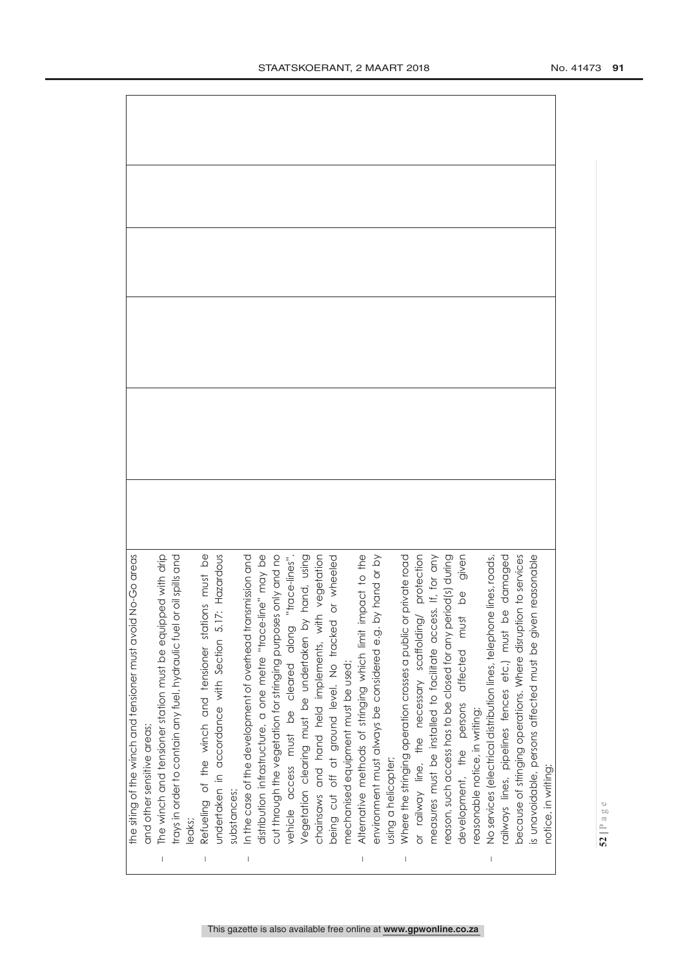| This gazette is also available free online at www.qpwonline.co.za |
|-------------------------------------------------------------------|

| the siting of the winch and tensioner must avoid No-Go areas                                                                       |  |
|------------------------------------------------------------------------------------------------------------------------------------|--|
| and other sensitive areas;                                                                                                         |  |
| The winch and tensioner station must be equipped with drip<br>trays in order to contain any fuel, hydraulic fuel or oil spills and |  |
|                                                                                                                                    |  |
| eaks;                                                                                                                              |  |
| Refueling of the winch and tensioner stations must be<br>undertaken in accordance with Section 5.17: Hazardous                     |  |
|                                                                                                                                    |  |
| substances;                                                                                                                        |  |
| In the case of the development of overhead transmission and                                                                        |  |
| distribution infrastructure, a one metre "trace-line" may be<br>cut through the vegetation for stringing purposes only and no      |  |
|                                                                                                                                    |  |
| vehicle access must be cleared along "trace-lines"                                                                                 |  |
| Vegetation clearing must be undertaken by hand, using                                                                              |  |
| egetation<br>chainsaws and hand held implements, with v                                                                            |  |
| wheeled<br>being cut off at ground level. No fracked or                                                                            |  |
| mechanised equipment must be used;                                                                                                 |  |
|                                                                                                                                    |  |
| Alternative methods of stringing which limit impact to the<br>environment must always be considered e.g. by hand or by             |  |
| using a helicopter;                                                                                                                |  |
| Where the stringing operation crosses a public or private road                                                                     |  |
| or railway line, the necessary scaffolding/                                                                                        |  |
| protection<br>If, for any<br>measures must be installed to facilitate access.                                                      |  |
| reason, such access has to be closed for any period(s) during                                                                      |  |
| be given<br>affected must<br>development, the persons                                                                              |  |
| reasonable notice, in writing;                                                                                                     |  |
| No services (electrical distribution lines, telephone lines, roads,                                                                |  |
| damaged<br>railways lines, pipelines fences etc.) must be                                                                          |  |
| to services<br>because of stringing operations. Where disruption                                                                   |  |
| is unavoidable, persons affected must be given reasonable                                                                          |  |
| notice, in writing;                                                                                                                |  |
|                                                                                                                                    |  |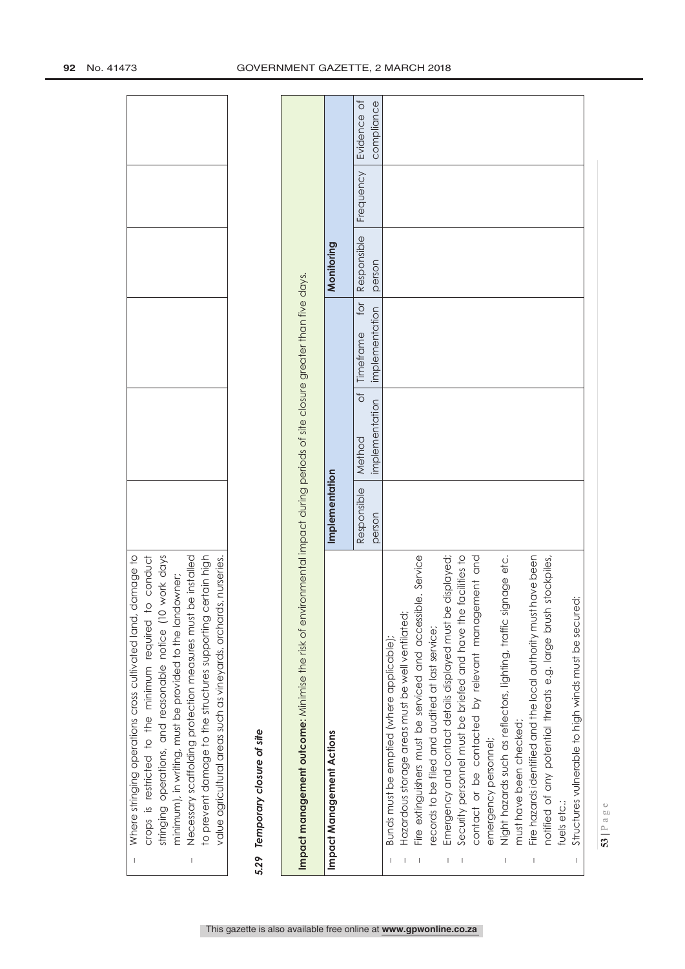| be installed<br>ertain high<br>value agricultural areas such as vineyards, orchards, nurseries.<br>to prevent damage to the structures supporting c<br>Necessary scaffolding protection measures must<br>$\overline{1}$ |                       |                                                 |                                    |                       |           |                           |
|-------------------------------------------------------------------------------------------------------------------------------------------------------------------------------------------------------------------------|-----------------------|-------------------------------------------------|------------------------------------|-----------------------|-----------|---------------------------|
| 5.29 Temporary closure of site                                                                                                                                                                                          |                       |                                                 |                                    |                       |           |                           |
| Impact management outcome: Minimise the risk of environmental impact during periods of site closure greater than five days.                                                                                             |                       |                                                 |                                    |                       |           |                           |
| Impact Management Actions                                                                                                                                                                                               | Implementation        |                                                 |                                    | Monitoring            |           |                           |
|                                                                                                                                                                                                                         | Responsible<br>person | $\overline{\sigma}$<br>implementation<br>Method | for<br>implementation<br>Timeframe | Responsible<br>person | Frequency | Evidence of<br>compliance |
| Hazardous storage areas must be well ventilated;<br>Bunds must be emptied (where applicable);                                                                                                                           |                       |                                                 |                                    |                       |           |                           |
| Fire extinguishers must be serviced and accessible. Service                                                                                                                                                             |                       |                                                 |                                    |                       |           |                           |
| records to be filed and audited at last service;                                                                                                                                                                        |                       |                                                 |                                    |                       |           |                           |
| Emergency and contact details displayed must be displayed;                                                                                                                                                              |                       |                                                 |                                    |                       |           |                           |
| facilities to<br>Security personnel must be briefed and have the                                                                                                                                                        |                       |                                                 |                                    |                       |           |                           |
| contact or be contacted by relevant management and                                                                                                                                                                      |                       |                                                 |                                    |                       |           |                           |
| emergency personnel;                                                                                                                                                                                                    |                       |                                                 |                                    |                       |           |                           |
| Night hazards such as reflectors, lighting, traffic signage etc.<br>must have been checked;                                                                                                                             |                       |                                                 |                                    |                       |           |                           |
| Fire hazards identified and the local authority must have been                                                                                                                                                          |                       |                                                 |                                    |                       |           |                           |
| stockpiles,<br>notified of any potential threats e.g. large brush                                                                                                                                                       |                       |                                                 |                                    |                       |           |                           |
| fuels etc.;                                                                                                                                                                                                             |                       |                                                 |                                    |                       |           |                           |
| Structures vulnerable to high winds must be secured;<br>$\vert$                                                                                                                                                         |                       |                                                 |                                    |                       |           |                           |

**53 |** Page

 $\overline{1}$ 

 Where stringing operations cross cultivated land, damage to crops is restricted to the minimum required to conduct stringing operations, and reasonable notice (10 work days minimum), in writing, must be provided to the landowner;

Where stringing operations cross cultivated land, damage to crops is restricted to the minimum required to conduct stringing operations, and reasonable notice (10 work days

minimum), in writing, must be provided to the landowner;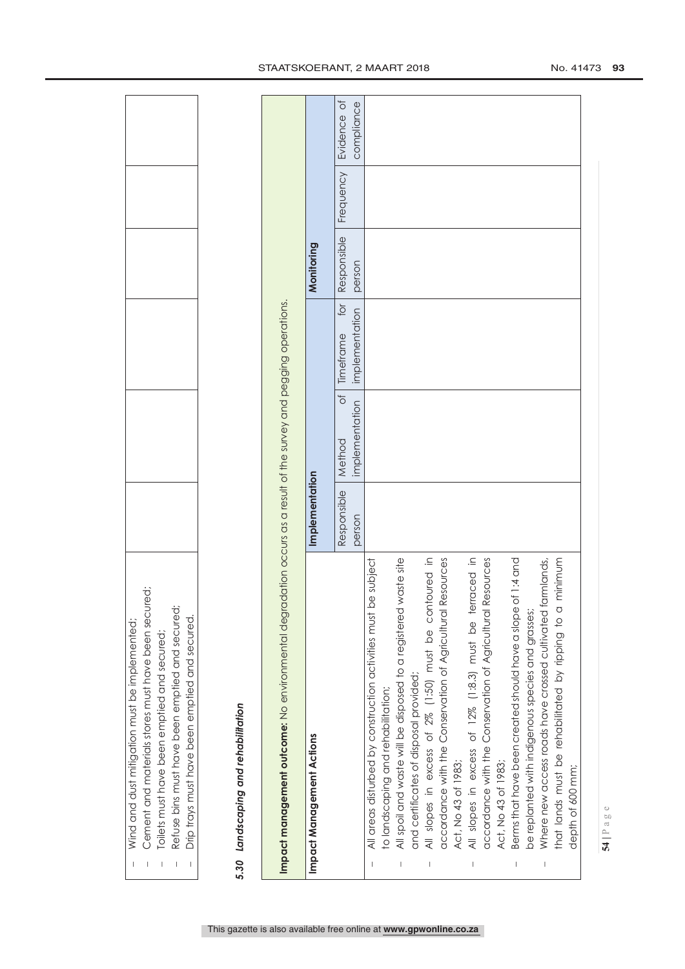|         | Impact management outcome: No environmental degradation occurs as a result of the survey and pegging operations. |                       |                                      |                                    |                       |           |                           |
|---------|------------------------------------------------------------------------------------------------------------------|-----------------------|--------------------------------------|------------------------------------|-----------------------|-----------|---------------------------|
|         | Impact Management Actions                                                                                        | Implementation        |                                      |                                    | Monitoring            |           |                           |
|         |                                                                                                                  | Responsible<br>person | $\sigma$<br>implementation<br>Method | for<br>implementation<br>Timeframe | Responsible<br>person | Frequency | Evidence of<br>compliance |
| I       | be subject<br>All areas disturbed by construction activities must<br>to landscaping and rehabilitation;          |                       |                                      |                                    |                       |           |                           |
| I       | All spoil and waste will be disposed to a registered waste site<br>and certificates of disposal provided;        |                       |                                      |                                    |                       |           |                           |
|         | All slopes in excess of 2% (1:50) must be contoured in                                                           |                       |                                      |                                    |                       |           |                           |
|         | Resources<br>accordance with the Conservation of Agricultural<br>Act, No 43 of 1983;                             |                       |                                      |                                    |                       |           |                           |
| I       | All slopes in excess of 12% (1:8.3) must be terraced in                                                          |                       |                                      |                                    |                       |           |                           |
|         | Resources<br>accordance with the Conservation of Agricultural<br>Act, No 43 of 1983;                             |                       |                                      |                                    |                       |           |                           |
|         | Berms that have been created should have a slope of 1:4 and                                                      |                       |                                      |                                    |                       |           |                           |
|         | be replanted with indigenous species and grasses;                                                                |                       |                                      |                                    |                       |           |                           |
| $\vert$ | farmlands,<br>Where new access roads have crossed cultivated                                                     |                       |                                      |                                    |                       |           |                           |
|         | that lands must be rehabilitated by ripping to a minimum                                                         |                       |                                      |                                    |                       |           |                           |
|         | depth of 600 mm;                                                                                                 |                       |                                      |                                    |                       |           |                           |

This gazette is also available free online at **www.gpwonline.co.za**

 $\overline{1}$ 

 $\bar{1}$ 

 $\bar{\rm I}$ 

 $\overline{1}$ 

 $\overline{1}$ 

Wind and dust mitigation must be implemented;

Wind and dust mitigation must be implemented;

Cement and materials stores must have been secured;

Cement and materials stores must have been secured;

Toilets must have been emptied and secured;

Toilets must have been emptied and secured;

Refuse bins must have been emptied and secured;

Refuse bins must have been emptied and secured; Drip trays must have been emptied and secured.

Drip trays must have been emptied and secured.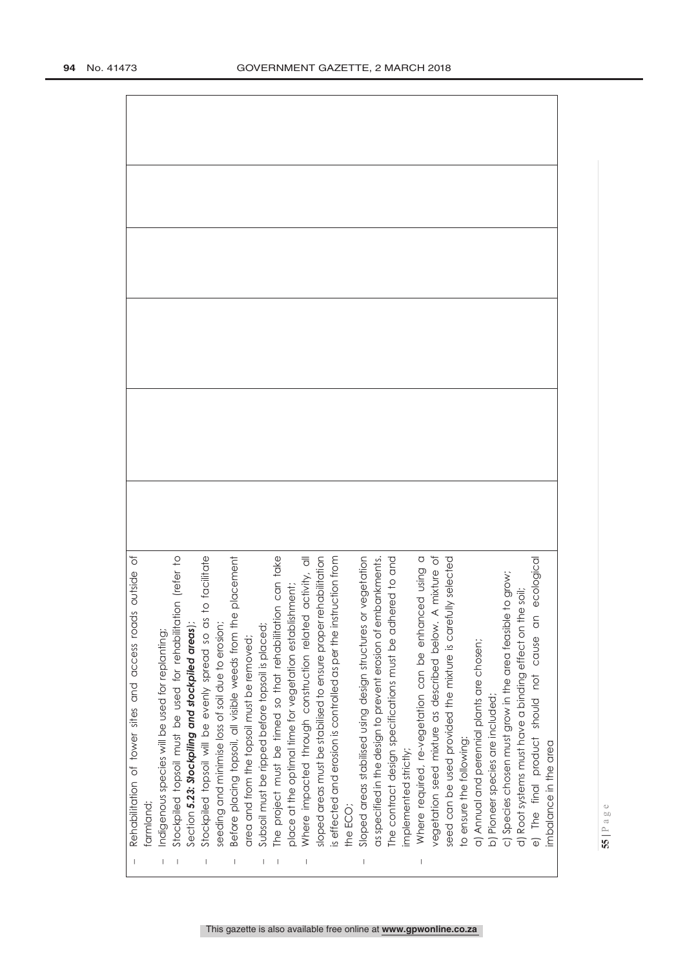| outside of<br>Rehabilitation of tower sites and access roads |           | Indigenous species will be used for replanting; | Stockpiled topsoil must be used for rehabilitation (refer to | Section 5.23: Stockpiling and stockpiled areas); | o facilitate<br>Stockpiled topsoil will be evenly spread so as t | seeding and minimise loss of soil due to erosion; | placement<br>Before placing topsoil, all visible weeds from the | area and from the topsoil must be removed; | Subsoil must be ripped before topsoil is placed; | The project must be timed so that rehabilitation can take<br>place at the optimal time for vegetation establishment; |  | Where impacted through construction related activity, all<br>sloped areas must be stabilised to ensure proper rehabilitation<br>is effected and erosion is controlled as per the instruction from |          | Sloped areas stabilised using design structures or vegetation<br>as specified in the design to prevent erosion of embankments.<br>Sloped areas stabilised using design structures or | The contract design specifications must be adhered to and |                       | Where required, re-vegetation can be enhanced using a<br>vegetation seed mixture as described below. A mixture of | seed can be used provided the mixture is carefully selected |                          | a) Annual and perennial plants are chosen; | b) Pioneer species are included; | to grow;<br>c) Species chosen must grow in the area feasible | d) Root systems must have a binding effect on the soil; | ecologica<br>$\overline{a}$<br>The final product should not cause |                       |
|--------------------------------------------------------------|-----------|-------------------------------------------------|--------------------------------------------------------------|--------------------------------------------------|------------------------------------------------------------------|---------------------------------------------------|-----------------------------------------------------------------|--------------------------------------------|--------------------------------------------------|----------------------------------------------------------------------------------------------------------------------|--|---------------------------------------------------------------------------------------------------------------------------------------------------------------------------------------------------|----------|--------------------------------------------------------------------------------------------------------------------------------------------------------------------------------------|-----------------------------------------------------------|-----------------------|-------------------------------------------------------------------------------------------------------------------|-------------------------------------------------------------|--------------------------|--------------------------------------------|----------------------------------|--------------------------------------------------------------|---------------------------------------------------------|-------------------------------------------------------------------|-----------------------|
|                                                              | farmland; |                                                 |                                                              |                                                  |                                                                  |                                                   |                                                                 |                                            |                                                  |                                                                                                                      |  |                                                                                                                                                                                                   | the ECO: |                                                                                                                                                                                      |                                                           | implemented strictly; |                                                                                                                   |                                                             | to ensure the following: |                                            |                                  |                                                              |                                                         | $\overline{\mathbb{Q}}$                                           | imbalance in the area |
|                                                              |           |                                                 |                                                              |                                                  |                                                                  |                                                   |                                                                 |                                            |                                                  |                                                                                                                      |  |                                                                                                                                                                                                   |          |                                                                                                                                                                                      |                                                           |                       |                                                                                                                   |                                                             |                          |                                            |                                  |                                                              |                                                         |                                                                   |                       |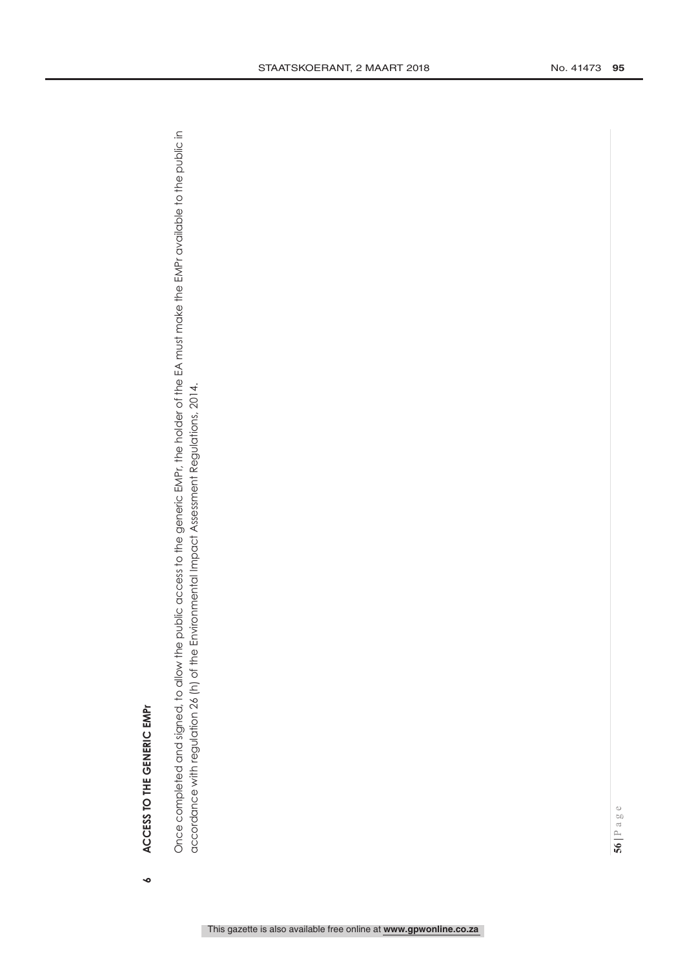ACCESS TO THE GENERIC EMPT **ACCESS TO THE GENERIC EMPr 6** Once completed and signed, to allow the public access to the generic EMPr, the holder of the EA must make the EMPr available to the public in Once completed and signed, to allow the public access to the generic EMPr, the holder of the EA must make the EMPr available to the public in accordance with regulation 26 (h) of the Environmental Impact Assessment Regulations, 2014. accordance with regulation 26 (h) of the Environmental Impact Assessment Regulations, 2014.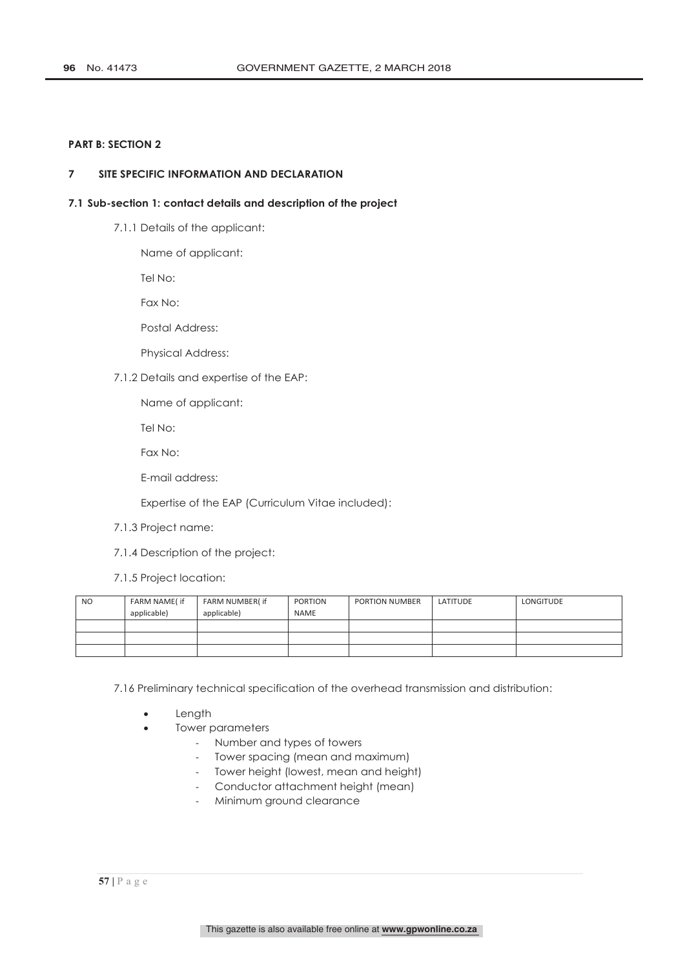# **PART B: SECTION 2**

# **7 SITE SPECIFIC INFORMATION AND DECLARATION**

### **7.1 Sub-section 1: contact details and description of the project**

7.1.1 Details of the applicant:

Name of applicant:

Tel No:

Fax No:

Postal Address:

Physical Address:

7.1.2 Details and expertise of the EAP:

Name of applicant:

Tel No:

Fax No:

E-mail address:

Expertise of the EAP (Curriculum Vitae included):

7.1.3 Project name:

7.1.4 Description of the project:

7.1.5 Project location:

| <b>NO</b> | FARM NAME( if | FARM NUMBER(if | <b>PORTION</b> | PORTION NUMBER | LATITUDE | <b>LONGITUDE</b> |  |
|-----------|---------------|----------------|----------------|----------------|----------|------------------|--|
|           | applicable)   | applicable)    | NAME           |                |          |                  |  |
|           |               |                |                |                |          |                  |  |
|           |               |                |                |                |          |                  |  |
|           |               |                |                |                |          |                  |  |

7.16 Preliminary technical specification of the overhead transmission and distribution:

- Length
- Tower parameters
	- Number and types of towers
	- Tower spacing (mean and maximum)
	- Tower height (lowest, mean and height)
	- Conductor attachment height (mean)
	- Minimum ground clearance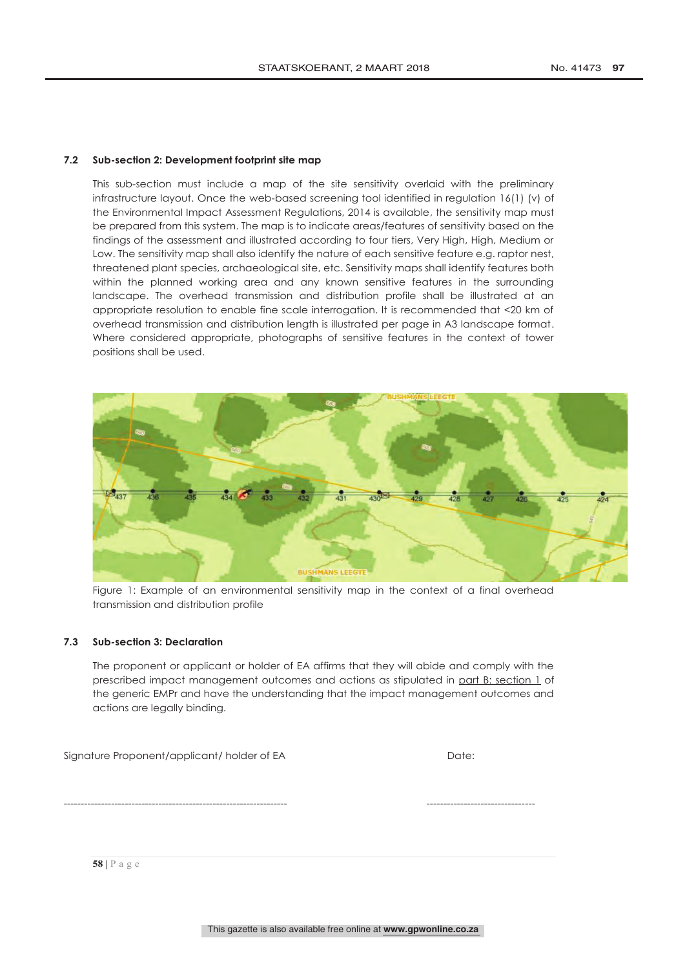# **7.2 Sub-section 2: Development footprint site map**

This sub-section must include a map of the site sensitivity overlaid with the preliminary infrastructure layout. Once the web-based screening tool identified in regulation 16(1) (v) of the Environmental Impact Assessment Regulations, 2014 is available, the sensitivity map must be prepared from this system. The map is to indicate areas/features of sensitivity based on the findings of the assessment and illustrated according to four tiers, Very High, High, Medium or Low. The sensitivity map shall also identify the nature of each sensitive feature e.g. raptor nest, threatened plant species, archaeological site, etc. Sensitivity maps shall identify features both within the planned working area and any known sensitive features in the surrounding landscape. The overhead transmission and distribution profile shall be illustrated at an appropriate resolution to enable fine scale interrogation. It is recommended that <20 km of overhead transmission and distribution length is illustrated per page in A3 landscape format. Where considered appropriate, photographs of sensitive features in the context of tower positions shall be used.



Figure 1: Example of an environmental sensitivity map in the context of a final overhead transmission and distribution profile

# **7.3 Sub-section 3: Declaration**

The proponent or applicant or holder of EA affirms that they will abide and comply with the prescribed impact management outcomes and actions as stipulated in part B: section 1 of the generic EMPr and have the understanding that the impact management outcomes and actions are legally binding.

Signature Proponent/applicant/ holder of EA Date:

------------------------------------------------------------------ --------------------------------

### **58 |** Page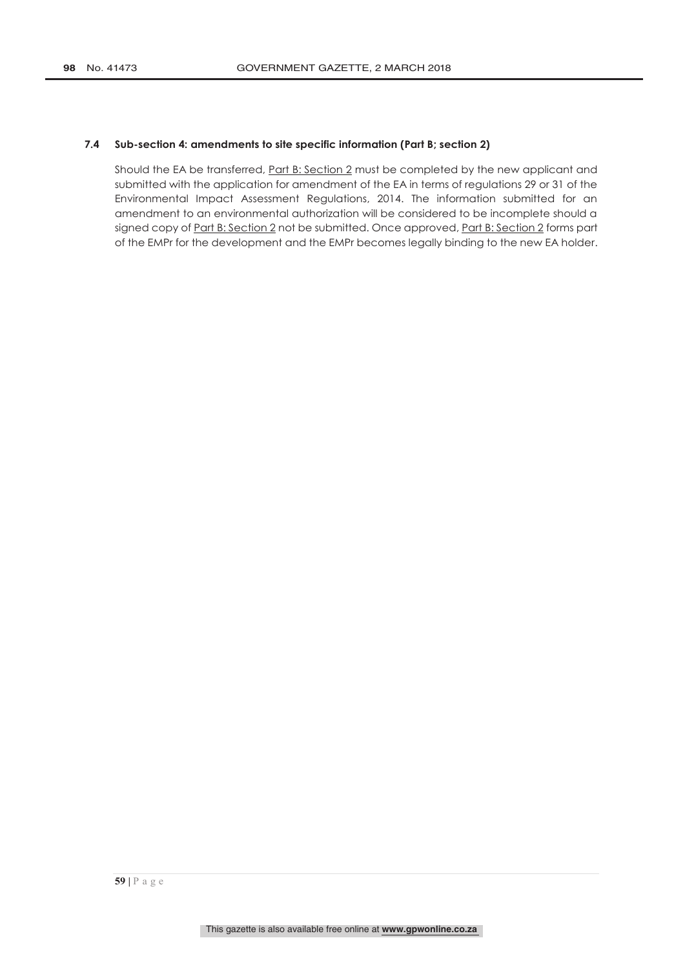# **7.4 Sub-section 4: amendments to site specific information (Part B; section 2)**

Should the EA be transferred, Part B: Section 2 must be completed by the new applicant and submitted with the application for amendment of the EA in terms of regulations 29 or 31 of the Environmental Impact Assessment Regulations, 2014. The information submitted for an amendment to an environmental authorization will be considered to be incomplete should a signed copy of Part B: Section 2 not be submitted. Once approved, Part B: Section 2 forms part of the EMPr for the development and the EMPr becomes legally binding to the new EA holder.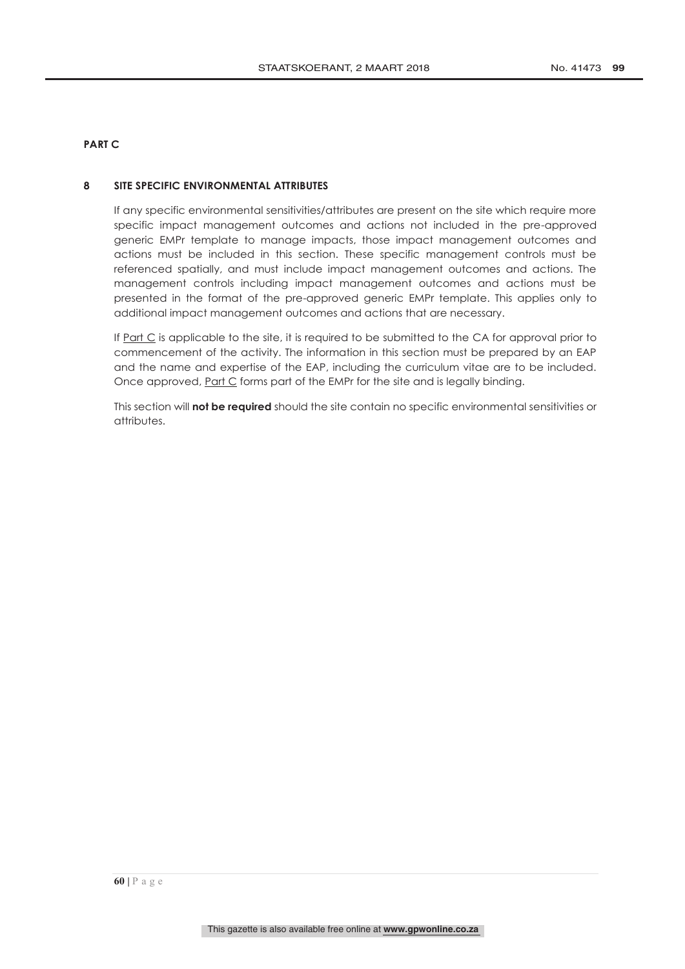# **PART C**

# **8 SITE SPECIFIC ENVIRONMENTAL ATTRIBUTES**

If any specific environmental sensitivities/attributes are present on the site which require more specific impact management outcomes and actions not included in the pre-approved generic EMPr template to manage impacts, those impact management outcomes and actions must be included in this section. These specific management controls must be referenced spatially, and must include impact management outcomes and actions. The management controls including impact management outcomes and actions must be presented in the format of the pre-approved generic EMPr template. This applies only to additional impact management outcomes and actions that are necessary.

If  $Part C$  is applicable to the site, it is required to be submitted to the CA for approval prior to commencement of the activity. The information in this section must be prepared by an EAP and the name and expertise of the EAP, including the curriculum vitae are to be included. Once approved, Part C forms part of the EMPr for the site and is legally binding.

This section will **not be required** should the site contain no specific environmental sensitivities or attributes.